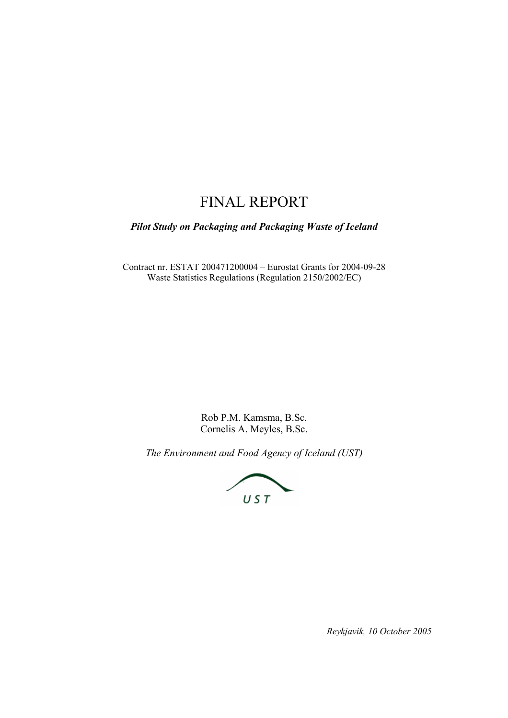## FINAL REPORT

*Pilot Study on Packaging and Packaging Waste of Iceland* 

Contract nr. ESTAT 200471200004 – Eurostat Grants for 2004-09-28 Waste Statistics Regulations (Regulation 2150/2002/EC)

> Rob P.M. Kamsma, B.Sc. Cornelis A. Meyles, B.Sc.

*The Environment and Food Agency of Iceland (UST)* 



*Reykjavik, 10 October 2005*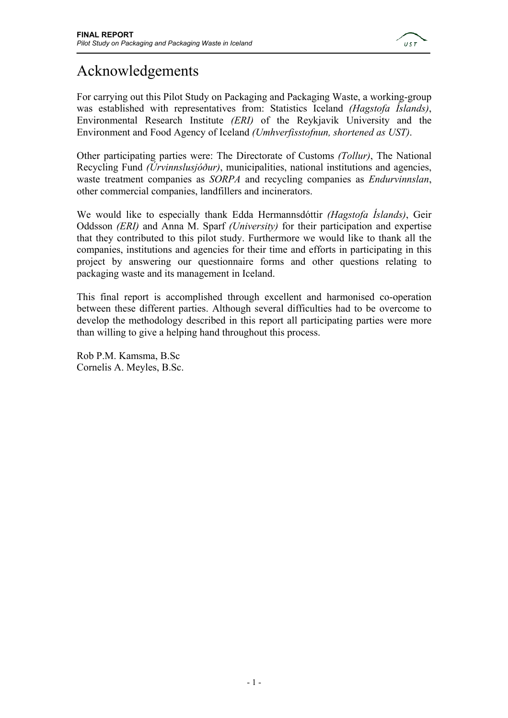

# Acknowledgements

For carrying out this Pilot Study on Packaging and Packaging Waste, a working-group was established with representatives from: Statistics Iceland *(Hagstofa Íslands)*, Environmental Research Institute *(ERI)* of the Reykjavik University and the Environment and Food Agency of Iceland *(Umhverfisstofnun, shortened as UST)*.

Other participating parties were: The Directorate of Customs *(Tollur)*, The National Recycling Fund *(Úrvinnslusjóður)*, municipalities, national institutions and agencies, waste treatment companies as *SORPA* and recycling companies as *Endurvinnslan*, other commercial companies, landfillers and incinerators.

We would like to especially thank Edda Hermannsdóttir *(Hagstofa Íslands)*, Geir Oddsson *(ERI)* and Anna M. Sparf *(University)* for their participation and expertise that they contributed to this pilot study. Furthermore we would like to thank all the companies, institutions and agencies for their time and efforts in participating in this project by answering our questionnaire forms and other questions relating to packaging waste and its management in Iceland.

This final report is accomplished through excellent and harmonised co-operation between these different parties. Although several difficulties had to be overcome to develop the methodology described in this report all participating parties were more than willing to give a helping hand throughout this process.

Rob P.M. Kamsma, B.Sc Cornelis A. Meyles, B.Sc.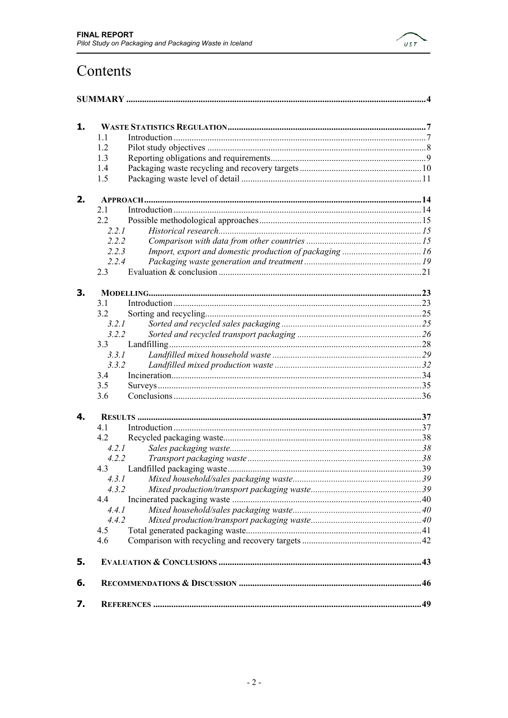

# Contents

| 1. |       |  |
|----|-------|--|
|    | 1.1   |  |
|    | 1.2   |  |
|    | 1.3   |  |
|    | 1.4   |  |
|    | 1.5   |  |
| 2. |       |  |
|    | 21    |  |
|    | 2.2   |  |
|    | 2.2.1 |  |
|    | 2.2.2 |  |
|    | 2.2.3 |  |
|    | 2.2.4 |  |
|    | 2.3   |  |
| 3. |       |  |
|    | 3.1   |  |
|    | 3.2   |  |
|    | 3.2.1 |  |
|    | 3.2.2 |  |
|    |       |  |
|    | 3.3.1 |  |
|    | 3.3.2 |  |
|    | 3.4   |  |
|    | 3.5   |  |
|    | 3.6   |  |
| 4. |       |  |
|    | 41    |  |
|    | 4.2   |  |
|    | 4.2.1 |  |
|    | 4.2.2 |  |
|    |       |  |
|    | 4.3.1 |  |
|    | 4.3.2 |  |
|    | 4.4   |  |
|    | 4.4.1 |  |
|    | 4.4.2 |  |
|    | 4.5   |  |
|    | 4.6   |  |
| 5. |       |  |
| 6. |       |  |
| 7. |       |  |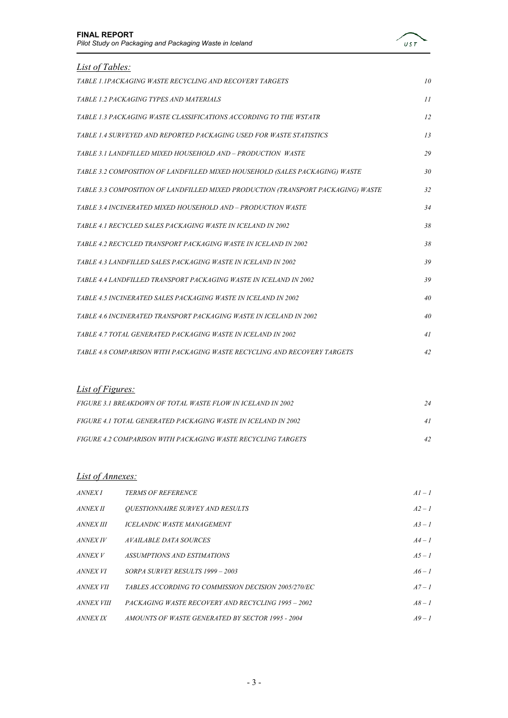

| <i>List of Tables:</i>                                                           |                 |
|----------------------------------------------------------------------------------|-----------------|
| TABLE 1.1PACKAGING WASTE RECYCLING AND RECOVERY TARGETS                          | 10 <sup>2</sup> |
| TABLE 1.2 PACKAGING TYPES AND MATERIALS                                          | 11              |
| TABLE 1.3 PACKAGING WASTE CLASSIFICATIONS ACCORDING TO THE WSTATR                | 12              |
| TABLE 1.4 SURVEYED AND REPORTED PACKAGING USED FOR WASTE STATISTICS              | 13              |
| TABLE 3.1 LANDFILLED MIXED HOUSEHOLD AND - PRODUCTION WASTE                      | 29              |
| TABLE 3.2 COMPOSITION OF LANDFILLED MIXED HOUSEHOLD (SALES PACKAGING) WASTE      | 30              |
| TABLE 3.3 COMPOSITION OF LANDFILLED MIXED PRODUCTION (TRANSPORT PACKAGING) WASTE | 32              |
| TABLE 3.4 INCINERATED MIXED HOUSEHOLD AND - PRODUCTION WASTE                     | 34              |
| TABLE 4.1 RECYCLED SALES PACKAGING WASTE IN ICELAND IN 2002                      | 38              |
| TABLE 4.2 RECYCLED TRANSPORT PACKAGING WASTE IN ICELAND IN 2002                  | 38              |
| TABLE 4.3 LANDFILLED SALES PACKAGING WASTE IN ICELAND IN 2002                    | 39              |
| TABLE 4.4 LANDFILLED TRANSPORT PACKAGING WASTE IN ICELAND IN 2002                | 39              |
| TABLE 4.5 INCINERATED SALES PACKAGING WASTE IN ICELAND IN 2002                   | 40              |
| TABLE 4.6 INCINERATED TRANSPORT PACKAGING WASTE IN ICELAND IN 2002               | 40              |
| TABLE 4.7 TOTAL GENERATED PACKAGING WASTE IN ICELAND IN 2002                     | 41              |
| TABLE 4.8 COMPARISON WITH PACKAGING WASTE RECYCLING AND RECOVERY TARGETS         | 42              |

#### *List of Figures:*

| FIGURE 3.1 BREAKDOWN OF TOTAL WASTE FLOW IN ICELAND IN 2002   | 24 |
|---------------------------------------------------------------|----|
| FIGURE 4.1 TOTAL GENERATED PACKAGING WASTE IN ICELAND IN 2002 |    |
| FIGURE 4.2 COMPARISON WITH PACKAGING WASTE RECYCLING TARGETS  |    |

#### *List of Annexes:*

| <i>ANNEX I</i>    | <b>TERMS OF REFERENCE</b>                           | $AI-I$   |
|-------------------|-----------------------------------------------------|----------|
| <i>ANNEX II</i>   | <b>OUESTIONNAIRE SURVEY AND RESULTS</b>             | $A2 - I$ |
| <i>ANNEX III</i>  | <b>ICELANDIC WASTE MANAGEMENT</b>                   | $A3 - I$ |
| <i>ANNEX IV</i>   | <i>AVAILABLE DATA SOURCES</i>                       | $A4-1$   |
| <i>ANNEX V</i>    | ASSUMPTIONS AND ESTIMATIONS                         | $A5 - I$ |
| <i>ANNEX VI</i>   | SORPA SURVEY RESULTS 1999 - 2003                    | $A6-1$   |
| <i>ANNEX VII</i>  | TABLES ACCORDING TO COMMISSION DECISION 2005/270/EC | $A7 - I$ |
| <i>ANNEX VIII</i> | PACKAGING WASTE RECOVERY AND RECYCLING 1995 - 2002  | $A8 - I$ |
| <i>ANNEX IX</i>   | AMOUNTS OF WASTE GENERATED BY SECTOR 1995 - 2004    | $A9-1$   |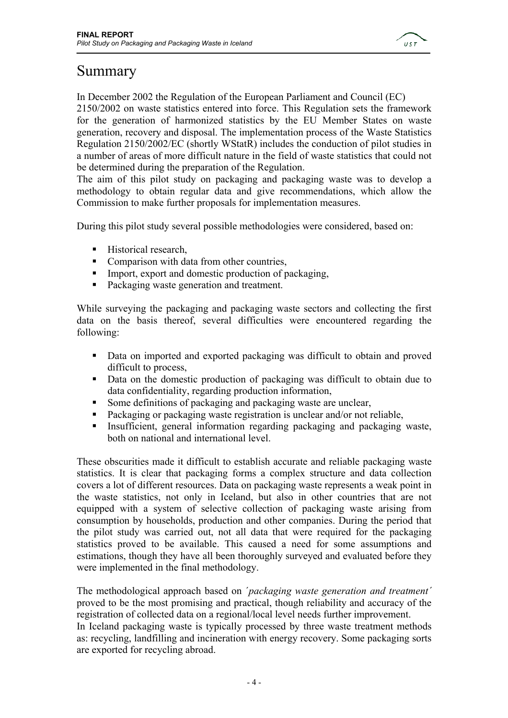

### Summary

In December 2002 the Regulation of the European Parliament and Council (EC)

2150/2002 on waste statistics entered into force. This Regulation sets the framework for the generation of harmonized statistics by the EU Member States on waste generation, recovery and disposal. The implementation process of the Waste Statistics Regulation 2150/2002/EC (shortly WStatR) includes the conduction of pilot studies in a number of areas of more difficult nature in the field of waste statistics that could not be determined during the preparation of the Regulation.

The aim of this pilot study on packaging and packaging waste was to develop a methodology to obtain regular data and give recommendations, which allow the Commission to make further proposals for implementation measures.

During this pilot study several possible methodologies were considered, based on:

- Historical research,
- Comparison with data from other countries,
- Import, export and domestic production of packaging,
- Packaging waste generation and treatment.

While surveying the packaging and packaging waste sectors and collecting the first data on the basis thereof, several difficulties were encountered regarding the following:

- Data on imported and exported packaging was difficult to obtain and proved difficult to process,
- Data on the domestic production of packaging was difficult to obtain due to data confidentiality, regarding production information,
- Some definitions of packaging and packaging waste are unclear,
- Packaging or packaging waste registration is unclear and/or not reliable,
- Insufficient, general information regarding packaging and packaging waste, both on national and international level.

These obscurities made it difficult to establish accurate and reliable packaging waste statistics. It is clear that packaging forms a complex structure and data collection covers a lot of different resources. Data on packaging waste represents a weak point in the waste statistics, not only in Iceland, but also in other countries that are not equipped with a system of selective collection of packaging waste arising from consumption by households, production and other companies. During the period that the pilot study was carried out, not all data that were required for the packaging statistics proved to be available. This caused a need for some assumptions and estimations, though they have all been thoroughly surveyed and evaluated before they were implemented in the final methodology.

The methodological approach based on ´*packaging waste generation and treatment´* proved to be the most promising and practical, though reliability and accuracy of the registration of collected data on a regional/local level needs further improvement. In Iceland packaging waste is typically processed by three waste treatment methods as: recycling, landfilling and incineration with energy recovery. Some packaging sorts are exported for recycling abroad.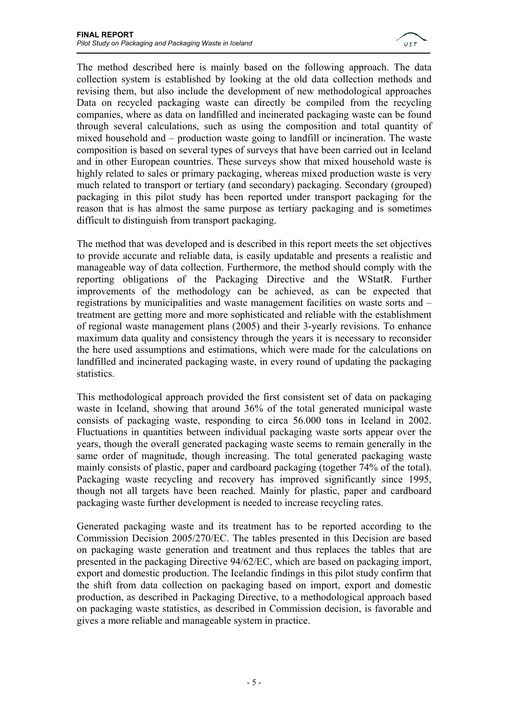

The method described here is mainly based on the following approach. The data collection system is established by looking at the old data collection methods and revising them, but also include the development of new methodological approaches Data on recycled packaging waste can directly be compiled from the recycling companies, where as data on landfilled and incinerated packaging waste can be found through several calculations, such as using the composition and total quantity of mixed household and – production waste going to landfill or incineration. The waste composition is based on several types of surveys that have been carried out in Iceland and in other European countries. These surveys show that mixed household waste is highly related to sales or primary packaging, whereas mixed production waste is very much related to transport or tertiary (and secondary) packaging. Secondary (grouped) packaging in this pilot study has been reported under transport packaging for the reason that is has almost the same purpose as tertiary packaging and is sometimes difficult to distinguish from transport packaging.

The method that was developed and is described in this report meets the set objectives to provide accurate and reliable data, is easily updatable and presents a realistic and manageable way of data collection. Furthermore, the method should comply with the reporting obligations of the Packaging Directive and the WStatR. Further improvements of the methodology can be achieved, as can be expected that registrations by municipalities and waste management facilities on waste sorts and – treatment are getting more and more sophisticated and reliable with the establishment of regional waste management plans (2005) and their 3-yearly revisions. To enhance maximum data quality and consistency through the years it is necessary to reconsider the here used assumptions and estimations, which were made for the calculations on landfilled and incinerated packaging waste, in every round of updating the packaging statistics.

This methodological approach provided the first consistent set of data on packaging waste in Iceland, showing that around 36% of the total generated municipal waste consists of packaging waste, responding to circa 56.000 tons in Iceland in 2002. Fluctuations in quantities between individual packaging waste sorts appear over the years, though the overall generated packaging waste seems to remain generally in the same order of magnitude, though increasing. The total generated packaging waste mainly consists of plastic, paper and cardboard packaging (together 74% of the total). Packaging waste recycling and recovery has improved significantly since 1995, though not all targets have been reached. Mainly for plastic, paper and cardboard packaging waste further development is needed to increase recycling rates.

Generated packaging waste and its treatment has to be reported according to the Commission Decision 2005/270/EC. The tables presented in this Decision are based on packaging waste generation and treatment and thus replaces the tables that are presented in the packaging Directive 94/62/EC, which are based on packaging import, export and domestic production. The Icelandic findings in this pilot study confirm that the shift from data collection on packaging based on import, export and domestic production, as described in Packaging Directive, to a methodological approach based on packaging waste statistics, as described in Commission decision, is favorable and gives a more reliable and manageable system in practice.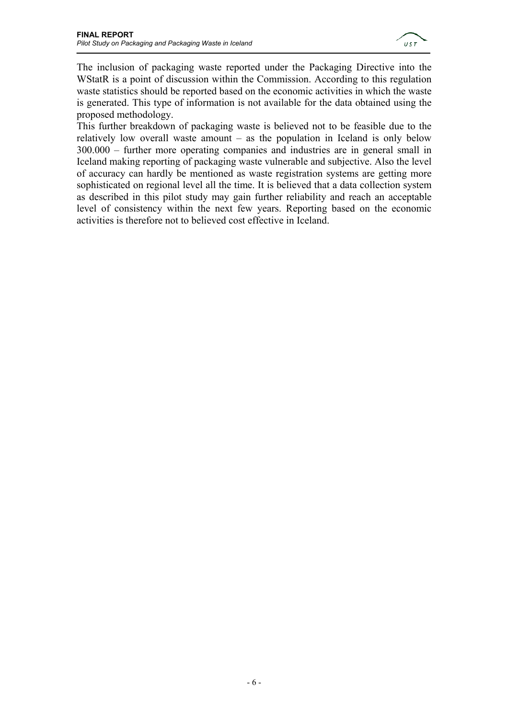

The inclusion of packaging waste reported under the Packaging Directive into the WStatR is a point of discussion within the Commission. According to this regulation waste statistics should be reported based on the economic activities in which the waste is generated. This type of information is not available for the data obtained using the proposed methodology.

This further breakdown of packaging waste is believed not to be feasible due to the relatively low overall waste amount – as the population in Iceland is only below 300.000 – further more operating companies and industries are in general small in Iceland making reporting of packaging waste vulnerable and subjective. Also the level of accuracy can hardly be mentioned as waste registration systems are getting more sophisticated on regional level all the time. It is believed that a data collection system as described in this pilot study may gain further reliability and reach an acceptable level of consistency within the next few years. Reporting based on the economic activities is therefore not to believed cost effective in Iceland.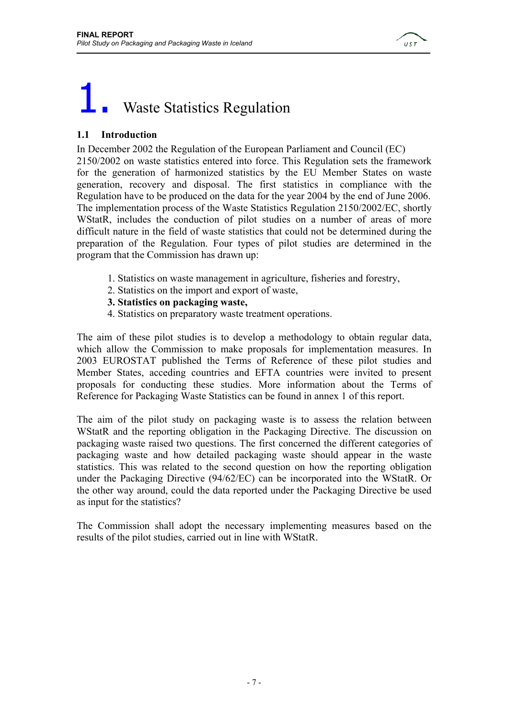

# **Waste Statistics Regulation**

#### **1.1 Introduction**

In December 2002 the Regulation of the European Parliament and Council (EC) 2150/2002 on waste statistics entered into force. This Regulation sets the framework for the generation of harmonized statistics by the EU Member States on waste generation, recovery and disposal. The first statistics in compliance with the Regulation have to be produced on the data for the year 2004 by the end of June 2006. The implementation process of the Waste Statistics Regulation 2150/2002/EC, shortly WStatR, includes the conduction of pilot studies on a number of areas of more difficult nature in the field of waste statistics that could not be determined during the preparation of the Regulation. Four types of pilot studies are determined in the program that the Commission has drawn up:

- 1. Statistics on waste management in agriculture, fisheries and forestry,
- 2. Statistics on the import and export of waste,
- **3. Statistics on packaging waste,**
- 4. Statistics on preparatory waste treatment operations.

The aim of these pilot studies is to develop a methodology to obtain regular data, which allow the Commission to make proposals for implementation measures. In 2003 EUROSTAT published the Terms of Reference of these pilot studies and Member States, acceding countries and EFTA countries were invited to present proposals for conducting these studies. More information about the Terms of Reference for Packaging Waste Statistics can be found in annex 1 of this report.

The aim of the pilot study on packaging waste is to assess the relation between WStatR and the reporting obligation in the Packaging Directive. The discussion on packaging waste raised two questions. The first concerned the different categories of packaging waste and how detailed packaging waste should appear in the waste statistics. This was related to the second question on how the reporting obligation under the Packaging Directive (94/62/EC) can be incorporated into the WStatR. Or the other way around, could the data reported under the Packaging Directive be used as input for the statistics?

The Commission shall adopt the necessary implementing measures based on the results of the pilot studies, carried out in line with WStatR.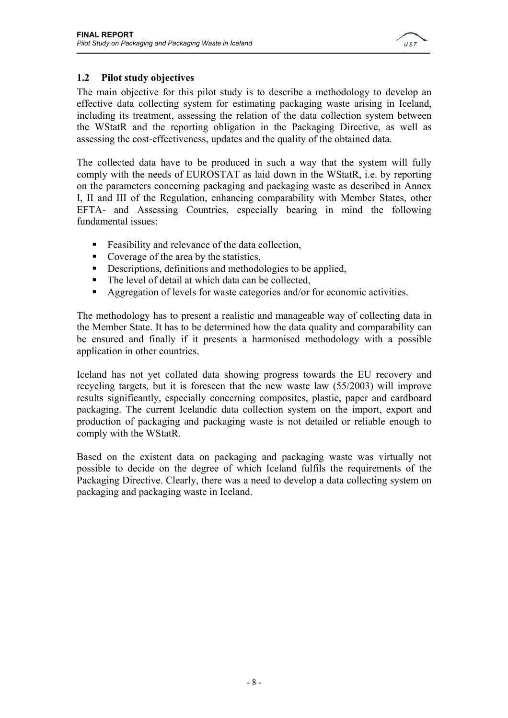

#### **1.2 Pilot study objectives**

The main objective for this pilot study is to describe a methodology to develop an effective data collecting system for estimating packaging waste arising in Iceland, including its treatment, assessing the relation of the data collection system between the WStatR and the reporting obligation in the Packaging Directive, as well as assessing the cost-effectiveness, updates and the quality of the obtained data.

The collected data have to be produced in such a way that the system will fully comply with the needs of EUROSTAT as laid down in the WStatR, i.e. by reporting on the parameters concerning packaging and packaging waste as described in Annex I, II and III of the Regulation, enhancing comparability with Member States, other EFTA- and Assessing Countries, especially bearing in mind the following fundamental issues:

- Feasibility and relevance of the data collection,
- Coverage of the area by the statistics,
- Descriptions, definitions and methodologies to be applied,
- The level of detail at which data can be collected,
- Aggregation of levels for waste categories and/or for economic activities.

The methodology has to present a realistic and manageable way of collecting data in the Member State. It has to be determined how the data quality and comparability can be ensured and finally if it presents a harmonised methodology with a possible application in other countries.

Iceland has not yet collated data showing progress towards the EU recovery and recycling targets, but it is foreseen that the new waste law (55/2003) will improve results significantly, especially concerning composites, plastic, paper and cardboard packaging. The current Icelandic data collection system on the import, export and production of packaging and packaging waste is not detailed or reliable enough to comply with the WStatR.

Based on the existent data on packaging and packaging waste was virtually not possible to decide on the degree of which Iceland fulfils the requirements of the Packaging Directive. Clearly, there was a need to develop a data collecting system on packaging and packaging waste in Iceland.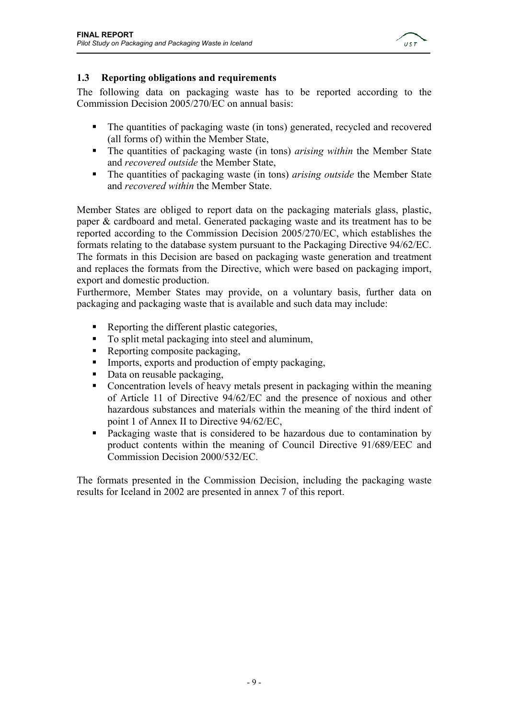

#### **1.3 Reporting obligations and requirements**

The following data on packaging waste has to be reported according to the Commission Decision 2005/270/EC on annual basis:

- The quantities of packaging waste (in tons) generated, recycled and recovered (all forms of) within the Member State,
- The quantities of packaging waste (in tons) *arising within* the Member State and *recovered outside* the Member State,
- The quantities of packaging waste (in tons) *arising outside* the Member State and *recovered within* the Member State.

Member States are obliged to report data on the packaging materials glass, plastic, paper & cardboard and metal. Generated packaging waste and its treatment has to be reported according to the Commission Decision 2005/270/EC, which establishes the formats relating to the database system pursuant to the Packaging Directive 94/62/EC. The formats in this Decision are based on packaging waste generation and treatment and replaces the formats from the Directive, which were based on packaging import, export and domestic production.

Furthermore, Member States may provide, on a voluntary basis, further data on packaging and packaging waste that is available and such data may include:

- Reporting the different plastic categories,
- To split metal packaging into steel and aluminum,
- Reporting composite packaging,
- Imports, exports and production of empty packaging,
- Data on reusable packaging,
- Concentration levels of heavy metals present in packaging within the meaning of Article 11 of Directive 94/62/EC and the presence of noxious and other hazardous substances and materials within the meaning of the third indent of point 1 of Annex II to Directive 94/62/EC,
- Packaging waste that is considered to be hazardous due to contamination by product contents within the meaning of Council Directive 91/689/EEC and Commission Decision 2000/532/EC.

The formats presented in the Commission Decision, including the packaging waste results for Iceland in 2002 are presented in annex 7 of this report.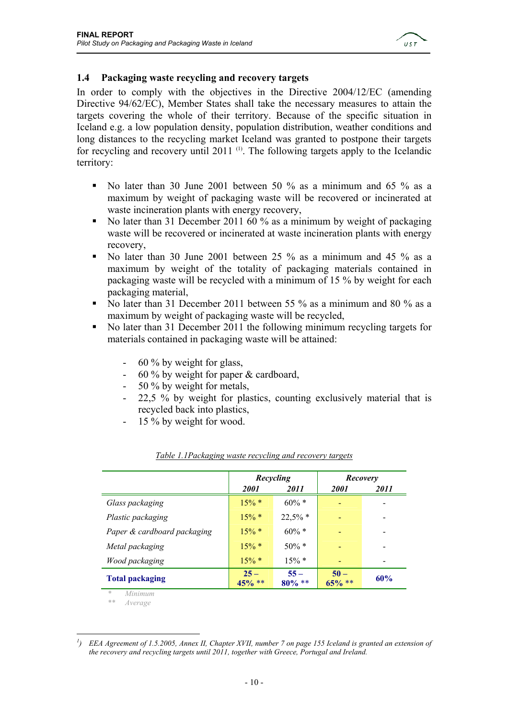

#### **1.4 Packaging waste recycling and recovery targets**

In order to comply with the objectives in the Directive 2004/12/EC (amending Directive 94/62/EC), Member States shall take the necessary measures to attain the targets covering the whole of their territory. Because of the specific situation in Iceland e.g. a low population density, population distribution, weather conditions and long distances to the recycling market Iceland was granted to postpone their targets for recycling and recovery until  $2011$ <sup>(1)</sup>. The following targets apply to the Icelandic territory:

- No later than 30 June 2001 between 50 % as a minimum and 65 % as a maximum by weight of packaging waste will be recovered or incinerated at waste incineration plants with energy recovery,
- No later than 31 December 2011 60  $\%$  as a minimum by weight of packaging waste will be recovered or incinerated at waste incineration plants with energy recovery,
- No later than 30 June 2001 between 25 % as a minimum and 45 % as a maximum by weight of the totality of packaging materials contained in packaging waste will be recycled with a minimum of 15 % by weight for each packaging material,
- No later than 31 December 2011 between 55 % as a minimum and 80 % as a maximum by weight of packaging waste will be recycled,
- No later than 31 December 2011 the following minimum recycling targets for materials contained in packaging waste will be attained:
	- 60 % by weight for glass,
	- 60 % by weight for paper & cardboard,
	- 50 % by weight for metals,
	- 22,5 % by weight for plastics, counting exclusively material that is recycled back into plastics,
	- 15 % by weight for wood.

|                             | Recycling           |                      | Recovery            |             |
|-----------------------------|---------------------|----------------------|---------------------|-------------|
|                             | 2001                | 2011                 | <i>2001</i>         | <i>2011</i> |
| Glass packaging             | $15\% *$            | $60\% *$             |                     |             |
| Plastic packaging           | $15\% *$            | $22,5%$ *            |                     |             |
| Paper & cardboard packaging | $15\% *$            | $60\% *$             |                     |             |
| Metal packaging             | $15\% *$            | $50\% *$             |                     |             |
| Wood packaging              | $15\% *$            | $15\% *$             |                     |             |
| <b>Total packaging</b>      | $25 -$<br>$45\%$ ** | $55 -$<br>$80\% * *$ | $50 -$<br>$65\%$ ** | 60%         |

| Table 1.1 Packaging waste recycling and recovery targets |  |  |
|----------------------------------------------------------|--|--|
|                                                          |  |  |

*\* Minimum* 

 $A$ *verage* 

 $\overline{a}$  $<sup>1</sup>$ ) EEA Agreement of 1.5.2005, Annex II, Chapter XVII, number 7 on page 155 Iceland is granted an extension of</sup> *the recovery and recycling targets until 2011, together with Greece, Portugal and Ireland.*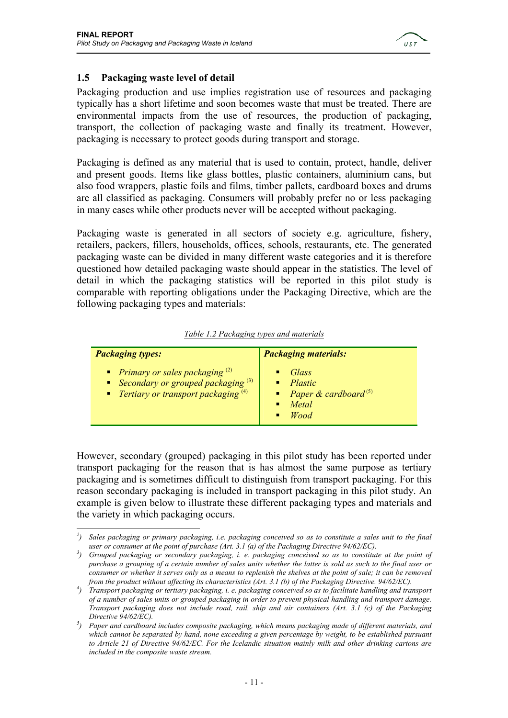

#### **1.5 Packaging waste level of detail**

Packaging production and use implies registration use of resources and packaging typically has a short lifetime and soon becomes waste that must be treated. There are environmental impacts from the use of resources, the production of packaging, transport, the collection of packaging waste and finally its treatment. However, packaging is necessary to protect goods during transport and storage.

Packaging is defined as any material that is used to contain, protect, handle, deliver and present goods. Items like glass bottles, plastic containers, aluminium cans, but also food wrappers, plastic foils and films, timber pallets, cardboard boxes and drums are all classified as packaging. Consumers will probably prefer no or less packaging in many cases while other products never will be accepted without packaging.

Packaging waste is generated in all sectors of society e.g. agriculture, fishery, retailers, packers, fillers, households, offices, schools, restaurants, etc. The generated packaging waste can be divided in many different waste categories and it is therefore questioned how detailed packaging waste should appear in the statistics. The level of detail in which the packaging statistics will be reported in this pilot study is comparable with reporting obligations under the Packaging Directive, which are the following packaging types and materials:

|  |  | Table 1.2 Packaging types and materials |
|--|--|-----------------------------------------|
|  |  |                                         |

| <b>Packaging types:</b>                                                                                                    | <b>Packaging materials:</b>                                                    |
|----------------------------------------------------------------------------------------------------------------------------|--------------------------------------------------------------------------------|
| Primary or sales packaging $(2)$<br>Secondary or grouped packaging $(3)$<br><b>•</b> Tertiary or transport packaging $(4)$ | Glass<br>Plastic<br>• Paper & cardboard <sup>(5)</sup><br>Metal<br><b>Wood</b> |

However, secondary (grouped) packaging in this pilot study has been reported under transport packaging for the reason that is has almost the same purpose as tertiary packaging and is sometimes difficult to distinguish from transport packaging. For this reason secondary packaging is included in transport packaging in this pilot study. An example is given below to illustrate these different packaging types and materials and the variety in which packaging occurs.

 $\overline{a}$ <sup>2</sup>) Sales packaging or primary packaging, i.e. packaging conceived so as to constitute a sales unit to the final *user or consumer at the point of purchase (Art. 3.1 (a) of the Packaging Directive 94/62/EC).* 

<sup>&</sup>lt;sup>3</sup>) Grouped packaging or secondary packaging, i. e. packaging conceived so as to constitute at the point of *purchase a grouping of a certain number of sales units whether the latter is sold as such to the final user or consumer or whether it serves only as a means to replenish the shelves at the point of sale; it can be removed from the product without affecting its characteristics (Art. 3.1 (b) of the Packaging Directive. 94/62/EC).* 

*<sup>)</sup> Transport packaging or tertiary packaging, i. e. packaging conceived so as to facilitate handling and transport of a number of sales units or grouped packaging in order to prevent physical handling and transport damage. Transport packaging does not include road, rail, ship and air containers (Art. 3.1 (c) of the Packaging Directive 94/62/EC).* 

*<sup>)</sup> Paper and cardboard includes composite packaging, which means packaging made of different materials, and which cannot be separated by hand, none exceeding a given percentage by weight, to be established pursuant to Article 21 of Directive 94/62/EC. For the Icelandic situation mainly milk and other drinking cartons are included in the composite waste stream.*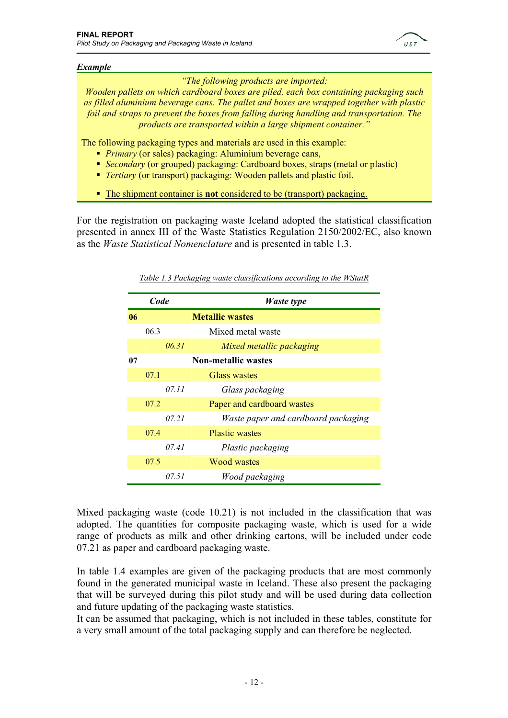

#### *Example*

*"The following products are imported:* 

*Wooden pallets on which cardboard boxes are piled, each box containing packaging such as filled aluminium beverage cans. The pallet and boxes are wrapped together with plastic foil and straps to prevent the boxes from falling during handling and transportation. The products are transported within a large shipment container."* 

The following packaging types and materials are used in this example:

- *Primary* (or sales) packaging: Aluminium beverage cans,
- *Secondary* (or grouped) packaging: Cardboard boxes, straps (metal or plastic)
- *Tertiary* (or transport) packaging: Wooden pallets and plastic foil.
- The shipment container is **not** considered to be (transport) packaging.

For the registration on packaging waste Iceland adopted the statistical classification presented in annex III of the Waste Statistics Regulation 2150/2002/EC, also known as the *Waste Statistical Nomenclature* and is presented in table 1.3.

| Code |      |       | <b>Waste type</b>                   |
|------|------|-------|-------------------------------------|
| 06   |      |       | <b>Metallic wastes</b>              |
|      | 06.3 |       | Mixed metal waste                   |
|      |      | 06.31 | Mixed metallic packaging            |
| 07   |      |       | <b>Non-metallic wastes</b>          |
|      | 07.1 |       | Glass wastes                        |
|      |      | 07.11 | Glass packaging                     |
|      | 07.2 |       | Paper and cardboard wastes          |
|      |      | 07.21 | Waste paper and cardboard packaging |
|      | 07.4 |       | <b>Plastic wastes</b>               |
|      |      | 07.41 | Plastic packaging                   |
|      | 07.5 |       | <b>Wood wastes</b>                  |
|      |      | 07.51 | Wood packaging                      |

*Table 1.3 Packaging waste classifications according to the WStatR*

Mixed packaging waste (code 10.21) is not included in the classification that was adopted. The quantities for composite packaging waste, which is used for a wide range of products as milk and other drinking cartons, will be included under code 07.21 as paper and cardboard packaging waste.

In table 1.4 examples are given of the packaging products that are most commonly found in the generated municipal waste in Iceland. These also present the packaging that will be surveyed during this pilot study and will be used during data collection and future updating of the packaging waste statistics.

It can be assumed that packaging, which is not included in these tables, constitute for a very small amount of the total packaging supply and can therefore be neglected.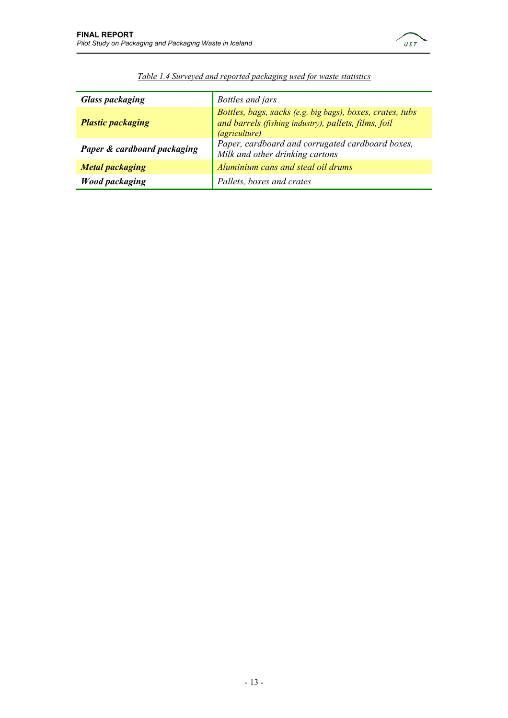

| <b>Glass packaging</b>      | Bottles and jars                                                                                                                          |
|-----------------------------|-------------------------------------------------------------------------------------------------------------------------------------------|
| <b>Plastic packaging</b>    | Bottles, bags, sacks (e.g. big bags), boxes, crates, tubs<br>and barrels (fishing industry), pallets, films, foil<br><i>(agriculture)</i> |
| Paper & cardboard packaging | Paper, cardboard and corrugated cardboard boxes,<br>Milk and other drinking cartons                                                       |
| <b>Metal packaging</b>      | Aluminium cans and steal oil drums                                                                                                        |
| <b>Wood packaging</b>       | Pallets, boxes and crates                                                                                                                 |

| Table 1.4 Surveyed and reported packaging used for waste statistics |  |  |  |
|---------------------------------------------------------------------|--|--|--|
|                                                                     |  |  |  |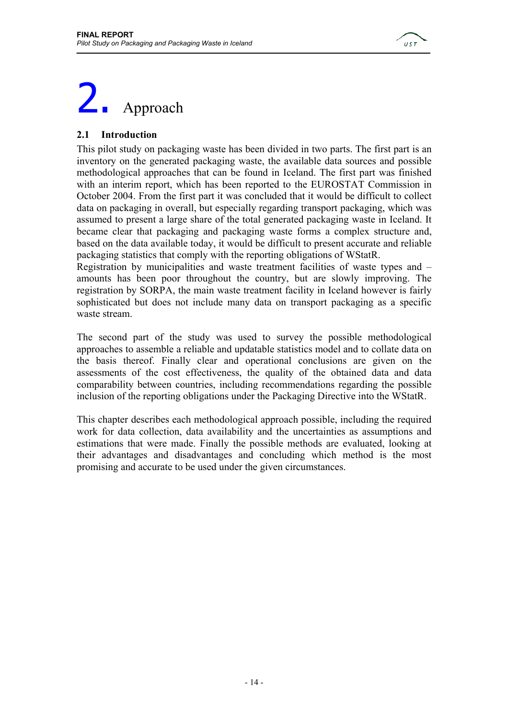

# 2. Approach

#### **2.1 Introduction**

This pilot study on packaging waste has been divided in two parts. The first part is an inventory on the generated packaging waste, the available data sources and possible methodological approaches that can be found in Iceland. The first part was finished with an interim report, which has been reported to the EUROSTAT Commission in October 2004. From the first part it was concluded that it would be difficult to collect data on packaging in overall, but especially regarding transport packaging, which was assumed to present a large share of the total generated packaging waste in Iceland. It became clear that packaging and packaging waste forms a complex structure and, based on the data available today, it would be difficult to present accurate and reliable packaging statistics that comply with the reporting obligations of WStatR.

Registration by municipalities and waste treatment facilities of waste types and – amounts has been poor throughout the country, but are slowly improving. The registration by SORPA, the main waste treatment facility in Iceland however is fairly sophisticated but does not include many data on transport packaging as a specific waste stream.

The second part of the study was used to survey the possible methodological approaches to assemble a reliable and updatable statistics model and to collate data on the basis thereof. Finally clear and operational conclusions are given on the assessments of the cost effectiveness, the quality of the obtained data and data comparability between countries, including recommendations regarding the possible inclusion of the reporting obligations under the Packaging Directive into the WStatR.

This chapter describes each methodological approach possible, including the required work for data collection, data availability and the uncertainties as assumptions and estimations that were made. Finally the possible methods are evaluated, looking at their advantages and disadvantages and concluding which method is the most promising and accurate to be used under the given circumstances.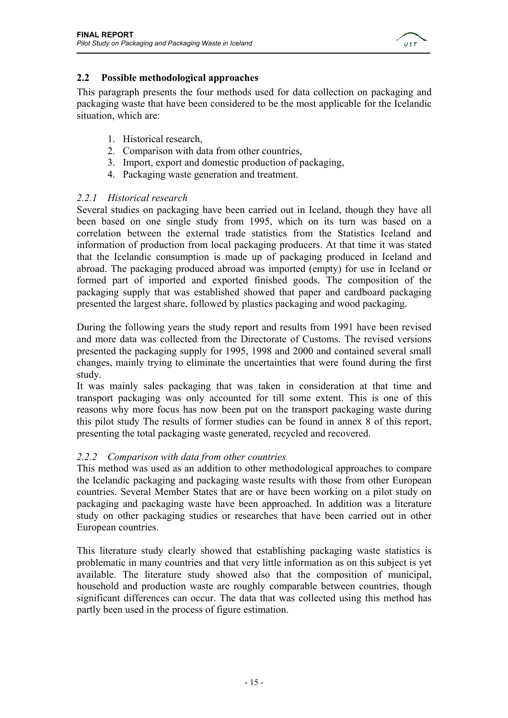

#### **2.2 Possible methodological approaches**

This paragraph presents the four methods used for data collection on packaging and packaging waste that have been considered to be the most applicable for the Icelandic situation, which are:

- 1. Historical research,
- 2. Comparison with data from other countries,
- 3. Import, export and domestic production of packaging,
- 4. Packaging waste generation and treatment.

#### *2.2.1 Historical research*

Several studies on packaging have been carried out in Iceland, though they have all been based on one single study from 1995, which on its turn was based on a correlation between the external trade statistics from the Statistics Iceland and information of production from local packaging producers. At that time it was stated that the Icelandic consumption is made up of packaging produced in Iceland and abroad. The packaging produced abroad was imported (empty) for use in Iceland or formed part of imported and exported finished goods. The composition of the packaging supply that was established showed that paper and cardboard packaging presented the largest share, followed by plastics packaging and wood packaging.

During the following years the study report and results from 1991 have been revised and more data was collected from the Directorate of Customs. The revised versions presented the packaging supply for 1995, 1998 and 2000 and contained several small changes, mainly trying to eliminate the uncertainties that were found during the first study.

It was mainly sales packaging that was taken in consideration at that time and transport packaging was only accounted for till some extent. This is one of this reasons why more focus has now been put on the transport packaging waste during this pilot study The results of former studies can be found in annex 8 of this report, presenting the total packaging waste generated, recycled and recovered.

#### *2.2.2 Comparison with data from other countries*

This method was used as an addition to other methodological approaches to compare the Icelandic packaging and packaging waste results with those from other European countries. Several Member States that are or have been working on a pilot study on packaging and packaging waste have been approached. In addition was a literature study on other packaging studies or researches that have been carried out in other European countries.

This literature study clearly showed that establishing packaging waste statistics is problematic in many countries and that very little information as on this subject is yet available. The literature study showed also that the composition of municipal, household and production waste are roughly comparable between countries, though significant differences can occur. The data that was collected using this method has partly been used in the process of figure estimation.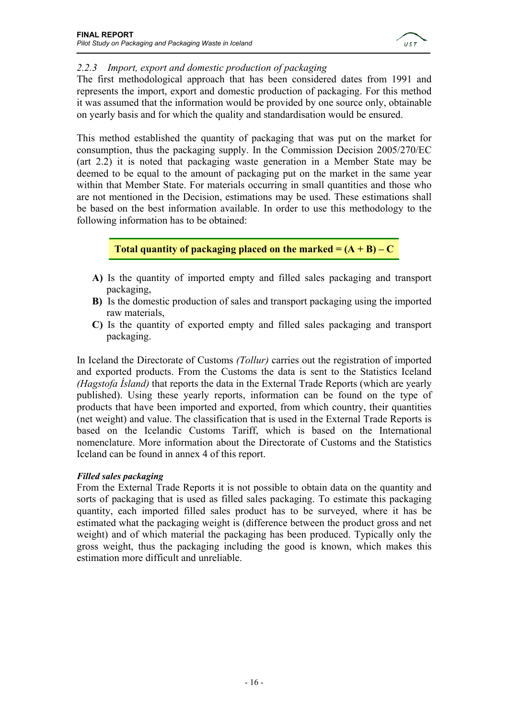

#### *2.2.3 Import, export and domestic production of packaging*

The first methodological approach that has been considered dates from 1991 and represents the import, export and domestic production of packaging. For this method it was assumed that the information would be provided by one source only, obtainable on yearly basis and for which the quality and standardisation would be ensured.

This method established the quantity of packaging that was put on the market for consumption, thus the packaging supply. In the Commission Decision 2005/270/EC (art 2.2) it is noted that packaging waste generation in a Member State may be deemed to be equal to the amount of packaging put on the market in the same year within that Member State. For materials occurring in small quantities and those who are not mentioned in the Decision, estimations may be used. These estimations shall be based on the best information available. In order to use this methodology to the following information has to be obtained:

#### **Total quantity of packaging placed on the marked**  $= (A + B) - C$

- **A)** Is the quantity of imported empty and filled sales packaging and transport packaging,
- **B)** Is the domestic production of sales and transport packaging using the imported raw materials,
- **C)** Is the quantity of exported empty and filled sales packaging and transport packaging.

In Iceland the Directorate of Customs *(Tollur)* carries out the registration of imported and exported products. From the Customs the data is sent to the Statistics Iceland *(Hagstofa Ísland)* that reports the data in the External Trade Reports (which are yearly published). Using these yearly reports, information can be found on the type of products that have been imported and exported, from which country, their quantities (net weight) and value. The classification that is used in the External Trade Reports is based on the Icelandic Customs Tariff, which is based on the International nomenclature. More information about the Directorate of Customs and the Statistics Iceland can be found in annex 4 of this report.

#### *Filled sales packaging*

From the External Trade Reports it is not possible to obtain data on the quantity and sorts of packaging that is used as filled sales packaging. To estimate this packaging quantity, each imported filled sales product has to be surveyed, where it has be estimated what the packaging weight is (difference between the product gross and net weight) and of which material the packaging has been produced. Typically only the gross weight, thus the packaging including the good is known, which makes this estimation more difficult and unreliable.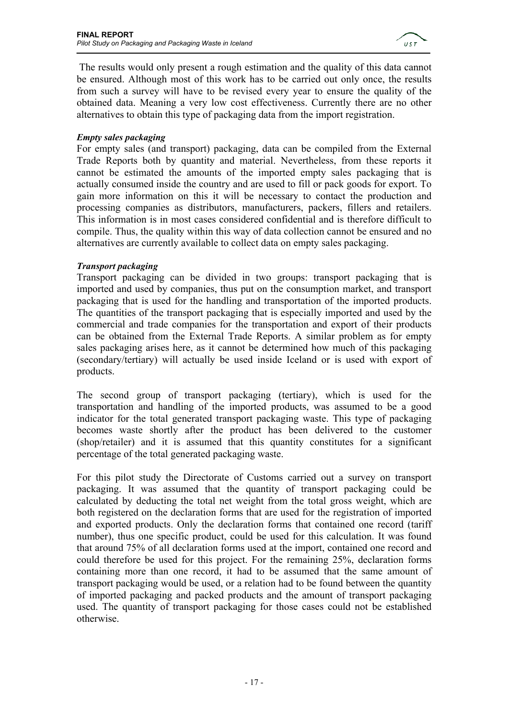

 The results would only present a rough estimation and the quality of this data cannot be ensured. Although most of this work has to be carried out only once, the results from such a survey will have to be revised every year to ensure the quality of the obtained data. Meaning a very low cost effectiveness. Currently there are no other alternatives to obtain this type of packaging data from the import registration.

#### *Empty sales packaging*

For empty sales (and transport) packaging, data can be compiled from the External Trade Reports both by quantity and material. Nevertheless, from these reports it cannot be estimated the amounts of the imported empty sales packaging that is actually consumed inside the country and are used to fill or pack goods for export. To gain more information on this it will be necessary to contact the production and processing companies as distributors, manufacturers, packers, fillers and retailers. This information is in most cases considered confidential and is therefore difficult to compile. Thus, the quality within this way of data collection cannot be ensured and no alternatives are currently available to collect data on empty sales packaging.

#### *Transport packaging*

Transport packaging can be divided in two groups: transport packaging that is imported and used by companies, thus put on the consumption market, and transport packaging that is used for the handling and transportation of the imported products. The quantities of the transport packaging that is especially imported and used by the commercial and trade companies for the transportation and export of their products can be obtained from the External Trade Reports. A similar problem as for empty sales packaging arises here, as it cannot be determined how much of this packaging (secondary/tertiary) will actually be used inside Iceland or is used with export of products.

The second group of transport packaging (tertiary), which is used for the transportation and handling of the imported products, was assumed to be a good indicator for the total generated transport packaging waste. This type of packaging becomes waste shortly after the product has been delivered to the customer (shop/retailer) and it is assumed that this quantity constitutes for a significant percentage of the total generated packaging waste.

For this pilot study the Directorate of Customs carried out a survey on transport packaging. It was assumed that the quantity of transport packaging could be calculated by deducting the total net weight from the total gross weight, which are both registered on the declaration forms that are used for the registration of imported and exported products. Only the declaration forms that contained one record (tariff number), thus one specific product, could be used for this calculation. It was found that around 75% of all declaration forms used at the import, contained one record and could therefore be used for this project. For the remaining 25%, declaration forms containing more than one record, it had to be assumed that the same amount of transport packaging would be used, or a relation had to be found between the quantity of imported packaging and packed products and the amount of transport packaging used. The quantity of transport packaging for those cases could not be established otherwise.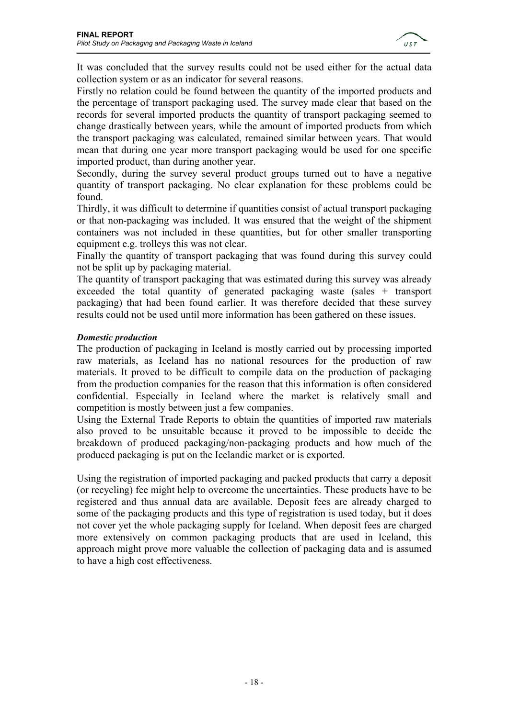

It was concluded that the survey results could not be used either for the actual data collection system or as an indicator for several reasons.

Firstly no relation could be found between the quantity of the imported products and the percentage of transport packaging used. The survey made clear that based on the records for several imported products the quantity of transport packaging seemed to change drastically between years, while the amount of imported products from which the transport packaging was calculated, remained similar between years. That would mean that during one year more transport packaging would be used for one specific imported product, than during another year.

Secondly, during the survey several product groups turned out to have a negative quantity of transport packaging. No clear explanation for these problems could be found.

Thirdly, it was difficult to determine if quantities consist of actual transport packaging or that non-packaging was included. It was ensured that the weight of the shipment containers was not included in these quantities, but for other smaller transporting equipment e.g. trolleys this was not clear.

Finally the quantity of transport packaging that was found during this survey could not be split up by packaging material.

The quantity of transport packaging that was estimated during this survey was already exceeded the total quantity of generated packaging waste (sales + transport packaging) that had been found earlier. It was therefore decided that these survey results could not be used until more information has been gathered on these issues.

#### *Domestic production*

The production of packaging in Iceland is mostly carried out by processing imported raw materials, as Iceland has no national resources for the production of raw materials. It proved to be difficult to compile data on the production of packaging from the production companies for the reason that this information is often considered confidential. Especially in Iceland where the market is relatively small and competition is mostly between just a few companies.

Using the External Trade Reports to obtain the quantities of imported raw materials also proved to be unsuitable because it proved to be impossible to decide the breakdown of produced packaging/non-packaging products and how much of the produced packaging is put on the Icelandic market or is exported.

Using the registration of imported packaging and packed products that carry a deposit (or recycling) fee might help to overcome the uncertainties. These products have to be registered and thus annual data are available. Deposit fees are already charged to some of the packaging products and this type of registration is used today, but it does not cover yet the whole packaging supply for Iceland. When deposit fees are charged more extensively on common packaging products that are used in Iceland, this approach might prove more valuable the collection of packaging data and is assumed to have a high cost effectiveness.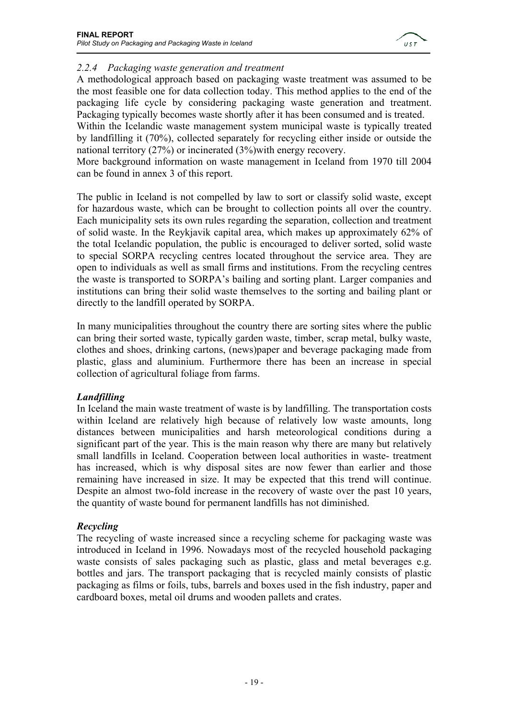

#### *2.2.4 Packaging waste generation and treatment*

A methodological approach based on packaging waste treatment was assumed to be the most feasible one for data collection today. This method applies to the end of the packaging life cycle by considering packaging waste generation and treatment. Packaging typically becomes waste shortly after it has been consumed and is treated.

Within the Icelandic waste management system municipal waste is typically treated by landfilling it (70%), collected separately for recycling either inside or outside the national territory (27%) or incinerated (3%)with energy recovery.

More background information on waste management in Iceland from 1970 till 2004 can be found in annex 3 of this report.

The public in Iceland is not compelled by law to sort or classify solid waste, except for hazardous waste, which can be brought to collection points all over the country. Each municipality sets its own rules regarding the separation, collection and treatment of solid waste. In the Reykjavik capital area, which makes up approximately 62% of the total Icelandic population, the public is encouraged to deliver sorted, solid waste to special SORPA recycling centres located throughout the service area. They are open to individuals as well as small firms and institutions. From the recycling centres the waste is transported to SORPA's bailing and sorting plant. Larger companies and institutions can bring their solid waste themselves to the sorting and bailing plant or directly to the landfill operated by SORPA.

In many municipalities throughout the country there are sorting sites where the public can bring their sorted waste, typically garden waste, timber, scrap metal, bulky waste, clothes and shoes, drinking cartons, (news)paper and beverage packaging made from plastic, glass and aluminium. Furthermore there has been an increase in special collection of agricultural foliage from farms.

#### *Landfilling*

In Iceland the main waste treatment of waste is by landfilling. The transportation costs within Iceland are relatively high because of relatively low waste amounts, long distances between municipalities and harsh meteorological conditions during a significant part of the year. This is the main reason why there are many but relatively small landfills in Iceland. Cooperation between local authorities in waste- treatment has increased, which is why disposal sites are now fewer than earlier and those remaining have increased in size. It may be expected that this trend will continue. Despite an almost two-fold increase in the recovery of waste over the past 10 years, the quantity of waste bound for permanent landfills has not diminished.

#### *Recycling*

The recycling of waste increased since a recycling scheme for packaging waste was introduced in Iceland in 1996. Nowadays most of the recycled household packaging waste consists of sales packaging such as plastic, glass and metal beverages e.g. bottles and jars. The transport packaging that is recycled mainly consists of plastic packaging as films or foils, tubs, barrels and boxes used in the fish industry, paper and cardboard boxes, metal oil drums and wooden pallets and crates.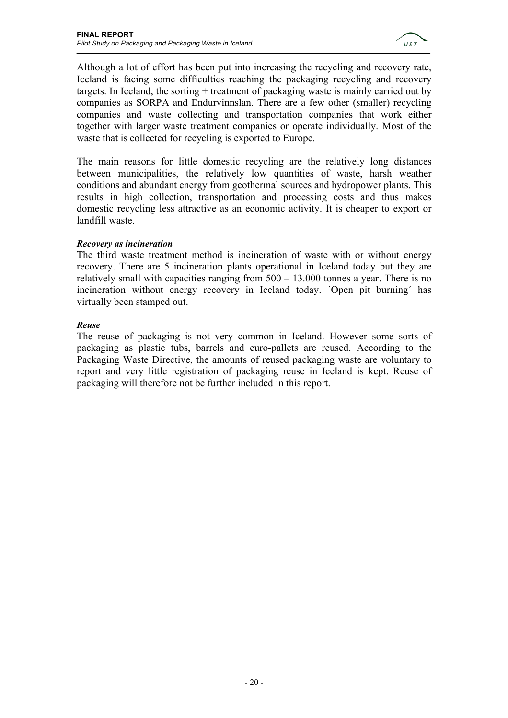

Although a lot of effort has been put into increasing the recycling and recovery rate, Iceland is facing some difficulties reaching the packaging recycling and recovery targets. In Iceland, the sorting + treatment of packaging waste is mainly carried out by companies as SORPA and Endurvinnslan. There are a few other (smaller) recycling companies and waste collecting and transportation companies that work either together with larger waste treatment companies or operate individually. Most of the waste that is collected for recycling is exported to Europe.

The main reasons for little domestic recycling are the relatively long distances between municipalities, the relatively low quantities of waste, harsh weather conditions and abundant energy from geothermal sources and hydropower plants. This results in high collection, transportation and processing costs and thus makes domestic recycling less attractive as an economic activity. It is cheaper to export or landfill waste.

#### *Recovery as incineration*

The third waste treatment method is incineration of waste with or without energy recovery. There are 5 incineration plants operational in Iceland today but they are relatively small with capacities ranging from 500 – 13.000 tonnes a year. There is no incineration without energy recovery in Iceland today. ´Open pit burning´ has virtually been stamped out.

#### *Reuse*

The reuse of packaging is not very common in Iceland. However some sorts of packaging as plastic tubs, barrels and euro-pallets are reused. According to the Packaging Waste Directive, the amounts of reused packaging waste are voluntary to report and very little registration of packaging reuse in Iceland is kept. Reuse of packaging will therefore not be further included in this report.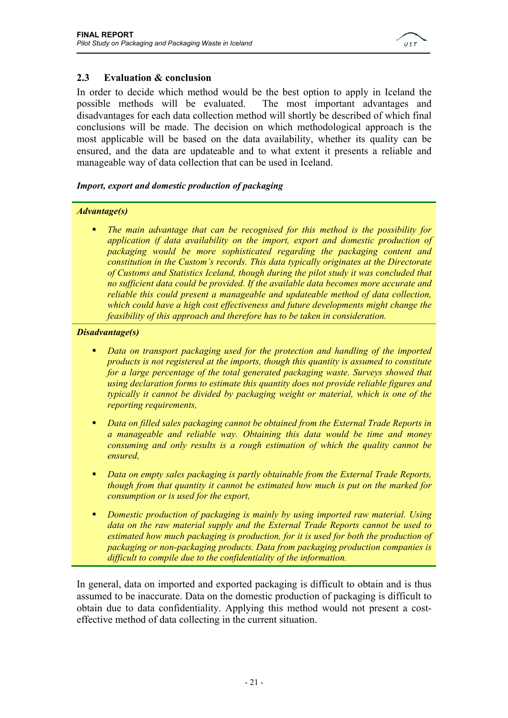

#### **2.3 Evaluation & conclusion**

In order to decide which method would be the best option to apply in Iceland the possible methods will be evaluated. The most important advantages and disadvantages for each data collection method will shortly be described of which final conclusions will be made. The decision on which methodological approach is the most applicable will be based on the data availability, whether its quality can be ensured, and the data are updateable and to what extent it presents a reliable and manageable way of data collection that can be used in Iceland.

#### *Import, export and domestic production of packaging*

#### *Advantage(s)*

 *The main advantage that can be recognised for this method is the possibility for application if data availability on the import, export and domestic production of packaging would be more sophisticated regarding the packaging content and constitution in the Custom's records. This data typically originates at the Directorate of Customs and Statistics Iceland, though during the pilot study it was concluded that no sufficient data could be provided. If the available data becomes more accurate and reliable this could present a manageable and updateable method of data collection, which could have a high cost effectiveness and future developments might change the feasibility of this approach and therefore has to be taken in consideration.* 

#### *Disadvantage(s)*

- *Data on transport packaging used for the protection and handling of the imported products is not registered at the imports, though this quantity is assumed to constitute for a large percentage of the total generated packaging waste. Surveys showed that using declaration forms to estimate this quantity does not provide reliable figures and typically it cannot be divided by packaging weight or material, which is one of the reporting requirements,*
- *Data on filled sales packaging cannot be obtained from the External Trade Reports in a manageable and reliable way. Obtaining this data would be time and money consuming and only results is a rough estimation of which the quality cannot be ensured,*
- *Data on empty sales packaging is partly obtainable from the External Trade Reports, though from that quantity it cannot be estimated how much is put on the marked for consumption or is used for the export,*
- *Domestic production of packaging is mainly by using imported raw material. Using data on the raw material supply and the External Trade Reports cannot be used to estimated how much packaging is production, for it is used for both the production of packaging or non-packaging products. Data from packaging production companies is difficult to compile due to the confidentiality of the information.*

In general, data on imported and exported packaging is difficult to obtain and is thus assumed to be inaccurate. Data on the domestic production of packaging is difficult to obtain due to data confidentiality. Applying this method would not present a costeffective method of data collecting in the current situation.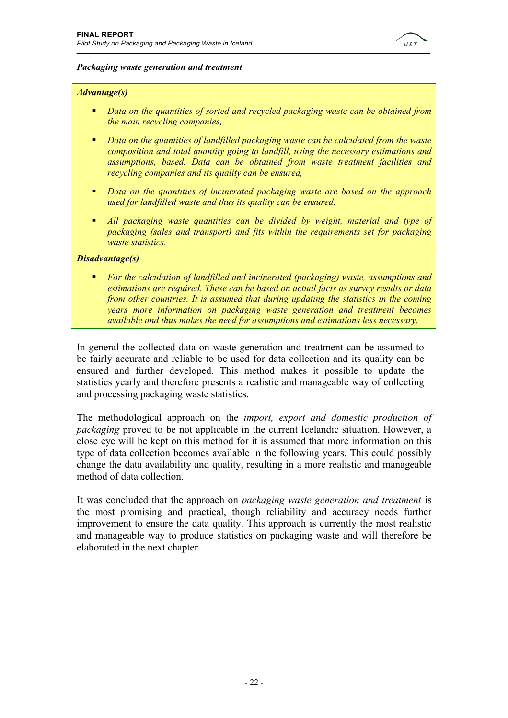

#### *Packaging waste generation and treatment*

#### *Advantage(s)*

- *Data on the quantities of sorted and recycled packaging waste can be obtained from the main recycling companies,*
- *Data on the quantities of landfilled packaging waste can be calculated from the waste composition and total quantity going to landfill, using the necessary estimations and assumptions, based. Data can be obtained from waste treatment facilities and recycling companies and its quality can be ensured,*
- *Data on the quantities of incinerated packaging waste are based on the approach used for landfilled waste and thus its quality can be ensured,*
- *All packaging waste quantities can be divided by weight, material and type of packaging (sales and transport) and fits within the requirements set for packaging waste statistics.*

#### *Disadvantage(s)*

 *For the calculation of landfilled and incinerated (packaging) waste, assumptions and estimations are required. These can be based on actual facts as survey results or data from other countries. It is assumed that during updating the statistics in the coming years more information on packaging waste generation and treatment becomes available and thus makes the need for assumptions and estimations less necessary.* 

In general the collected data on waste generation and treatment can be assumed to be fairly accurate and reliable to be used for data collection and its quality can be ensured and further developed. This method makes it possible to update the statistics yearly and therefore presents a realistic and manageable way of collecting and processing packaging waste statistics.

The methodological approach on the *import, export and domestic production of packaging* proved to be not applicable in the current Icelandic situation. However, a close eye will be kept on this method for it is assumed that more information on this type of data collection becomes available in the following years. This could possibly change the data availability and quality, resulting in a more realistic and manageable method of data collection.

It was concluded that the approach on *packaging waste generation and treatment* is the most promising and practical, though reliability and accuracy needs further improvement to ensure the data quality. This approach is currently the most realistic and manageable way to produce statistics on packaging waste and will therefore be elaborated in the next chapter.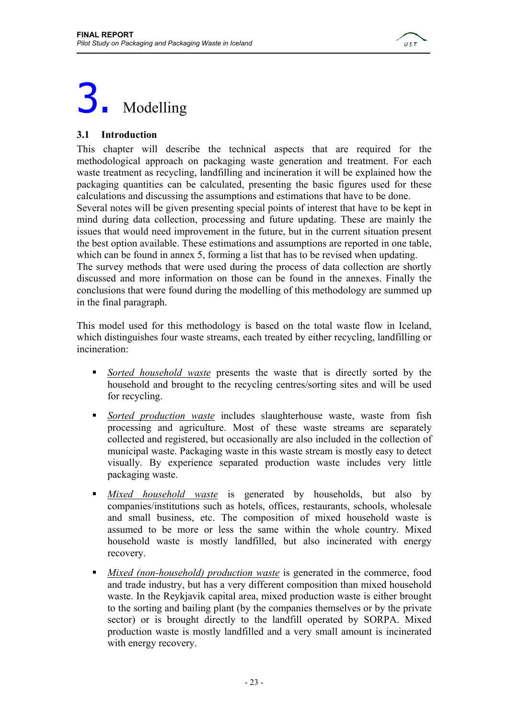

# 3. Modelling

#### **3.1 Introduction**

This chapter will describe the technical aspects that are required for the methodological approach on packaging waste generation and treatment. For each waste treatment as recycling, landfilling and incineration it will be explained how the packaging quantities can be calculated, presenting the basic figures used for these calculations and discussing the assumptions and estimations that have to be done. Several notes will be given presenting special points of interest that have to be kept in mind during data collection, processing and future updating. These are mainly the issues that would need improvement in the future, but in the current situation present the best option available. These estimations and assumptions are reported in one table, which can be found in annex 5, forming a list that has to be revised when updating. The survey methods that were used during the process of data collection are shortly discussed and more information on those can be found in the annexes. Finally the conclusions that were found during the modelling of this methodology are summed up in the final paragraph.

This model used for this methodology is based on the total waste flow in Iceland, which distinguishes four waste streams, each treated by either recycling, landfilling or incineration:

- *Sorted household waste* presents the waste that is directly sorted by the household and brought to the recycling centres/sorting sites and will be used for recycling.
- *Sorted production waste* includes slaughterhouse waste, waste from fish processing and agriculture. Most of these waste streams are separately collected and registered, but occasionally are also included in the collection of municipal waste. Packaging waste in this waste stream is mostly easy to detect visually. By experience separated production waste includes very little packaging waste.
- *Mixed household waste* is generated by households, but also by companies/institutions such as hotels, offices, restaurants, schools, wholesale and small business, etc. The composition of mixed household waste is assumed to be more or less the same within the whole country. Mixed household waste is mostly landfilled, but also incinerated with energy recovery.
- *Mixed (non-household) production waste* is generated in the commerce, food and trade industry, but has a very different composition than mixed household waste. In the Reykjavik capital area, mixed production waste is either brought to the sorting and bailing plant (by the companies themselves or by the private sector) or is brought directly to the landfill operated by SORPA. Mixed production waste is mostly landfilled and a very small amount is incinerated with energy recovery.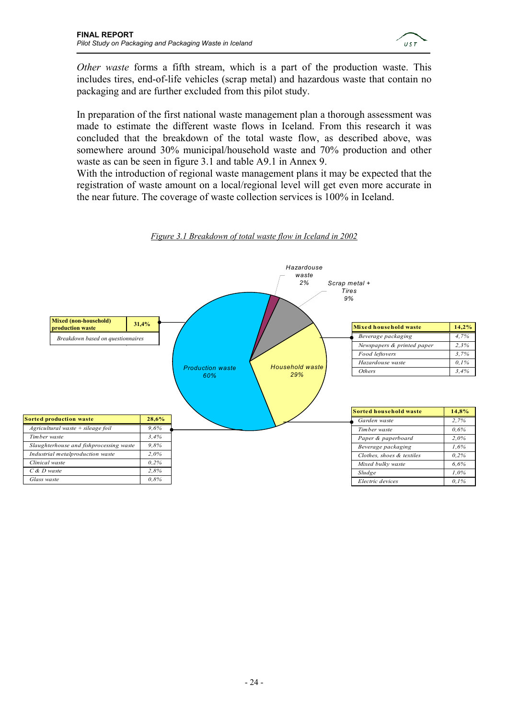

*Other waste* forms a fifth stream, which is a part of the production waste. This includes tires, end-of-life vehicles (scrap metal) and hazardous waste that contain no packaging and are further excluded from this pilot study.

In preparation of the first national waste management plan a thorough assessment was made to estimate the different waste flows in Iceland. From this research it was concluded that the breakdown of the total waste flow, as described above, was somewhere around 30% municipal/household waste and 70% production and other waste as can be seen in figure 3.1 and table A9.1 in Annex 9.

With the introduction of regional waste management plans it may be expected that the registration of waste amount on a local/regional level will get even more accurate in the near future. The coverage of waste collection services is 100% in Iceland.



*Figure 3.1 Breakdown of total waste flow in Iceland in 2002*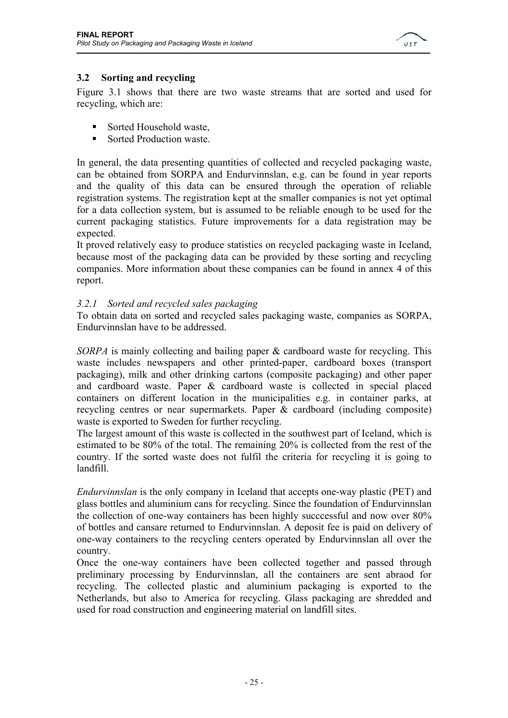

#### **3.2 Sorting and recycling**

Figure 3.1 shows that there are two waste streams that are sorted and used for recycling, which are:

- Sorted Household waste,
- Sorted Production waste

In general, the data presenting quantities of collected and recycled packaging waste, can be obtained from SORPA and Endurvinnslan, e.g. can be found in year reports and the quality of this data can be ensured through the operation of reliable registration systems. The registration kept at the smaller companies is not yet optimal for a data collection system, but is assumed to be reliable enough to be used for the current packaging statistics. Future improvements for a data registration may be expected.

It proved relatively easy to produce statistics on recycled packaging waste in Iceland, because most of the packaging data can be provided by these sorting and recycling companies. More information about these companies can be found in annex 4 of this report.

#### *3.2.1 Sorted and recycled sales packaging*

To obtain data on sorted and recycled sales packaging waste, companies as SORPA, Endurvinnslan have to be addressed.

*SORPA* is mainly collecting and bailing paper & cardboard waste for recycling. This waste includes newspapers and other printed-paper, cardboard boxes (transport packaging), milk and other drinking cartons (composite packaging) and other paper and cardboard waste. Paper & cardboard waste is collected in special placed containers on different location in the municipalities e.g. in container parks, at recycling centres or near supermarkets. Paper & cardboard (including composite) waste is exported to Sweden for further recycling.

The largest amount of this waste is collected in the southwest part of Iceland, which is estimated to be 80% of the total. The remaining 20% is collected from the rest of the country. If the sorted waste does not fulfil the criteria for recycling it is going to landfill.

*Endurvinnslan* is the only company in Iceland that accepts one-way plastic (PET) and glass bottles and aluminium cans for recycling. Since the foundation of Endurvinnslan the collection of one-way containers has been highly succcessful and now over 80% of bottles and cansare returned to Endurvinnslan. A deposit fee is paid on delivery of one-way containers to the recycling centers operated by Endurvinnslan all over the country.

Once the one-way containers have been collected together and passed through preliminary processing by Endurvinnslan, all the containers are sent abraod for recycling. The collected plastic and aluminium packaging is exported to the Netherlands, but also to America for recycling. Glass packaging are shredded and used for road construction and engineering material on landfill sites.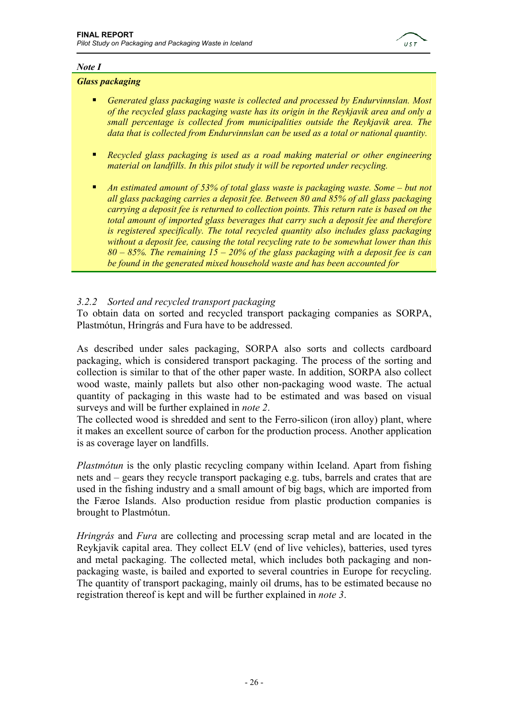

#### *Note I*

#### *Glass packaging*

- *Generated glass packaging waste is collected and processed by Endurvinnslan. Most of the recycled glass packaging waste has its origin in the Reykjavik area and only a small percentage is collected from municipalities outside the Reykjavik area. The data that is collected from Endurvinnslan can be used as a total or national quantity.*
- *Recycled glass packaging is used as a road making material or other engineering material on landfills. In this pilot study it will be reported under recycling.*
- *An estimated amount of 53% of total glass waste is packaging waste. Some but not all glass packaging carries a deposit fee. Between 80 and 85% of all glass packaging carrying a deposit fee is returned to collection points. This return rate is based on the total amount of imported glass beverages that carry such a deposit fee and therefore is registered specifically. The total recycled quantity also includes glass packaging without a deposit fee, causing the total recycling rate to be somewhat lower than this 80 – 85%. The remaining 15 – 20% of the glass packaging with a deposit fee is can be found in the generated mixed household waste and has been accounted for*

#### *3.2.2 Sorted and recycled transport packaging*

To obtain data on sorted and recycled transport packaging companies as SORPA, Plastmótun, Hringrás and Fura have to be addressed.

As described under sales packaging, SORPA also sorts and collects cardboard packaging, which is considered transport packaging. The process of the sorting and collection is similar to that of the other paper waste. In addition, SORPA also collect wood waste, mainly pallets but also other non-packaging wood waste. The actual quantity of packaging in this waste had to be estimated and was based on visual surveys and will be further explained in *note 2*.

The collected wood is shredded and sent to the Ferro-silicon (iron alloy) plant, where it makes an excellent source of carbon for the production process. Another application is as coverage layer on landfills.

*Plastmótun* is the only plastic recycling company within Iceland. Apart from fishing nets and – gears they recycle transport packaging e.g. tubs, barrels and crates that are used in the fishing industry and a small amount of big bags, which are imported from the Færoe Islands. Also production residue from plastic production companies is brought to Plastmótun.

*Hringrás* and *Fura* are collecting and processing scrap metal and are located in the Reykjavik capital area. They collect ELV (end of live vehicles), batteries, used tyres and metal packaging. The collected metal, which includes both packaging and nonpackaging waste, is bailed and exported to several countries in Europe for recycling. The quantity of transport packaging, mainly oil drums, has to be estimated because no registration thereof is kept and will be further explained in *note 3*.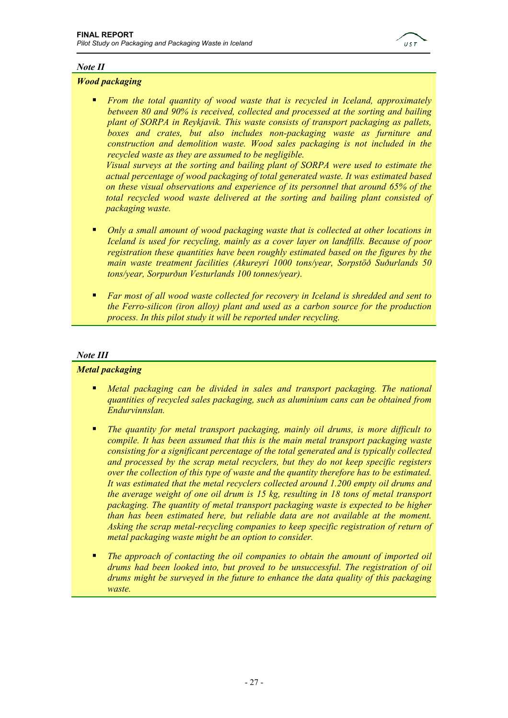

#### *Note II*

#### *Wood packaging*

 *From the total quantity of wood waste that is recycled in Iceland, approximately between 80 and 90% is received, collected and processed at the sorting and bailing plant of SORPA in Reykjavik. This waste consists of transport packaging as pallets, boxes and crates, but also includes non-packaging waste as furniture and construction and demolition waste. Wood sales packaging is not included in the recycled waste as they are assumed to be negligible. Visual surveys at the sorting and bailing plant of SORPA were used to estimate the* 

*actual percentage of wood packaging of total generated waste. It was estimated based on these visual observations and experience of its personnel that around 65% of the total recycled wood waste delivered at the sorting and bailing plant consisted of packaging waste.* 

- *Only a small amount of wood packaging waste that is collected at other locations in Iceland is used for recycling, mainly as a cover layer on landfills. Because of poor registration these quantities have been roughly estimated based on the figures by the main waste treatment facilities (Akureyri 1000 tons/year, Sorpstöð Suðurlands 50 tons/year, Sorpurðun Vesturlands 100 tonnes/year).*
- *Far most of all wood waste collected for recovery in Iceland is shredded and sent to the Ferro-silicon (iron alloy) plant and used as a carbon source for the production process. In this pilot study it will be reported under recycling.*

#### *Note III*

#### *Metal packaging*

- *Metal packaging can be divided in sales and transport packaging. The national quantities of recycled sales packaging, such as aluminium cans can be obtained from Endurvinnslan.*
- *The quantity for metal transport packaging, mainly oil drums, is more difficult to compile. It has been assumed that this is the main metal transport packaging waste consisting for a significant percentage of the total generated and is typically collected and processed by the scrap metal recyclers, but they do not keep specific registers over the collection of this type of waste and the quantity therefore has to be estimated. It was estimated that the metal recyclers collected around 1.200 empty oil drums and the average weight of one oil drum is 15 kg, resulting in 18 tons of metal transport packaging. The quantity of metal transport packaging waste is expected to be higher than has been estimated here, but reliable data are not available at the moment. Asking the scrap metal-recycling companies to keep specific registration of return of metal packaging waste might be an option to consider.*
- *The approach of contacting the oil companies to obtain the amount of imported oil drums had been looked into, but proved to be unsuccessful. The registration of oil drums might be surveyed in the future to enhance the data quality of this packaging waste.*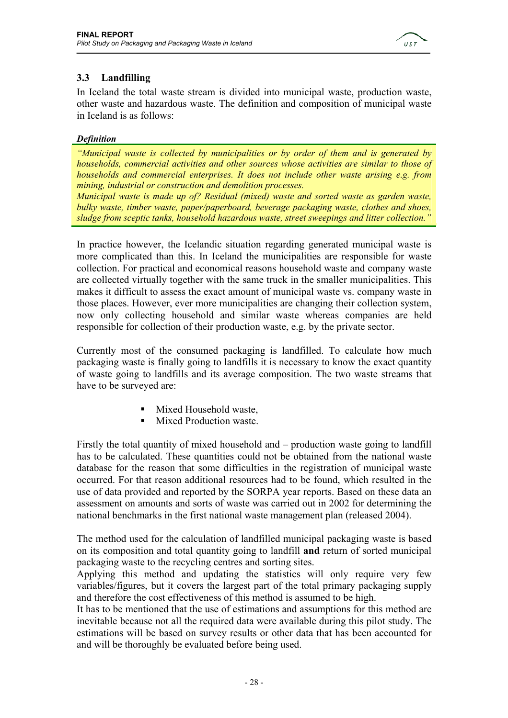

#### **3.3 Landfilling**

In Iceland the total waste stream is divided into municipal waste, production waste, other waste and hazardous waste. The definition and composition of municipal waste in Iceland is as follows:

#### *Definition*

*"Municipal waste is collected by municipalities or by order of them and is generated by households, commercial activities and other sources whose activities are similar to those of households and commercial enterprises. It does not include other waste arising e.g. from mining, industrial or construction and demolition processes.* 

*Municipal waste is made up of? Residual (mixed) waste and sorted waste as garden waste, bulky waste, timber waste, paper/paperboard, beverage packaging waste, clothes and shoes, sludge from sceptic tanks, household hazardous waste, street sweepings and litter collection."* 

In practice however, the Icelandic situation regarding generated municipal waste is more complicated than this. In Iceland the municipalities are responsible for waste collection. For practical and economical reasons household waste and company waste are collected virtually together with the same truck in the smaller municipalities. This makes it difficult to assess the exact amount of municipal waste vs. company waste in those places. However, ever more municipalities are changing their collection system, now only collecting household and similar waste whereas companies are held responsible for collection of their production waste, e.g. by the private sector.

Currently most of the consumed packaging is landfilled. To calculate how much packaging waste is finally going to landfills it is necessary to know the exact quantity of waste going to landfills and its average composition. The two waste streams that have to be surveyed are:

- Mixed Household waste,
- **Mixed Production waste.**

Firstly the total quantity of mixed household and – production waste going to landfill has to be calculated. These quantities could not be obtained from the national waste database for the reason that some difficulties in the registration of municipal waste occurred. For that reason additional resources had to be found, which resulted in the use of data provided and reported by the SORPA year reports. Based on these data an assessment on amounts and sorts of waste was carried out in 2002 for determining the national benchmarks in the first national waste management plan (released 2004).

The method used for the calculation of landfilled municipal packaging waste is based on its composition and total quantity going to landfill **and** return of sorted municipal packaging waste to the recycling centres and sorting sites.

Applying this method and updating the statistics will only require very few variables/figures, but it covers the largest part of the total primary packaging supply and therefore the cost effectiveness of this method is assumed to be high.

It has to be mentioned that the use of estimations and assumptions for this method are inevitable because not all the required data were available during this pilot study. The estimations will be based on survey results or other data that has been accounted for and will be thoroughly be evaluated before being used.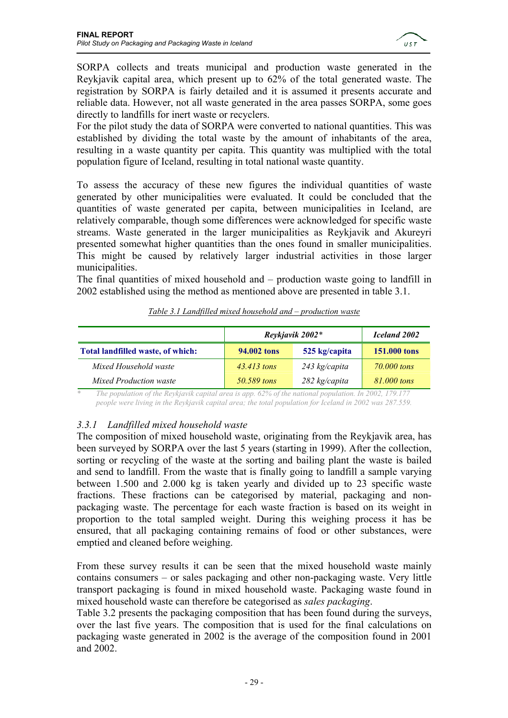

SORPA collects and treats municipal and production waste generated in the Reykjavik capital area, which present up to 62% of the total generated waste. The registration by SORPA is fairly detailed and it is assumed it presents accurate and reliable data. However, not all waste generated in the area passes SORPA, some goes directly to landfills for inert waste or recyclers.

For the pilot study the data of SORPA were converted to national quantities. This was established by dividing the total waste by the amount of inhabitants of the area, resulting in a waste quantity per capita. This quantity was multiplied with the total population figure of Iceland, resulting in total national waste quantity.

To assess the accuracy of these new figures the individual quantities of waste generated by other municipalities were evaluated. It could be concluded that the quantities of waste generated per capita, between municipalities in Iceland, are relatively comparable, though some differences were acknowledged for specific waste streams. Waste generated in the larger municipalities as Reykjavik and Akureyri presented somewhat higher quantities than the ones found in smaller municipalities. This might be caused by relatively larger industrial activities in those larger municipalities.

The final quantities of mixed household and – production waste going to landfill in 2002 established using the method as mentioned above are presented in table 3.1.

|                                   | Reykjavik 2002* | Iceland 2002    |              |
|-----------------------------------|-----------------|-----------------|--------------|
| Total landfilled waste, of which: | 94.002 tons     | 525 kg/capita   | 151,000 tons |
| Mixed Household waste             | $43.413$ tons   | $243$ kg/capita | 70,000 tons  |
| <b>Mixed Production waste</b>     | 50.589 tons     | $282$ kg/capita | 81,000 tons  |

|  |  | Table 3.1 Landfilled mixed household and – production waste |  |
|--|--|-------------------------------------------------------------|--|
|  |  |                                                             |  |

*\* The population of the Reykjavik capital area is app. 62% of the national population. In 2002, 179.177 people were living in the Reykjavik capital area; the total population for Iceland in 2002 was 287.559.* 

#### *3.3.1 Landfilled mixed household waste*

The composition of mixed household waste, originating from the Reykjavik area, has been surveyed by SORPA over the last 5 years (starting in 1999). After the collection, sorting or recycling of the waste at the sorting and bailing plant the waste is bailed and send to landfill. From the waste that is finally going to landfill a sample varying between 1.500 and 2.000 kg is taken yearly and divided up to 23 specific waste fractions. These fractions can be categorised by material, packaging and nonpackaging waste. The percentage for each waste fraction is based on its weight in proportion to the total sampled weight. During this weighing process it has be ensured, that all packaging containing remains of food or other substances, were emptied and cleaned before weighing.

From these survey results it can be seen that the mixed household waste mainly contains consumers – or sales packaging and other non-packaging waste. Very little transport packaging is found in mixed household waste. Packaging waste found in mixed household waste can therefore be categorised as *sales packaging*.

Table 3.2 presents the packaging composition that has been found during the surveys, over the last five years. The composition that is used for the final calculations on packaging waste generated in 2002 is the average of the composition found in 2001 and 2002.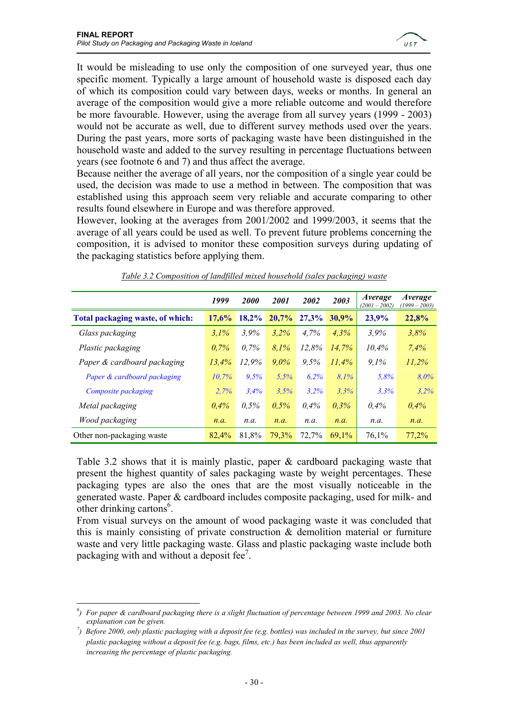

It would be misleading to use only the composition of one surveyed year, thus one specific moment. Typically a large amount of household waste is disposed each day of which its composition could vary between days, weeks or months. In general an average of the composition would give a more reliable outcome and would therefore be more favourable. However, using the average from all survey years (1999 - 2003) would not be accurate as well, due to different survey methods used over the years. During the past years, more sorts of packaging waste have been distinguished in the household waste and added to the survey resulting in percentage fluctuations between years (see footnote 6 and 7) and thus affect the average.

Because neither the average of all years, nor the composition of a single year could be used, the decision was made to use a method in between. The composition that was established using this approach seem very reliable and accurate comparing to other results found elsewhere in Europe and was therefore approved.

However, looking at the averages from 2001/2002 and 1999/2003, it seems that the average of all years could be used as well. To prevent future problems concerning the composition, it is advised to monitor these composition surveys during updating of the packaging statistics before applying them.

|                                  | 1999    | <b>2000</b> | 2001  | 2002    | 2003     | Average<br>$(2001 - 2002)$ | <i>Average</i><br>$(1999 - 2003)$ |
|----------------------------------|---------|-------------|-------|---------|----------|----------------------------|-----------------------------------|
| Total packaging waste, of which: | 17,6%   | $18.2\%$    | 20,7% | 27.3%   | $30.9\%$ | 23,9%                      | 22,8%                             |
| Glass packaging                  | 3,1%    | 3,9%        | 3,2%  | 4.7%    | $4.3\%$  | 3,9%                       | 3,8%                              |
| Plastic packaging                | $0.7\%$ | $0.7\%$     | 8,1%  | 12,8%   | 14,7%    | 10,4%                      | 7.4%                              |
| Paper & cardboard packaging      | 13,4%   | 12,9%       | 9,0%  | 9.5%    | 11.4%    | 9.1%                       | 11,2%                             |
| Paper & cardboard packaging      | 10.7%   | 9.5%        | 5.5%  | 6.2%    | 8.1%     | 5.8%                       | $8.0\%$                           |
| Composite packaging              | 2.7%    | 3,4%        | 3.5%  | 3.2%    | 3.3%     | 3.3%                       | 3.2%                              |
| Metal packaging                  | $0.4\%$ | $0.5\%$     | 0.5%  | $0.4\%$ | 0,3%     | $0.4\%$                    | 0,4%                              |
| Wood packaging                   | n.a.    | n.a.        | n.a.  | n.a.    | n.a.     | n.a.                       | n.a.                              |
| Other non-packaging waste        | 82.4%   | 81,8%       | 79,3% | 72,7%   | 69,1%    | 76,1%                      | 77,2%                             |

*Table 3.2 Composition of landfilled mixed household (sales packaging) waste*

Table 3.2 shows that it is mainly plastic, paper & cardboard packaging waste that present the highest quantity of sales packaging waste by weight percentages. These packaging types are also the ones that are the most visually noticeable in the generated waste. Paper & cardboard includes composite packaging, used for milk- and other drinking cartons $6$ .

From visual surveys on the amount of wood packaging waste it was concluded that this is mainly consisting of private construction  $\&$  demolition material or furniture waste and very little packaging waste. Glass and plastic packaging waste include both packaging with and without a deposit fee<sup>7</sup>.

 $\overline{a}$ *6 ) For paper & cardboard packaging there is a slight fluctuation of percentage between 1999 and 2003. No clear explanation can be given.* 

<sup>&</sup>lt;sup>7</sup>) Before 2000, only plastic packaging with a deposit fee (e.g. bottles) was included in the survey, but since 2001 *plastic packaging without a deposit fee (e.g. bags, films, etc.) has been included as well, thus apparently increasing the percentage of plastic packaging.*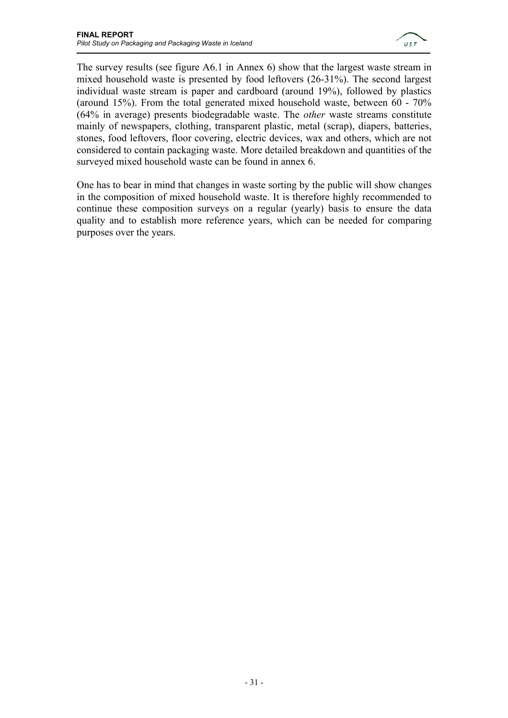

The survey results (see figure A6.1 in Annex 6) show that the largest waste stream in mixed household waste is presented by food leftovers (26-31%). The second largest individual waste stream is paper and cardboard (around 19%), followed by plastics (around 15%). From the total generated mixed household waste, between 60 - 70% (64% in average) presents biodegradable waste. The *other* waste streams constitute mainly of newspapers, clothing, transparent plastic, metal (scrap), diapers, batteries, stones, food leftovers, floor covering, electric devices, wax and others, which are not considered to contain packaging waste. More detailed breakdown and quantities of the surveyed mixed household waste can be found in annex 6.

One has to bear in mind that changes in waste sorting by the public will show changes in the composition of mixed household waste. It is therefore highly recommended to continue these composition surveys on a regular (yearly) basis to ensure the data quality and to establish more reference years, which can be needed for comparing purposes over the years.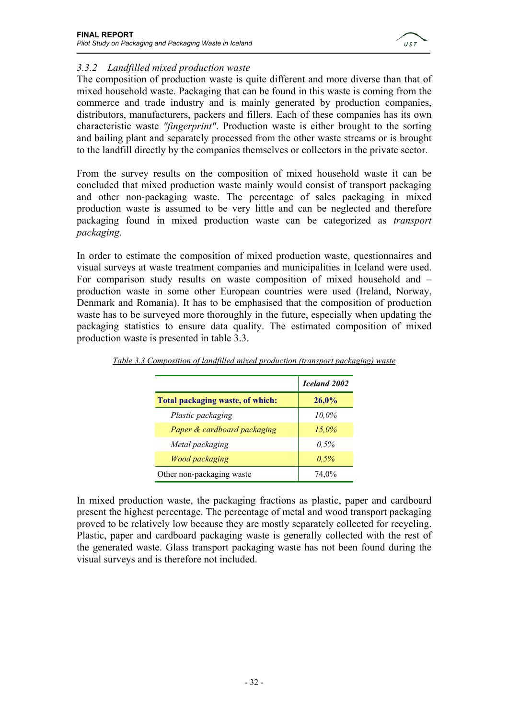

#### *3.3.2 Landfilled mixed production waste*

The composition of production waste is quite different and more diverse than that of mixed household waste. Packaging that can be found in this waste is coming from the commerce and trade industry and is mainly generated by production companies, distributors, manufacturers, packers and fillers. Each of these companies has its own characteristic waste *"fingerprint"*. Production waste is either brought to the sorting and bailing plant and separately processed from the other waste streams or is brought to the landfill directly by the companies themselves or collectors in the private sector.

From the survey results on the composition of mixed household waste it can be concluded that mixed production waste mainly would consist of transport packaging and other non-packaging waste. The percentage of sales packaging in mixed production waste is assumed to be very little and can be neglected and therefore packaging found in mixed production waste can be categorized as *transport packaging*.

In order to estimate the composition of mixed production waste, questionnaires and visual surveys at waste treatment companies and municipalities in Iceland were used. For comparison study results on waste composition of mixed household and – production waste in some other European countries were used (Ireland, Norway, Denmark and Romania). It has to be emphasised that the composition of production waste has to be surveyed more thoroughly in the future, especially when updating the packaging statistics to ensure data quality. The estimated composition of mixed production waste is presented in table 3.3.

|                                  | Iceland 2002 |
|----------------------------------|--------------|
| Total packaging waste, of which: | 26,0%        |
| Plastic packaging                | 10.0%        |
| Paper & cardboard packaging      | $15.0\%$     |
| Metal packaging                  | $0.5\%$      |
| <b>Wood packaging</b>            | 0,5%         |
| Other non-packaging waste        | 74.0%        |

*Table 3.3 Composition of landfilled mixed production (transport packaging) waste*

In mixed production waste, the packaging fractions as plastic, paper and cardboard present the highest percentage. The percentage of metal and wood transport packaging proved to be relatively low because they are mostly separately collected for recycling. Plastic, paper and cardboard packaging waste is generally collected with the rest of the generated waste. Glass transport packaging waste has not been found during the visual surveys and is therefore not included.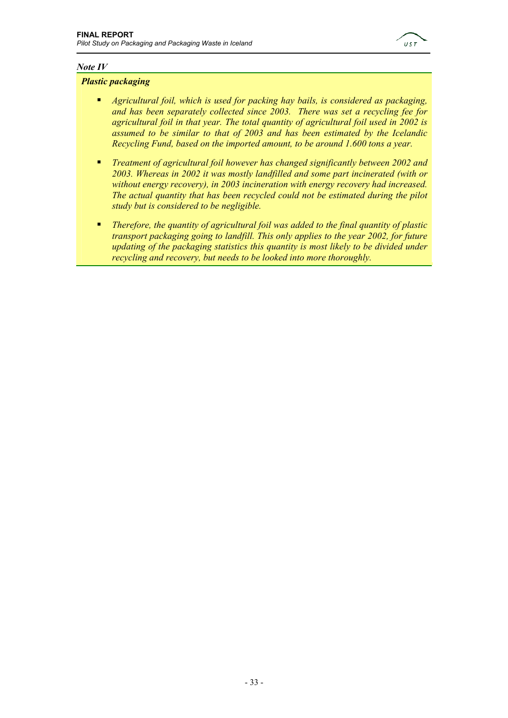

#### *Note IV*

#### *Plastic packaging*

- *Agricultural foil, which is used for packing hay bails, is considered as packaging, and has been separately collected since 2003. There was set a recycling fee for agricultural foil in that year. The total quantity of agricultural foil used in 2002 is assumed to be similar to that of 2003 and has been estimated by the Icelandic Recycling Fund, based on the imported amount, to be around 1.600 tons a year.*
- *Treatment of agricultural foil however has changed significantly between 2002 and 2003. Whereas in 2002 it was mostly landfilled and some part incinerated (with or without energy recovery), in 2003 incineration with energy recovery had increased. The actual quantity that has been recycled could not be estimated during the pilot study but is considered to be negligible.*
- *Therefore, the quantity of agricultural foil was added to the final quantity of plastic transport packaging going to landfill. This only applies to the year 2002, for future updating of the packaging statistics this quantity is most likely to be divided under recycling and recovery, but needs to be looked into more thoroughly.*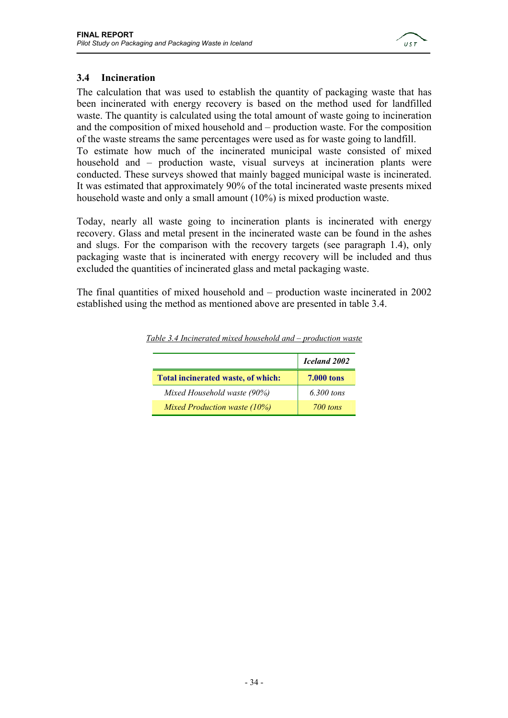

#### **3.4 Incineration**

The calculation that was used to establish the quantity of packaging waste that has been incinerated with energy recovery is based on the method used for landfilled waste. The quantity is calculated using the total amount of waste going to incineration and the composition of mixed household and – production waste. For the composition of the waste streams the same percentages were used as for waste going to landfill. To estimate how much of the incinerated municipal waste consisted of mixed household and – production waste, visual surveys at incineration plants were conducted. These surveys showed that mainly bagged municipal waste is incinerated. It was estimated that approximately 90% of the total incinerated waste presents mixed household waste and only a small amount (10%) is mixed production waste.

Today, nearly all waste going to incineration plants is incinerated with energy recovery. Glass and metal present in the incinerated waste can be found in the ashes and slugs. For the comparison with the recovery targets (see paragraph 1.4), only packaging waste that is incinerated with energy recovery will be included and thus excluded the quantities of incinerated glass and metal packaging waste.

The final quantities of mixed household and – production waste incinerated in 2002 established using the method as mentioned above are presented in table 3.4.

|                                    | Iceland 2002      |
|------------------------------------|-------------------|
| Total incinerated waste, of which: | <b>7.000 tons</b> |
| Mixed Household waste (90%)        | $6.300$ tons      |
| Mixed Production waste $(10\%)$    | 700 tons          |

*Table 3.4 Incinerated mixed household and – production waste*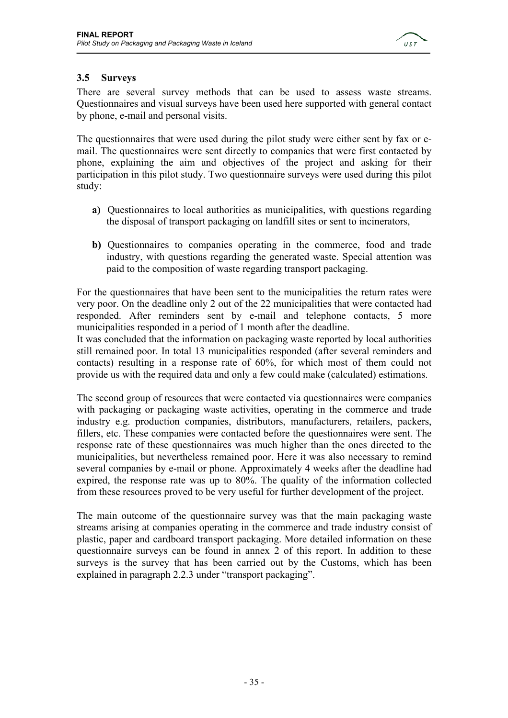

#### **3.5 Surveys**

There are several survey methods that can be used to assess waste streams. Questionnaires and visual surveys have been used here supported with general contact by phone, e-mail and personal visits.

The questionnaires that were used during the pilot study were either sent by fax or email. The questionnaires were sent directly to companies that were first contacted by phone, explaining the aim and objectives of the project and asking for their participation in this pilot study. Two questionnaire surveys were used during this pilot study:

- **a)** Questionnaires to local authorities as municipalities, with questions regarding the disposal of transport packaging on landfill sites or sent to incinerators,
- **b)** Questionnaires to companies operating in the commerce, food and trade industry, with questions regarding the generated waste. Special attention was paid to the composition of waste regarding transport packaging.

For the questionnaires that have been sent to the municipalities the return rates were very poor. On the deadline only 2 out of the 22 municipalities that were contacted had responded. After reminders sent by e-mail and telephone contacts, 5 more municipalities responded in a period of 1 month after the deadline.

It was concluded that the information on packaging waste reported by local authorities still remained poor. In total 13 municipalities responded (after several reminders and contacts) resulting in a response rate of 60%, for which most of them could not provide us with the required data and only a few could make (calculated) estimations.

The second group of resources that were contacted via questionnaires were companies with packaging or packaging waste activities, operating in the commerce and trade industry e.g. production companies, distributors, manufacturers, retailers, packers, fillers, etc. These companies were contacted before the questionnaires were sent. The response rate of these questionnaires was much higher than the ones directed to the municipalities, but nevertheless remained poor. Here it was also necessary to remind several companies by e-mail or phone. Approximately 4 weeks after the deadline had expired, the response rate was up to 80%. The quality of the information collected from these resources proved to be very useful for further development of the project.

The main outcome of the questionnaire survey was that the main packaging waste streams arising at companies operating in the commerce and trade industry consist of plastic, paper and cardboard transport packaging. More detailed information on these questionnaire surveys can be found in annex 2 of this report. In addition to these surveys is the survey that has been carried out by the Customs, which has been explained in paragraph 2.2.3 under "transport packaging".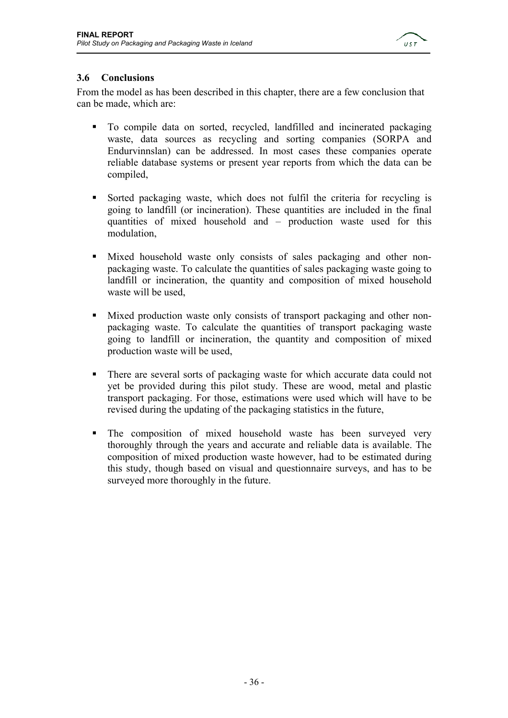

### **3.6 Conclusions**

From the model as has been described in this chapter, there are a few conclusion that can be made, which are:

- To compile data on sorted, recycled, landfilled and incinerated packaging waste, data sources as recycling and sorting companies (SORPA and Endurvinnslan) can be addressed. In most cases these companies operate reliable database systems or present year reports from which the data can be compiled,
- Sorted packaging waste, which does not fulfil the criteria for recycling is going to landfill (or incineration). These quantities are included in the final quantities of mixed household and – production waste used for this modulation,
- Mixed household waste only consists of sales packaging and other nonpackaging waste. To calculate the quantities of sales packaging waste going to landfill or incineration, the quantity and composition of mixed household waste will be used,
- Mixed production waste only consists of transport packaging and other nonpackaging waste. To calculate the quantities of transport packaging waste going to landfill or incineration, the quantity and composition of mixed production waste will be used,
- There are several sorts of packaging waste for which accurate data could not yet be provided during this pilot study. These are wood, metal and plastic transport packaging. For those, estimations were used which will have to be revised during the updating of the packaging statistics in the future,
- The composition of mixed household waste has been surveyed very thoroughly through the years and accurate and reliable data is available. The composition of mixed production waste however, had to be estimated during this study, though based on visual and questionnaire surveys, and has to be surveyed more thoroughly in the future.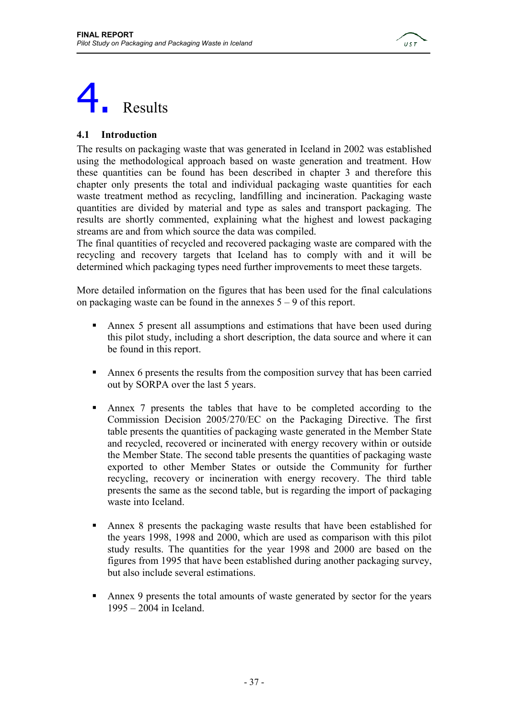

## **Results**

### **4.1 Introduction**

The results on packaging waste that was generated in Iceland in 2002 was established using the methodological approach based on waste generation and treatment. How these quantities can be found has been described in chapter 3 and therefore this chapter only presents the total and individual packaging waste quantities for each waste treatment method as recycling, landfilling and incineration. Packaging waste quantities are divided by material and type as sales and transport packaging. The results are shortly commented, explaining what the highest and lowest packaging streams are and from which source the data was compiled.

The final quantities of recycled and recovered packaging waste are compared with the recycling and recovery targets that Iceland has to comply with and it will be determined which packaging types need further improvements to meet these targets.

More detailed information on the figures that has been used for the final calculations on packaging waste can be found in the annexes  $5 - 9$  of this report.

- Annex 5 present all assumptions and estimations that have been used during this pilot study, including a short description, the data source and where it can be found in this report.
- Annex 6 presents the results from the composition survey that has been carried out by SORPA over the last 5 years.
- Annex 7 presents the tables that have to be completed according to the Commission Decision 2005/270/EC on the Packaging Directive. The first table presents the quantities of packaging waste generated in the Member State and recycled, recovered or incinerated with energy recovery within or outside the Member State. The second table presents the quantities of packaging waste exported to other Member States or outside the Community for further recycling, recovery or incineration with energy recovery. The third table presents the same as the second table, but is regarding the import of packaging waste into Iceland.
- Annex 8 presents the packaging waste results that have been established for the years 1998, 1998 and 2000, which are used as comparison with this pilot study results. The quantities for the year 1998 and 2000 are based on the figures from 1995 that have been established during another packaging survey, but also include several estimations.
- Annex 9 presents the total amounts of waste generated by sector for the years 1995 – 2004 in Iceland.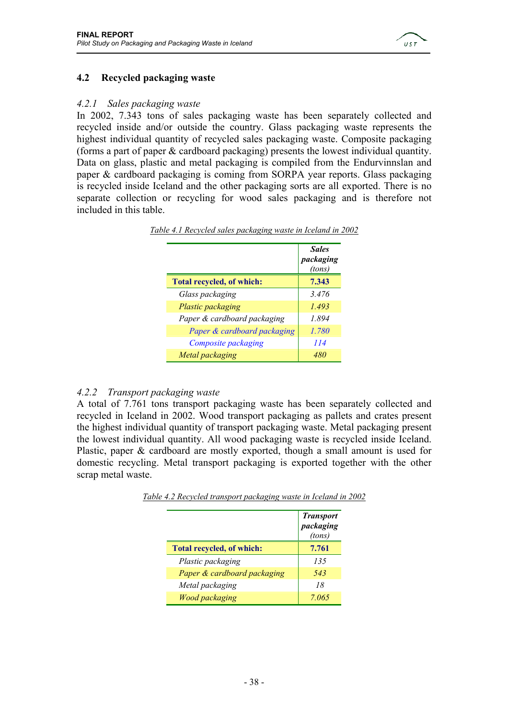

### **4.2 Recycled packaging waste**

### *4.2.1 Sales packaging waste*

In 2002, 7.343 tons of sales packaging waste has been separately collected and recycled inside and/or outside the country. Glass packaging waste represents the highest individual quantity of recycled sales packaging waste. Composite packaging (forms a part of paper & cardboard packaging) presents the lowest individual quantity. Data on glass, plastic and metal packaging is compiled from the Endurvinnslan and paper & cardboard packaging is coming from SORPA year reports. Glass packaging is recycled inside Iceland and the other packaging sorts are all exported. There is no separate collection or recycling for wood sales packaging and is therefore not included in this table.

|                             | <b>Sales</b><br>packaging<br>(tons) |
|-----------------------------|-------------------------------------|
| Total recycled, of which:   | 7.343                               |
| Glass packaging             | 3.476                               |
| Plastic packaging           | 1.493                               |
| Paper & cardboard packaging | 1.894                               |
| Paper & cardboard packaging | 1.780                               |
| Composite packaging         | 114                                 |
| Metal packaging             | 480                                 |

*Table 4.1 Recycled sales packaging waste in Iceland in 2002*

### *4.2.2 Transport packaging waste*

A total of 7.761 tons transport packaging waste has been separately collected and recycled in Iceland in 2002. Wood transport packaging as pallets and crates present the highest individual quantity of transport packaging waste. Metal packaging present the lowest individual quantity. All wood packaging waste is recycled inside Iceland. Plastic, paper & cardboard are mostly exported, though a small amount is used for domestic recycling. Metal transport packaging is exported together with the other scrap metal waste.

|                             | <b>Transport</b><br>packaging<br>(tons) |
|-----------------------------|-----------------------------------------|
| Total recycled, of which:   | 7.761                                   |
| Plastic packaging           | 135                                     |
| Paper & cardboard packaging | 543                                     |
| Metal packaging             | 18                                      |
| <b>Wood packaging</b>       | 7.065                                   |

*Table 4.2 Recycled transport packaging waste in Iceland in 2002*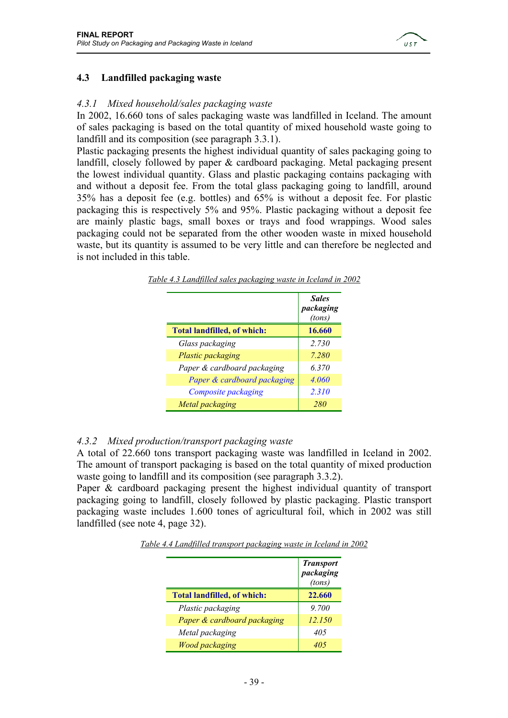

### **4.3 Landfilled packaging waste**

### *4.3.1 Mixed household/sales packaging waste*

In 2002, 16.660 tons of sales packaging waste was landfilled in Iceland. The amount of sales packaging is based on the total quantity of mixed household waste going to landfill and its composition (see paragraph 3.3.1).

Plastic packaging presents the highest individual quantity of sales packaging going to landfill, closely followed by paper & cardboard packaging. Metal packaging present the lowest individual quantity. Glass and plastic packaging contains packaging with and without a deposit fee. From the total glass packaging going to landfill, around 35% has a deposit fee (e.g. bottles) and 65% is without a deposit fee. For plastic packaging this is respectively 5% and 95%. Plastic packaging without a deposit fee are mainly plastic bags, small boxes or trays and food wrappings. Wood sales packaging could not be separated from the other wooden waste in mixed household waste, but its quantity is assumed to be very little and can therefore be neglected and is not included in this table.

|                                    | <b>Sales</b><br>packaging<br>(tons) |
|------------------------------------|-------------------------------------|
| <b>Total landfilled, of which:</b> | 16.660                              |
| Glass packaging                    | 2.730                               |
| Plastic packaging                  | 7.280                               |
| Paper & cardboard packaging        | 6.370                               |
| Paper & cardboard packaging        | 4.060                               |
| Composite packaging                | 2.310                               |
| Metal packaging                    | 280                                 |

*Table 4.3 Landfilled sales packaging waste in Iceland in 2002*

#### *4.3.2 Mixed production/transport packaging waste*

A total of 22.660 tons transport packaging waste was landfilled in Iceland in 2002. The amount of transport packaging is based on the total quantity of mixed production waste going to landfill and its composition (see paragraph 3.3.2).

Paper & cardboard packaging present the highest individual quantity of transport packaging going to landfill, closely followed by plastic packaging. Plastic transport packaging waste includes 1.600 tones of agricultural foil, which in 2002 was still landfilled (see note 4, page 32).

|                                    | <b>Transport</b><br>packaging<br>(tons) |
|------------------------------------|-----------------------------------------|
| <b>Total landfilled, of which:</b> | 22.660                                  |
| Plastic packaging                  | 9.700                                   |
| Paper & cardboard packaging        | 12.150                                  |
| Metal packaging                    | 405                                     |
| <b>Wood packaging</b>              |                                         |

*Table 4.4 Landfilled transport packaging waste in Iceland in 2002*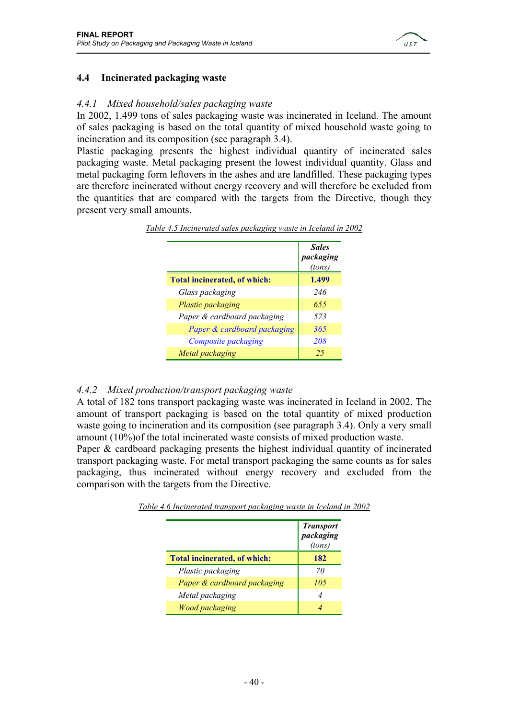

### **4.4 Incinerated packaging waste**

### *4.4.1 Mixed household/sales packaging waste*

In 2002, 1.499 tons of sales packaging waste was incinerated in Iceland. The amount of sales packaging is based on the total quantity of mixed household waste going to incineration and its composition (see paragraph 3.4).

Plastic packaging presents the highest individual quantity of incinerated sales packaging waste. Metal packaging present the lowest individual quantity. Glass and metal packaging form leftovers in the ashes and are landfilled. These packaging types are therefore incinerated without energy recovery and will therefore be excluded from the quantities that are compared with the targets from the Directive, though they present very small amounts.

|                                     | <b>Sales</b><br>packaging<br>(tons) |
|-------------------------------------|-------------------------------------|
| <b>Total incinerated, of which:</b> | 1.499                               |
| Glass packaging                     | 246                                 |
| Plastic packaging                   | 655                                 |
| Paper & cardboard packaging         | 573                                 |
| Paper & cardboard packaging         | 365                                 |
| Composite packaging                 | 208                                 |
| Metal packaging                     | 25                                  |

*Table 4.5 Incinerated sales packaging waste in Iceland in 2002*

### *4.4.2 Mixed production/transport packaging waste*

A total of 182 tons transport packaging waste was incinerated in Iceland in 2002. The amount of transport packaging is based on the total quantity of mixed production waste going to incineration and its composition (see paragraph 3.4). Only a very small amount (10%)of the total incinerated waste consists of mixed production waste.

Paper & cardboard packaging presents the highest individual quantity of incinerated transport packaging waste. For metal transport packaging the same counts as for sales packaging, thus incinerated without energy recovery and excluded from the comparison with the targets from the Directive.

|                                     | <b>Transport</b><br>packaging<br>(tons) |
|-------------------------------------|-----------------------------------------|
| <b>Total incinerated, of which:</b> | 182                                     |
| Plastic packaging                   | 70                                      |
| Paper & cardboard packaging         | 105                                     |
| Metal packaging                     |                                         |
| <b>Wood packaging</b>               |                                         |

*Table 4.6 Incinerated transport packaging waste in Iceland in 2002*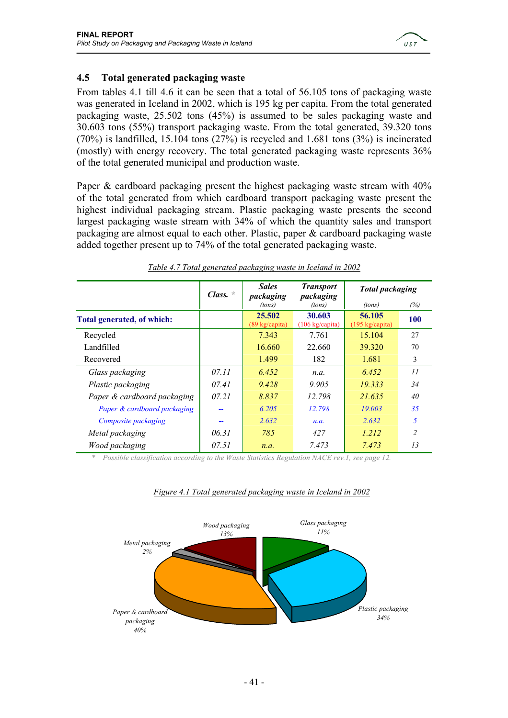

### **4.5 Total generated packaging waste**

From tables 4.1 till 4.6 it can be seen that a total of 56.105 tons of packaging waste was generated in Iceland in 2002, which is 195 kg per capita. From the total generated packaging waste, 25.502 tons (45%) is assumed to be sales packaging waste and 30.603 tons (55%) transport packaging waste. From the total generated, 39.320 tons  $(70\%)$  is landfilled, 15.104 tons  $(27\%)$  is recycled and 1.681 tons  $(3\%)$  is incinerated (mostly) with energy recovery. The total generated packaging waste represents 36% of the total generated municipal and production waste.

Paper & cardboard packaging present the highest packaging waste stream with 40% of the total generated from which cardboard transport packaging waste present the highest individual packaging stream. Plastic packaging waste presents the second largest packaging waste stream with 34% of which the quantity sales and transport packaging are almost equal to each other. Plastic, paper & cardboard packaging waste added together present up to 74% of the total generated packaging waste.

|                             | Class. | <b>Sales</b><br>packaging                 | <b>Transport</b><br>packaging              | <b>Total packaging</b>              |                          |
|-----------------------------|--------|-------------------------------------------|--------------------------------------------|-------------------------------------|--------------------------|
|                             |        | (tons)                                    | (tons)                                     | (tons)                              | (%)                      |
| Total generated, of which:  |        | 25.502<br>$(89 \text{ kg}/\text{capita})$ | 30.603<br>$(106 \text{ kg}/\text{capita})$ | 56.105<br>$(195 \text{ kg/capita})$ | <b>100</b>               |
| Recycled                    |        | 7.343                                     | 7.761                                      | 15.104                              | 27                       |
| Landfilled                  |        | 16.660                                    | 22.660                                     | 39.320                              | 70                       |
| Recovered                   |        | 1.499                                     | 182                                        | 1.681                               | 3                        |
| Glass packaging             | 07.11  | 6.452                                     | n.a.                                       | 6.452                               | 11                       |
| Plastic packaging           | 07.41  | 9.428                                     | 9.905                                      | 19.333                              | 34                       |
| Paper & cardboard packaging | 07.21  | 8.837                                     | 12.798                                     | 21.635                              | 40                       |
| Paper & cardboard packaging | --     | 6.205                                     | 12.798                                     | 19.003                              | 35                       |
| Composite packaging         | --     | 2.632                                     | n.a.                                       | 2.632                               | 5                        |
| Metal packaging             | 06.31  | 785                                       | 427                                        | 1.212                               | $\overline{\mathcal{L}}$ |
| Wood packaging              | 07.51  | n.a.                                      | 7.473                                      | 7.473                               | 13                       |

### *Table 4.7 Total generated packaging waste in Iceland in 2002*

*\* Possible classification according to the Waste Statistics Regulation NACE rev.1, see page 12.*



### *Figure 4.1 Total generated packaging waste in Iceland in 2002*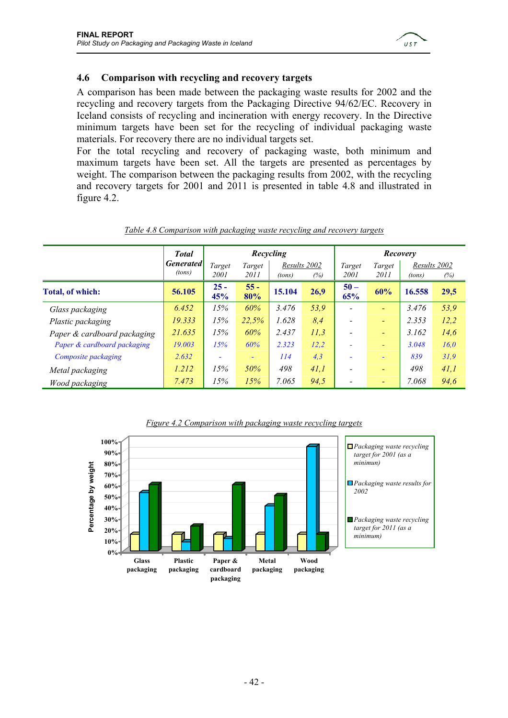

### **4.6 Comparison with recycling and recovery targets**

A comparison has been made between the packaging waste results for 2002 and the recycling and recovery targets from the Packaging Directive 94/62/EC. Recovery in Iceland consists of recycling and incineration with energy recovery. In the Directive minimum targets have been set for the recycling of individual packaging waste materials. For recovery there are no individual targets set.

For the total recycling and recovery of packaging waste, both minimum and maximum targets have been set. All the targets are presented as percentages by weight. The comparison between the packaging results from 2002, with the recycling and recovery targets for 2001 and 2011 is presented in table 4.8 and illustrated in figure 4.2.

|                             | <b>Total</b>               |                |                | Recycling |                     |                          |                          | Recovery               |      |
|-----------------------------|----------------------------|----------------|----------------|-----------|---------------------|--------------------------|--------------------------|------------------------|------|
|                             | <b>Generated</b><br>(tons) | Target<br>2001 | Target<br>2011 | (tons)    | Results 2002<br>(%) | Target<br>2001           | Target<br>2011           | Results 2002<br>(tons) | (%)  |
| <b>Total, of which:</b>     | 56.105                     | $25 -$<br>45%  | $55 -$<br>80%  | 15.104    | 26,9                | $50 -$<br>65%            | 60%                      | 16.558                 | 29,5 |
| Glass packaging             | 6.452                      | 15%            | 60%            | 3.476     | 53,9                |                          | $\overline{\phantom{0}}$ | 3.476                  | 53,9 |
| Plastic packaging           | 19.333                     | 15%            | 22,5%          | 1.628     | 8,4                 | ٠                        | $\overline{\phantom{0}}$ | 2.353                  | 12,2 |
| Paper & cardboard packaging | 21.635                     | 15%            | 60%            | 2.437     | 11,3                |                          | $\overline{\phantom{a}}$ | 3.162                  | 14,6 |
| Paper & cardboard packaging | 19.003                     | 15%            | 60%            | 2.323     | 12.2                | ۰                        | $\sim$                   | 3.048                  | 16.0 |
| Composite packaging         | 2.632                      | ٠              | $\equiv$       | 114       | 4,3                 | $\overline{\phantom{a}}$ | $\sim$                   | 839                    | 31,9 |
| Metal packaging             | 1.212                      | 15%            | 50%            | 498       | 41,1                |                          | $\equiv$                 | 498                    | 41,1 |
| Wood packaging              | 7.473                      | 15%            | 15%            | 7.065     | 94,5                |                          | $\overline{\phantom{0}}$ | 7.068                  | 94,6 |

### *Table 4.8 Comparison with packaging waste recycling and recovery targets*



#### *Figure 4.2 Comparison with packaging waste recycling targets*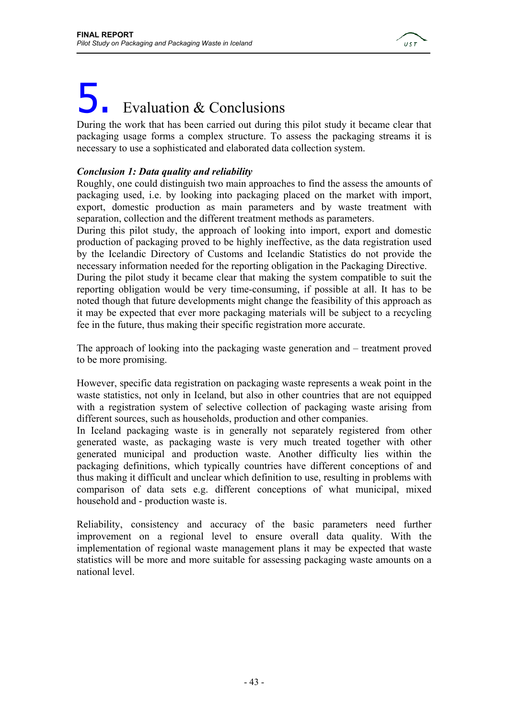

## Evaluation & Conclusions

During the work that has been carried out during this pilot study it became clear that packaging usage forms a complex structure. To assess the packaging streams it is necessary to use a sophisticated and elaborated data collection system.

### *Conclusion 1: Data quality and reliability*

Roughly, one could distinguish two main approaches to find the assess the amounts of packaging used, i.e. by looking into packaging placed on the market with import, export, domestic production as main parameters and by waste treatment with separation, collection and the different treatment methods as parameters.

During this pilot study, the approach of looking into import, export and domestic production of packaging proved to be highly ineffective, as the data registration used by the Icelandic Directory of Customs and Icelandic Statistics do not provide the necessary information needed for the reporting obligation in the Packaging Directive.

During the pilot study it became clear that making the system compatible to suit the reporting obligation would be very time-consuming, if possible at all. It has to be noted though that future developments might change the feasibility of this approach as it may be expected that ever more packaging materials will be subject to a recycling fee in the future, thus making their specific registration more accurate.

The approach of looking into the packaging waste generation and – treatment proved to be more promising.

However, specific data registration on packaging waste represents a weak point in the waste statistics, not only in Iceland, but also in other countries that are not equipped with a registration system of selective collection of packaging waste arising from different sources, such as households, production and other companies.

In Iceland packaging waste is in generally not separately registered from other generated waste, as packaging waste is very much treated together with other generated municipal and production waste. Another difficulty lies within the packaging definitions, which typically countries have different conceptions of and thus making it difficult and unclear which definition to use, resulting in problems with comparison of data sets e.g. different conceptions of what municipal, mixed household and - production waste is.

Reliability, consistency and accuracy of the basic parameters need further improvement on a regional level to ensure overall data quality. With the implementation of regional waste management plans it may be expected that waste statistics will be more and more suitable for assessing packaging waste amounts on a national level.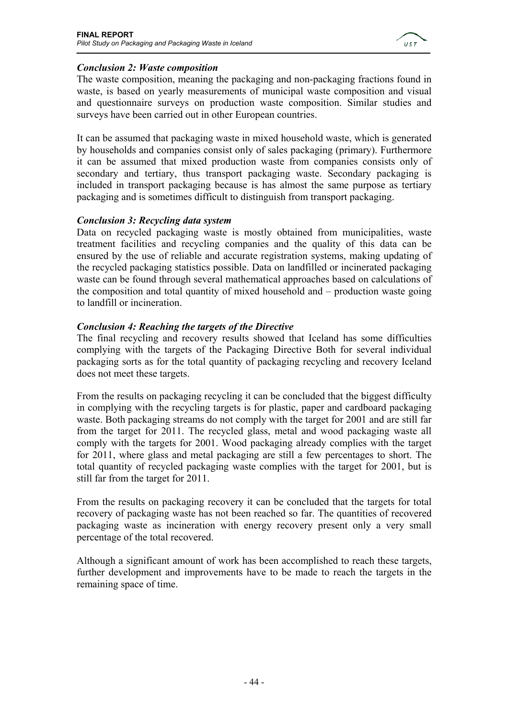

### *Conclusion 2: Waste composition*

The waste composition, meaning the packaging and non-packaging fractions found in waste, is based on yearly measurements of municipal waste composition and visual and questionnaire surveys on production waste composition. Similar studies and surveys have been carried out in other European countries.

It can be assumed that packaging waste in mixed household waste, which is generated by households and companies consist only of sales packaging (primary). Furthermore it can be assumed that mixed production waste from companies consists only of secondary and tertiary, thus transport packaging waste. Secondary packaging is included in transport packaging because is has almost the same purpose as tertiary packaging and is sometimes difficult to distinguish from transport packaging.

### *Conclusion 3: Recycling data system*

Data on recycled packaging waste is mostly obtained from municipalities, waste treatment facilities and recycling companies and the quality of this data can be ensured by the use of reliable and accurate registration systems, making updating of the recycled packaging statistics possible. Data on landfilled or incinerated packaging waste can be found through several mathematical approaches based on calculations of the composition and total quantity of mixed household and – production waste going to landfill or incineration.

### *Conclusion 4: Reaching the targets of the Directive*

The final recycling and recovery results showed that Iceland has some difficulties complying with the targets of the Packaging Directive Both for several individual packaging sorts as for the total quantity of packaging recycling and recovery Iceland does not meet these targets.

From the results on packaging recycling it can be concluded that the biggest difficulty in complying with the recycling targets is for plastic, paper and cardboard packaging waste. Both packaging streams do not comply with the target for 2001 and are still far from the target for 2011. The recycled glass, metal and wood packaging waste all comply with the targets for 2001. Wood packaging already complies with the target for 2011, where glass and metal packaging are still a few percentages to short. The total quantity of recycled packaging waste complies with the target for 2001, but is still far from the target for 2011.

From the results on packaging recovery it can be concluded that the targets for total recovery of packaging waste has not been reached so far. The quantities of recovered packaging waste as incineration with energy recovery present only a very small percentage of the total recovered.

Although a significant amount of work has been accomplished to reach these targets, further development and improvements have to be made to reach the targets in the remaining space of time.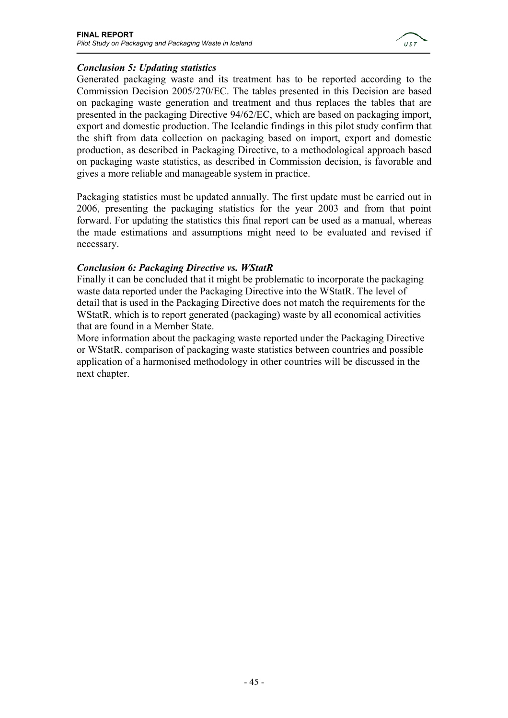

### *Conclusion 5: Updating statistics*

Generated packaging waste and its treatment has to be reported according to the Commission Decision 2005/270/EC. The tables presented in this Decision are based on packaging waste generation and treatment and thus replaces the tables that are presented in the packaging Directive 94/62/EC, which are based on packaging import, export and domestic production. The Icelandic findings in this pilot study confirm that the shift from data collection on packaging based on import, export and domestic production, as described in Packaging Directive, to a methodological approach based on packaging waste statistics, as described in Commission decision, is favorable and gives a more reliable and manageable system in practice.

Packaging statistics must be updated annually. The first update must be carried out in 2006, presenting the packaging statistics for the year 2003 and from that point forward. For updating the statistics this final report can be used as a manual, whereas the made estimations and assumptions might need to be evaluated and revised if necessary.

### *Conclusion 6: Packaging Directive vs. WStatR*

Finally it can be concluded that it might be problematic to incorporate the packaging waste data reported under the Packaging Directive into the WStatR. The level of detail that is used in the Packaging Directive does not match the requirements for the WStatR, which is to report generated (packaging) waste by all economical activities that are found in a Member State.

More information about the packaging waste reported under the Packaging Directive or WStatR, comparison of packaging waste statistics between countries and possible application of a harmonised methodology in other countries will be discussed in the next chapter.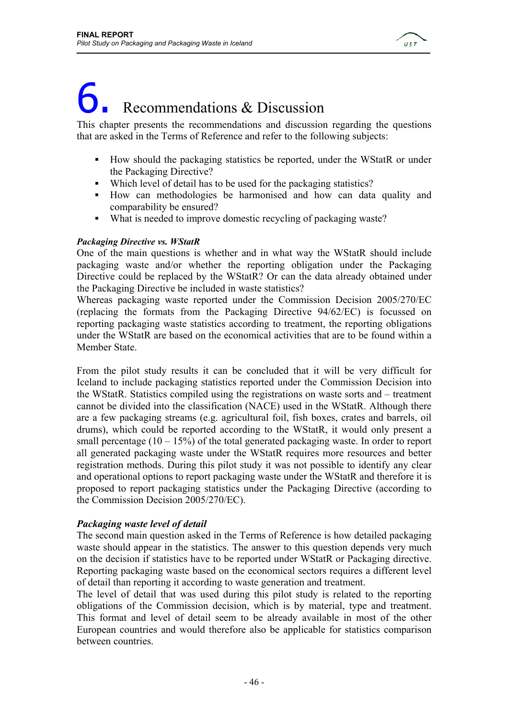

# Recommendations & Discussion

This chapter presents the recommendations and discussion regarding the questions that are asked in the Terms of Reference and refer to the following subjects:

- How should the packaging statistics be reported, under the WStatR or under the Packaging Directive?
- Which level of detail has to be used for the packaging statistics?
- How can methodologies be harmonised and how can data quality and comparability be ensured?
- What is needed to improve domestic recycling of packaging waste?

### *Packaging Directive vs. WStatR*

One of the main questions is whether and in what way the WStatR should include packaging waste and/or whether the reporting obligation under the Packaging Directive could be replaced by the WStatR? Or can the data already obtained under the Packaging Directive be included in waste statistics?

Whereas packaging waste reported under the Commission Decision 2005/270/EC (replacing the formats from the Packaging Directive 94/62/EC) is focussed on reporting packaging waste statistics according to treatment, the reporting obligations under the WStatR are based on the economical activities that are to be found within a Member State.

From the pilot study results it can be concluded that it will be very difficult for Iceland to include packaging statistics reported under the Commission Decision into the WStatR. Statistics compiled using the registrations on waste sorts and – treatment cannot be divided into the classification (NACE) used in the WStatR. Although there are a few packaging streams (e.g. agricultural foil, fish boxes, crates and barrels, oil drums), which could be reported according to the WStatR, it would only present a small percentage  $(10 - 15\%)$  of the total generated packaging waste. In order to report all generated packaging waste under the WStatR requires more resources and better registration methods. During this pilot study it was not possible to identify any clear and operational options to report packaging waste under the WStatR and therefore it is proposed to report packaging statistics under the Packaging Directive (according to the Commission Decision 2005/270/EC).

### *Packaging waste level of detail*

The second main question asked in the Terms of Reference is how detailed packaging waste should appear in the statistics. The answer to this question depends very much on the decision if statistics have to be reported under WStatR or Packaging directive. Reporting packaging waste based on the economical sectors requires a different level of detail than reporting it according to waste generation and treatment.

The level of detail that was used during this pilot study is related to the reporting obligations of the Commission decision, which is by material, type and treatment. This format and level of detail seem to be already available in most of the other European countries and would therefore also be applicable for statistics comparison between countries.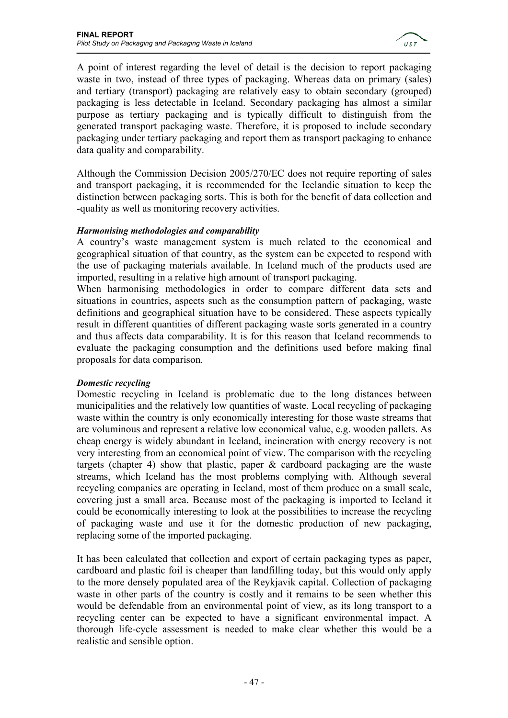

A point of interest regarding the level of detail is the decision to report packaging waste in two, instead of three types of packaging. Whereas data on primary (sales) and tertiary (transport) packaging are relatively easy to obtain secondary (grouped) packaging is less detectable in Iceland. Secondary packaging has almost a similar purpose as tertiary packaging and is typically difficult to distinguish from the generated transport packaging waste. Therefore, it is proposed to include secondary packaging under tertiary packaging and report them as transport packaging to enhance data quality and comparability.

Although the Commission Decision 2005/270/EC does not require reporting of sales and transport packaging, it is recommended for the Icelandic situation to keep the distinction between packaging sorts. This is both for the benefit of data collection and -quality as well as monitoring recovery activities.

### *Harmonising methodologies and comparability*

A country's waste management system is much related to the economical and geographical situation of that country, as the system can be expected to respond with the use of packaging materials available. In Iceland much of the products used are imported, resulting in a relative high amount of transport packaging.

When harmonising methodologies in order to compare different data sets and situations in countries, aspects such as the consumption pattern of packaging, waste definitions and geographical situation have to be considered. These aspects typically result in different quantities of different packaging waste sorts generated in a country and thus affects data comparability. It is for this reason that Iceland recommends to evaluate the packaging consumption and the definitions used before making final proposals for data comparison.

### *Domestic recycling*

Domestic recycling in Iceland is problematic due to the long distances between municipalities and the relatively low quantities of waste. Local recycling of packaging waste within the country is only economically interesting for those waste streams that are voluminous and represent a relative low economical value, e.g. wooden pallets. As cheap energy is widely abundant in Iceland, incineration with energy recovery is not very interesting from an economical point of view. The comparison with the recycling targets (chapter 4) show that plastic, paper & cardboard packaging are the waste streams, which Iceland has the most problems complying with. Although several recycling companies are operating in Iceland, most of them produce on a small scale, covering just a small area. Because most of the packaging is imported to Iceland it could be economically interesting to look at the possibilities to increase the recycling of packaging waste and use it for the domestic production of new packaging, replacing some of the imported packaging.

It has been calculated that collection and export of certain packaging types as paper, cardboard and plastic foil is cheaper than landfilling today, but this would only apply to the more densely populated area of the Reykjavik capital. Collection of packaging waste in other parts of the country is costly and it remains to be seen whether this would be defendable from an environmental point of view, as its long transport to a recycling center can be expected to have a significant environmental impact. A thorough life-cycle assessment is needed to make clear whether this would be a realistic and sensible option.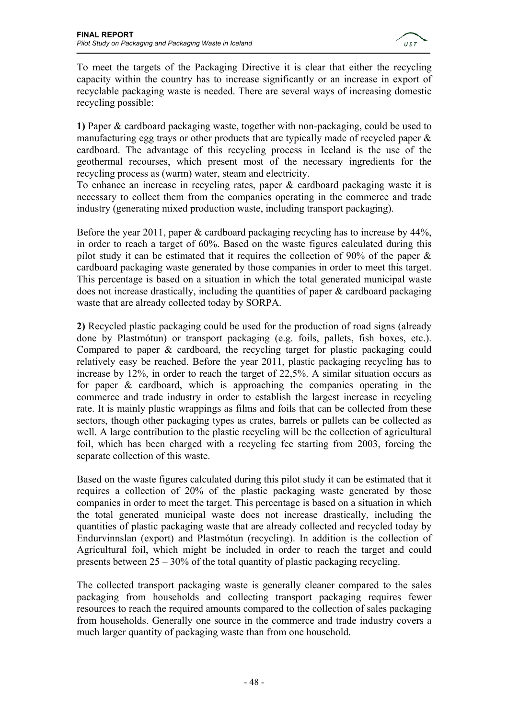

To meet the targets of the Packaging Directive it is clear that either the recycling capacity within the country has to increase significantly or an increase in export of recyclable packaging waste is needed. There are several ways of increasing domestic recycling possible:

**1)** Paper & cardboard packaging waste, together with non-packaging, could be used to manufacturing egg trays or other products that are typically made of recycled paper  $\&$ cardboard. The advantage of this recycling process in Iceland is the use of the geothermal recourses, which present most of the necessary ingredients for the recycling process as (warm) water, steam and electricity.

To enhance an increase in recycling rates, paper & cardboard packaging waste it is necessary to collect them from the companies operating in the commerce and trade industry (generating mixed production waste, including transport packaging).

Before the year 2011, paper & cardboard packaging recycling has to increase by 44%, in order to reach a target of 60%. Based on the waste figures calculated during this pilot study it can be estimated that it requires the collection of 90% of the paper & cardboard packaging waste generated by those companies in order to meet this target. This percentage is based on a situation in which the total generated municipal waste does not increase drastically, including the quantities of paper & cardboard packaging waste that are already collected today by SORPA.

**2)** Recycled plastic packaging could be used for the production of road signs (already done by Plastmótun) or transport packaging (e.g. foils, pallets, fish boxes, etc.). Compared to paper & cardboard, the recycling target for plastic packaging could relatively easy be reached. Before the year 2011, plastic packaging recycling has to increase by 12%, in order to reach the target of 22,5%. A similar situation occurs as for paper & cardboard, which is approaching the companies operating in the commerce and trade industry in order to establish the largest increase in recycling rate. It is mainly plastic wrappings as films and foils that can be collected from these sectors, though other packaging types as crates, barrels or pallets can be collected as well. A large contribution to the plastic recycling will be the collection of agricultural foil, which has been charged with a recycling fee starting from 2003, forcing the separate collection of this waste.

Based on the waste figures calculated during this pilot study it can be estimated that it requires a collection of 20% of the plastic packaging waste generated by those companies in order to meet the target. This percentage is based on a situation in which the total generated municipal waste does not increase drastically, including the quantities of plastic packaging waste that are already collected and recycled today by Endurvinnslan (export) and Plastmótun (recycling). In addition is the collection of Agricultural foil, which might be included in order to reach the target and could presents between 25 – 30% of the total quantity of plastic packaging recycling.

The collected transport packaging waste is generally cleaner compared to the sales packaging from households and collecting transport packaging requires fewer resources to reach the required amounts compared to the collection of sales packaging from households. Generally one source in the commerce and trade industry covers a much larger quantity of packaging waste than from one household.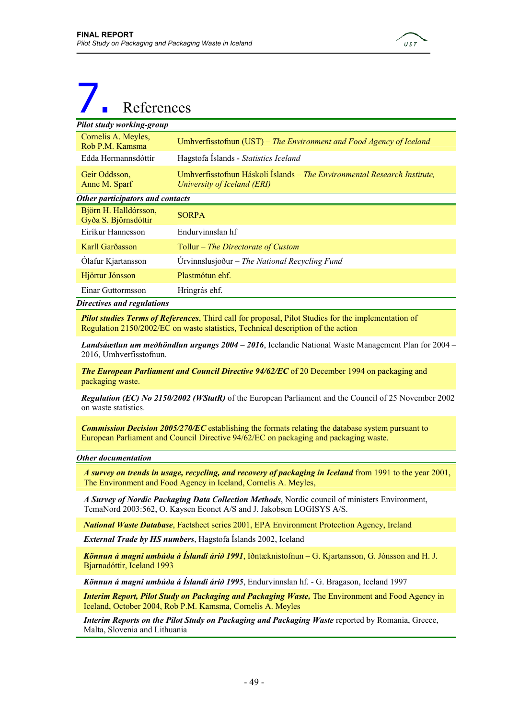

## 7. References

| Pilot study working-group                     |                                                                                                         |
|-----------------------------------------------|---------------------------------------------------------------------------------------------------------|
| Cornelis A. Meyles,<br>Rob P.M. Kamsma        | Umhverfisstofnun (UST) – The Environment and Food Agency of Iceland                                     |
| Edda Hermannsdóttír                           | Hagstofa Islands - Statistics Iceland                                                                   |
| Geir Oddsson.<br>Anne M. Sparf                | Umhverfisstofnun Háskoli Íslands - The Environmental Research Institute,<br>University of Iceland (ERI) |
| Other participators and contacts              |                                                                                                         |
| Björn H. Halldórsson,<br>Gyða S. Björnsdóttir | <b>SORPA</b>                                                                                            |
| Eiríkur Hannesson                             | Endurvinnslan hf                                                                                        |
| Karll Garðasson                               | Tollur - The Directorate of Custom                                                                      |
| Olafur Kjartansson                            | Urvinnslusjoður – The National Recycling Fund                                                           |
| Hjörtur Jónsson                               | Plastmótun ehf.                                                                                         |
| Einar Guttormsson                             | Hringrás ehf.                                                                                           |
| <b>Directives and regulations</b>             |                                                                                                         |

*Pilot studies Terms of References*, Third call for proposal, Pilot Studies for the implementation of Regulation 2150/2002/EC on waste statistics, Technical description of the action

*Landsáætlun um meðhöndlun urgangs 2004 – 2016*, Icelandic National Waste Management Plan for 2004 – 2016, Umhverfisstofnun.

*The European Parliament and Council Directive 94/62/EC* of 20 December 1994 on packaging and packaging waste.

*Regulation (EC) No 2150/2002 (WStatR)* of the European Parliament and the Council of 25 November 2002 on waste statistics.

*Commission Decision 2005/270/EC* establishing the formats relating the database system pursuant to European Parliament and Council Directive 94/62/EC on packaging and packaging waste.

#### *Other documentation*

*A survey on trends in usage, recycling, and recovery of packaging in Iceland* from 1991 to the year 2001, The Environment and Food Agency in Iceland, Cornelis A. Meyles,

*A Survey of Nordic Packaging Data Collection Methods*, Nordic council of ministers Environment, TemaNord 2003:562, O. Kaysen Econet A/S and J. Jakobsen LOGISYS A/S.

*National Waste Database*, Factsheet series 2001, EPA Environment Protection Agency, Ireland

*External Trade by HS numbers*, Hagstofa Íslands 2002, Iceland

*Könnun á magni umbúða á Íslandi árið 1991*, Iðntæknistofnun – G. Kjartansson, G. Jónsson and H. J. Bjarnadóttir, Iceland 1993

*Könnun á magni umbúða á Íslandi árið 1995*, Endurvinnslan hf. - G. Bragason, Iceland 1997

*Interim Report, Pilot Study on Packaging and Packaging Waste,* The Environment and Food Agency in Iceland, October 2004, Rob P.M. Kamsma, Cornelis A. Meyles

*Interim Reports on the Pilot Study on Packaging and Packaging Waste reported by Romania, Greece,* Malta, Slovenia and Lithuania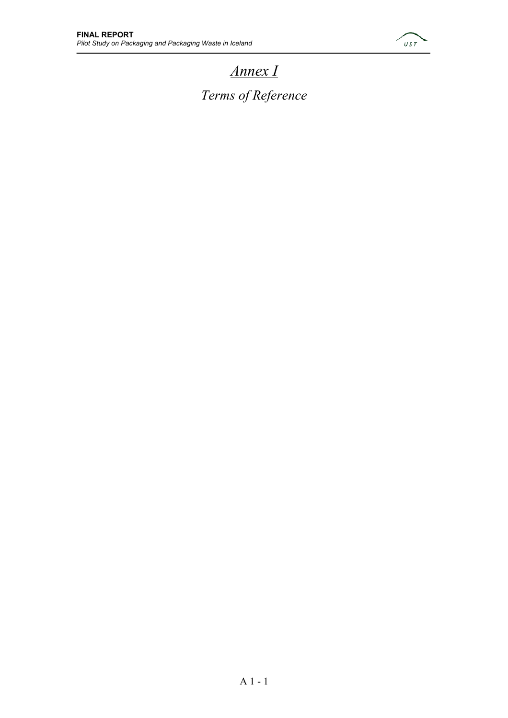

### *Annex I Terms of Reference*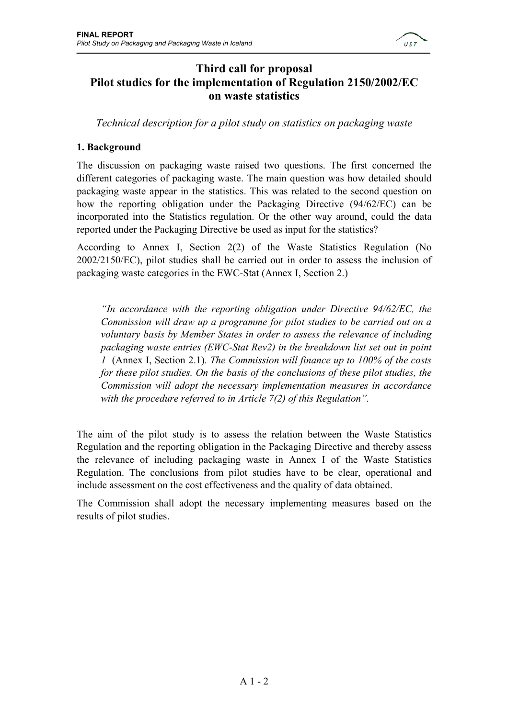

### **Third call for proposal Pilot studies for the implementation of Regulation 2150/2002/EC on waste statistics**

*Technical description for a pilot study on statistics on packaging waste* 

### **1. Background**

The discussion on packaging waste raised two questions. The first concerned the different categories of packaging waste. The main question was how detailed should packaging waste appear in the statistics. This was related to the second question on how the reporting obligation under the Packaging Directive (94/62/EC) can be incorporated into the Statistics regulation. Or the other way around, could the data reported under the Packaging Directive be used as input for the statistics?

According to Annex I, Section 2(2) of the Waste Statistics Regulation (No 2002/2150/EC), pilot studies shall be carried out in order to assess the inclusion of packaging waste categories in the EWC-Stat (Annex I, Section 2.)

*"In accordance with the reporting obligation under Directive 94/62/EC, the Commission will draw up a programme for pilot studies to be carried out on a voluntary basis by Member States in order to assess the relevance of including packaging waste entries (EWC-Stat Rev2) in the breakdown list set out in point 1* (Annex I, Section 2.1)*. The Commission will finance up to 100% of the costs for these pilot studies. On the basis of the conclusions of these pilot studies, the Commission will adopt the necessary implementation measures in accordance with the procedure referred to in Article 7(2) of this Regulation".* 

The aim of the pilot study is to assess the relation between the Waste Statistics Regulation and the reporting obligation in the Packaging Directive and thereby assess the relevance of including packaging waste in Annex I of the Waste Statistics Regulation. The conclusions from pilot studies have to be clear, operational and include assessment on the cost effectiveness and the quality of data obtained.

The Commission shall adopt the necessary implementing measures based on the results of pilot studies.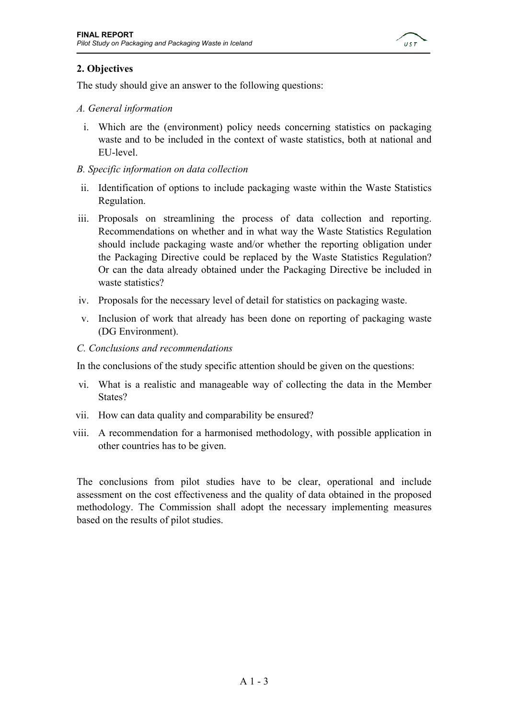

### **2. Objectives**

The study should give an answer to the following questions:

### *A. General information*

- i. Which are the (environment) policy needs concerning statistics on packaging waste and to be included in the context of waste statistics, both at national and EU-level.
- *B. Specific information on data collection*
- ii. Identification of options to include packaging waste within the Waste Statistics Regulation.
- iii. Proposals on streamlining the process of data collection and reporting. Recommendations on whether and in what way the Waste Statistics Regulation should include packaging waste and/or whether the reporting obligation under the Packaging Directive could be replaced by the Waste Statistics Regulation? Or can the data already obtained under the Packaging Directive be included in waste statistics?
- iv. Proposals for the necessary level of detail for statistics on packaging waste.
- v. Inclusion of work that already has been done on reporting of packaging waste (DG Environment).
- *C. Conclusions and recommendations*

In the conclusions of the study specific attention should be given on the questions:

- vi. What is a realistic and manageable way of collecting the data in the Member States?
- vii. How can data quality and comparability be ensured?
- viii. A recommendation for a harmonised methodology, with possible application in other countries has to be given.

The conclusions from pilot studies have to be clear, operational and include assessment on the cost effectiveness and the quality of data obtained in the proposed methodology. The Commission shall adopt the necessary implementing measures based on the results of pilot studies.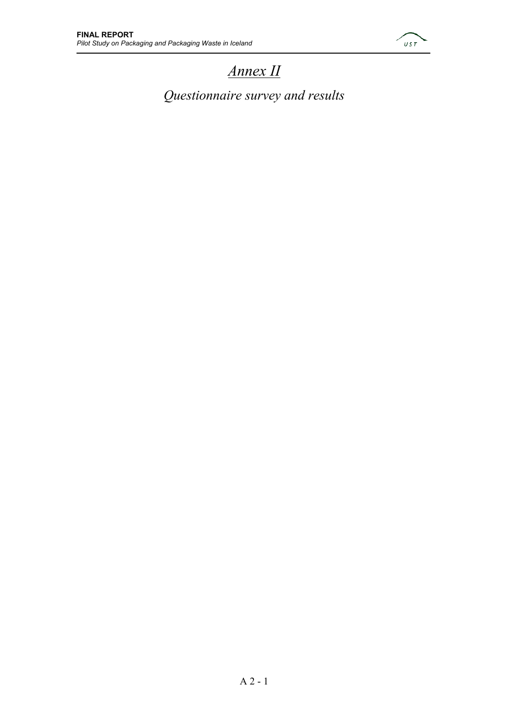

### *Annex II*

*Questionnaire survey and results*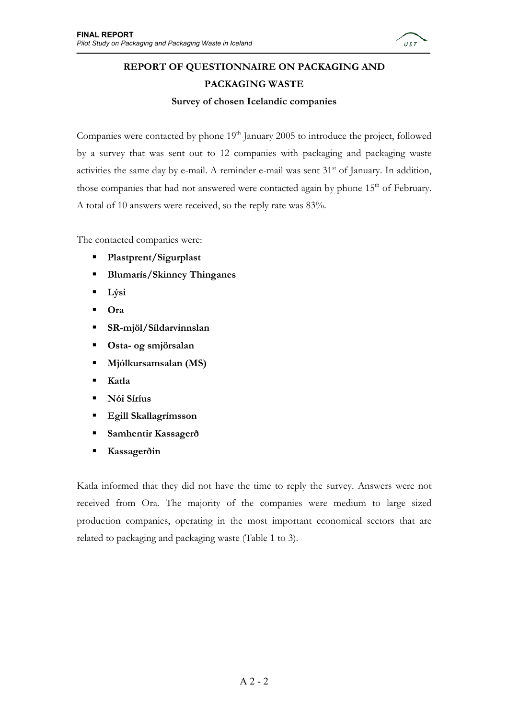

### **REPORT OF QUESTIONNAIRE ON PACKAGING AND PACKAGING WASTE**

**Survey of chosen Icelandic companies** 

Companies were contacted by phone  $19<sup>th</sup>$  January 2005 to introduce the project, followed by a survey that was sent out to 12 companies with packaging and packaging waste activities the same day by e-mail. A reminder e-mail was sent 31<sup>st</sup> of January. In addition, those companies that had not answered were contacted again by phone  $15<sup>th</sup>$  of February. A total of 10 answers were received, so the reply rate was 83%.

The contacted companies were:

- **Plastprent/Sigurplast**
- **Blumarís/Skinney Thinganes**
- **Lýsi**
- **Ora**
- **SR-mjöl/Síldarvinnslan**
- **Osta- og smjörsalan**
- **Mjólkursamsalan (MS)**
- **Katla**
- **Nói Síríus**
- **Egill Skallagrímsson**
- **Samhentir Kassagerð**
- **Kassagerðin**

Katla informed that they did not have the time to reply the survey. Answers were not received from Ora. The majority of the companies were medium to large sized production companies, operating in the most important economical sectors that are related to packaging and packaging waste (Table 1 to 3).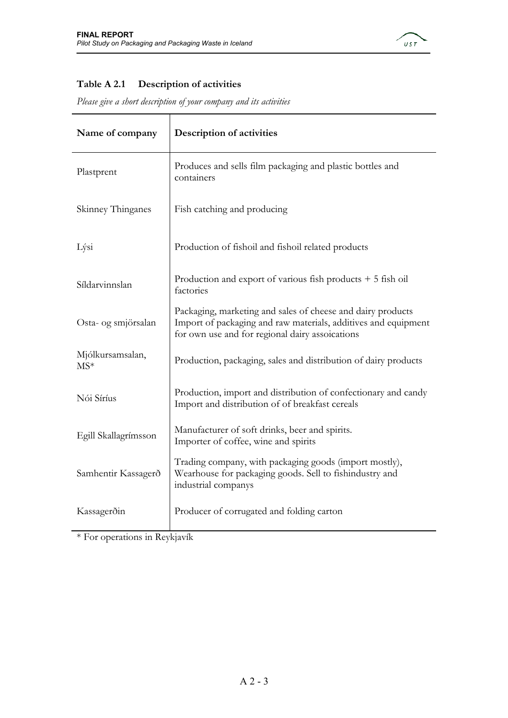

### **Table A 2.1 Description of activities**

*Please give a short description of your company and its activities* 

| Name of company           | Description of activities                                                                                                                                                        |
|---------------------------|----------------------------------------------------------------------------------------------------------------------------------------------------------------------------------|
| Plastprent                | Produces and sells film packaging and plastic bottles and<br>containers                                                                                                          |
| Skinney Thinganes         | Fish catching and producing                                                                                                                                                      |
| Lýsi                      | Production of fishoil and fishoil related products                                                                                                                               |
| Síldarvinnslan            | Production and export of various fish products $+5$ fish oil<br>factories                                                                                                        |
| Osta- og smjörsalan       | Packaging, marketing and sales of cheese and dairy products<br>Import of packaging and raw materials, additives and equipment<br>for own use and for regional dairy assoications |
| Mjólkursamsalan,<br>$MS*$ | Production, packaging, sales and distribution of dairy products                                                                                                                  |
| Nói Síríus                | Production, import and distribution of confectionary and candy<br>Import and distribution of of breakfast cereals                                                                |
| Egill Skallagrímsson      | Manufacturer of soft drinks, beer and spirits.<br>Importer of coffee, wine and spirits                                                                                           |
| Samhentir Kassagerð       | Trading company, with packaging goods (import mostly),<br>Wearhouse for packaging goods. Sell to fishindustry and<br>industrial companys                                         |
| Kassagerðin               | Producer of corrugated and folding carton                                                                                                                                        |

\* For operations in Reykjavík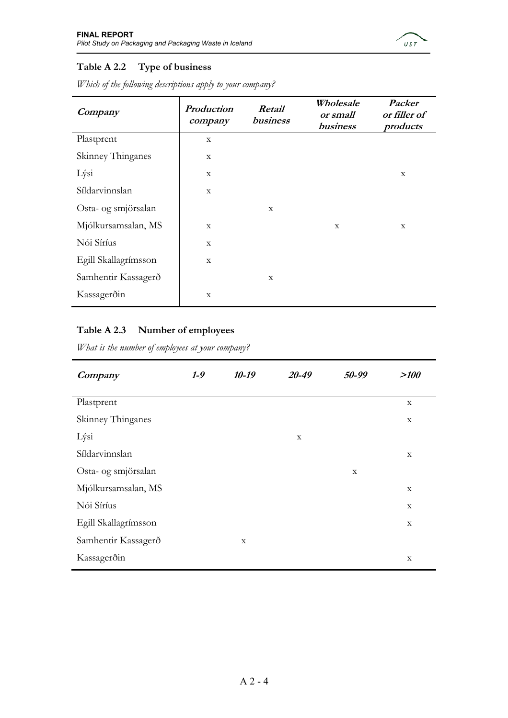

### **Table A 2.2 Type of business**

| Company              | Production<br>company | Retail<br>business |   | Packer<br>or filler of<br>products |
|----------------------|-----------------------|--------------------|---|------------------------------------|
| Plastprent           | $\mathbf X$           |                    |   |                                    |
| Skinney Thinganes    | $\mathbf X$           |                    |   |                                    |
| Lýsi                 | X                     |                    |   | X                                  |
| Síldarvinnslan       | X                     |                    |   |                                    |
| Osta- og smjörsalan  |                       | X                  |   |                                    |
| Mjólkursamsalan, MS  | $\mathbf X$           |                    | X | X                                  |
| Nói Síríus           | $\mathbf X$           |                    |   |                                    |
| Egill Skallagrímsson | $\mathbf X$           |                    |   |                                    |
| Samhentir Kassagerð  |                       | $\mathbf X$        |   |                                    |
| Kassagerðin          | $\mathbf X$           |                    |   |                                    |

*Which of the following descriptions apply to your company?* 

### **Table A 2.3 Number of employees**

*What is the number of employees at your company?* 

| Company              | $1-9$ | $10-19$     | 20-49       | 50-99 | >100        |
|----------------------|-------|-------------|-------------|-------|-------------|
| Plastprent           |       |             |             |       | $\mathbf X$ |
| Skinney Thinganes    |       |             |             |       | X           |
| Lýsi                 |       |             | $\mathbf X$ |       |             |
| Síldarvinnslan       |       |             |             |       | X           |
| Osta- og smjörsalan  |       |             |             | X     |             |
| Mjólkursamsalan, MS  |       |             |             |       | $\mathbf X$ |
| Nói Síríus           |       |             |             |       | X           |
| Egill Skallagrímsson |       |             |             |       | $\mathbf X$ |
| Samhentir Kassagerð  |       | $\mathbf X$ |             |       |             |
| Kassagerðin          |       |             |             |       | $\mathbf X$ |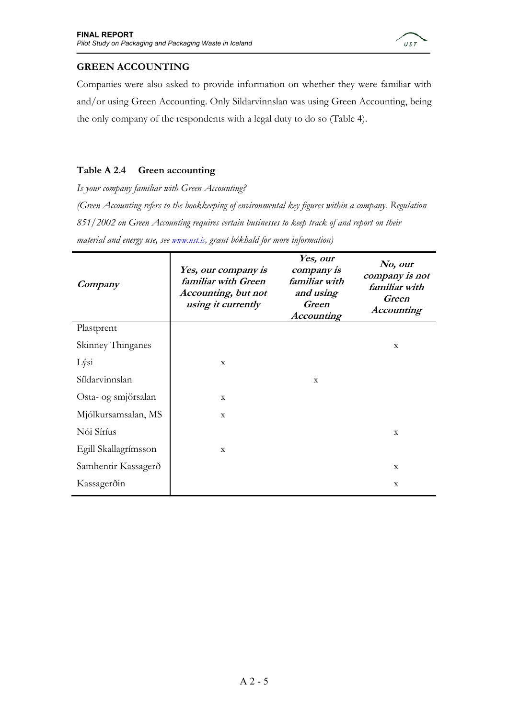

### **GREEN ACCOUNTING**

Companies were also asked to provide information on whether they were familiar with and/or using Green Accounting. Only Sildarvinnslan was using Green Accounting, being the only company of the respondents with a legal duty to do so (Table 4).

### **Table A 2.4 Green accounting**

*Is your company familiar with Green Accounting? (Green Accounting refers to the bookkeeping of environmental key figures within a company. Regulation 851/2002 on Green Accounting requires certain businesses to keep track of and report on their material and energy use, see www.ust.is, grænt bókhald for more information)* 

| Company              | Yes, our company is<br>familiar with Green<br>Accounting, but not<br>using it currently | Yes, our<br>company is<br>familiar with<br>and using<br><b>Green</b><br><b>Accounting</b> | No, our<br>company is not<br>familiar with<br>Green<br><b>Accounting</b> |
|----------------------|-----------------------------------------------------------------------------------------|-------------------------------------------------------------------------------------------|--------------------------------------------------------------------------|
| Plastprent           |                                                                                         |                                                                                           |                                                                          |
| Skinney Thinganes    |                                                                                         |                                                                                           | X                                                                        |
| Lýsi                 | X                                                                                       |                                                                                           |                                                                          |
| Síldarvinnslan       |                                                                                         | X                                                                                         |                                                                          |
| Osta- og smjörsalan  | $\mathbf{x}$                                                                            |                                                                                           |                                                                          |
| Mjólkursamsalan, MS  | $\mathbf{x}$                                                                            |                                                                                           |                                                                          |
| Nói Síríus           |                                                                                         |                                                                                           | X                                                                        |
| Egill Skallagrímsson | $\mathbf X$                                                                             |                                                                                           |                                                                          |
| Samhentir Kassagerð  |                                                                                         |                                                                                           | X                                                                        |
| Kassagerðin          |                                                                                         |                                                                                           | X                                                                        |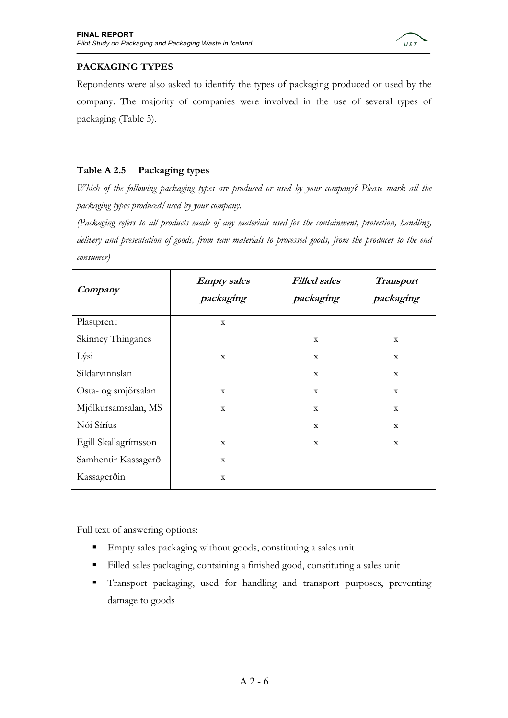

### **PACKAGING TYPES**

Repondents were also asked to identify the types of packaging produced or used by the company. The majority of companies were involved in the use of several types of packaging (Table 5).

### **Table A 2.5 Packaging types**

*Which of the following packaging types are produced or used by your company? Please mark all the packaging types produced/used by your company.* 

*(Packaging refers to all products made of any materials used for the containment, protection, handling, delivery and presentation of goods, from raw materials to processed goods, from the producer to the end consumer)* 

| Company              | <b>Empty</b> sales<br>packaging | <b>Filled sales</b><br>packaging | <b>Transport</b><br>packaging |  |
|----------------------|---------------------------------|----------------------------------|-------------------------------|--|
| Plastprent           | $\mathbf X$                     |                                  |                               |  |
| Skinney Thinganes    |                                 | X                                | $\mathbf X$                   |  |
| Lýsi                 | $\mathbf X$                     | X                                | $\mathbf X$                   |  |
| Síldarvinnslan       |                                 | $\mathbf X$                      | $\mathbf X$                   |  |
| Osta- og smjörsalan  | $\mathbf X$                     | $\mathbf X$                      | $\mathbf X$                   |  |
| Mjólkursamsalan, MS  | $\mathbf X$                     | $\mathbf X$                      | $\mathbf X$                   |  |
| Nói Síríus           |                                 | $\mathbf X$                      | $\mathbf X$                   |  |
| Egill Skallagrímsson | $\mathbf X$                     | $\mathbf X$                      | $\mathbf X$                   |  |
| Samhentir Kassagerð  | X                               |                                  |                               |  |
| Kassagerðin          | X                               |                                  |                               |  |

Full text of answering options:

- Empty sales packaging without goods, constituting a sales unit
- Filled sales packaging, containing a finished good, constituting a sales unit
- Transport packaging, used for handling and transport purposes, preventing damage to goods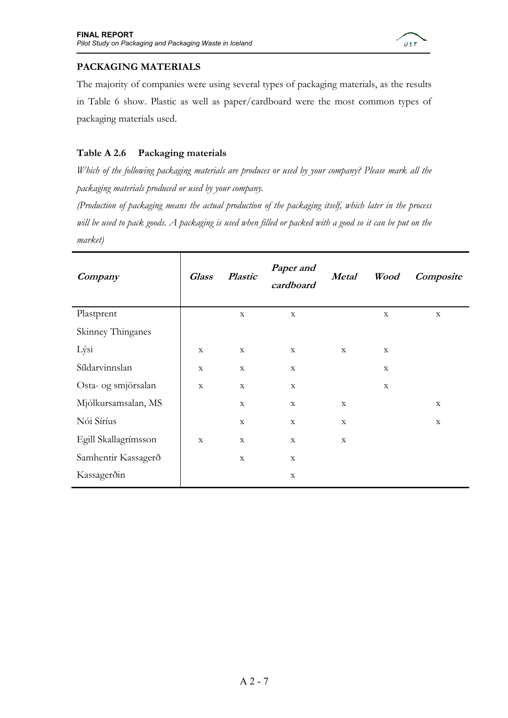

### **PACKAGING MATERIALS**

The majority of companies were using several types of packaging materials, as the results in Table 6 show. Plastic as well as paper/cardboard were the most common types of packaging materials used.

### **Table A 2.6 Packaging materials**

*Which of the following packaging materials are produces or used by your company? Please mark all the packaging materials produced or used by your company.* 

*(Production of packaging means the actual production of the packaging itself, which later in the process*  will be used to pack goods. A packaging is used when filled or packed with a good so it can be put on the *market)* 

| Company              | <b>Glass</b> | <b>Plastic</b> | Paper and<br>cardboard | <b>Metal</b> | Wood        | Composite   |
|----------------------|--------------|----------------|------------------------|--------------|-------------|-------------|
| Plastprent           |              | $\mathbf X$    | $\mathbf X$            |              | $\mathbf X$ | $\mathbf X$ |
| Skinney Thinganes    |              |                |                        |              |             |             |
| Lýsi                 | $\mathbf X$  | $\mathbf X$    | $\mathbf X$            | $\mathbf X$  | $\mathbf X$ |             |
| Síldarvinnslan       | $\mathbf X$  | $\mathbf X$    | $\mathbf X$            |              | $\mathbf X$ |             |
| Osta- og smjörsalan  | $\mathbf X$  | $\mathbf X$    | $\mathbf X$            |              | $\mathbf X$ |             |
| Mjólkursamsalan, MS  |              | $\mathbf X$    | $\mathbf X$            | $\mathbf X$  |             | $\mathbf X$ |
| Nói Síríus           |              | $\mathbf X$    | $\mathbf X$            | $\mathbf X$  |             | $\mathbf X$ |
| Egill Skallagrímsson | $\mathbf X$  | $\mathbf X$    | $\mathbf X$            | $\mathbf X$  |             |             |
| Samhentir Kassagerð  |              | $\mathbf X$    | $\mathbf X$            |              |             |             |
| Kassagerðin          |              |                | $\mathbf X$            |              |             |             |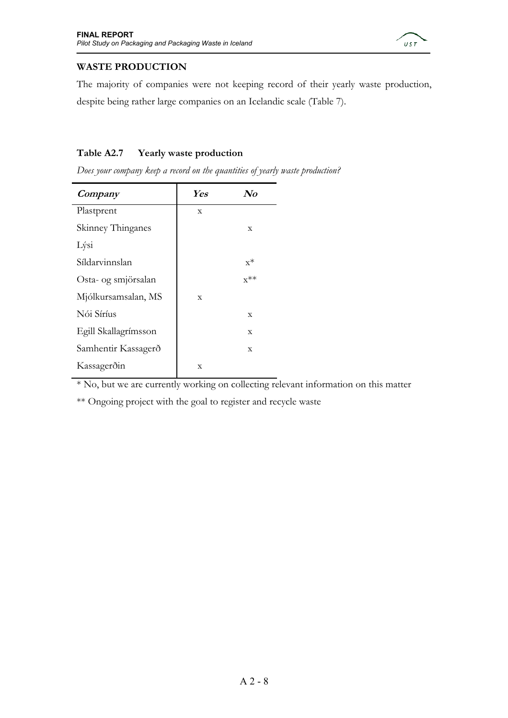

### **WASTE PRODUCTION**

The majority of companies were not keeping record of their yearly waste production, despite being rather large companies on an Icelandic scale (Table 7).

### **Table A2.7 Yearly waste production**

*Does your company keep a record on the quantities of yearly waste production?* 

| Company              | <b>Yes</b>  | $\mathbf{N}$ o |
|----------------------|-------------|----------------|
| Plastprent           | X           |                |
| Skinney Thinganes    |             | X              |
| Lýsi                 |             |                |
| Síldarvinnslan       |             | $x^*$          |
| Osta- og smjörsalan  |             | $x^{**}$       |
| Mjólkursamsalan, MS  | $\mathbf x$ |                |
| Nói Síríus           |             | $\mathbf X$    |
| Egill Skallagrímsson |             | $\mathbf x$    |
| Samhentir Kassagerð  |             | X              |
| Kassagerðin          | X           |                |

\* No, but we are currently working on collecting relevant information on this matter

\*\* Ongoing project with the goal to register and recycle waste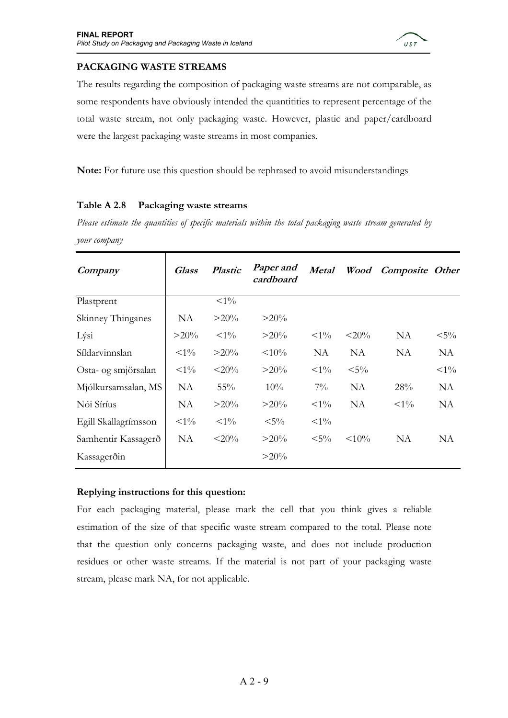

### **PACKAGING WASTE STREAMS**

The results regarding the composition of packaging waste streams are not comparable, as some respondents have obviously intended the quantitities to represent percentage of the total waste stream, not only packaging waste. However, plastic and paper/cardboard were the largest packaging waste streams in most companies.

**Note:** For future use this question should be rephrased to avoid misunderstandings

### **Table A 2.8 Packaging waste streams**

*Please estimate the quantities of specific materials within the total packaging waste stream generated by your company* 

| Company              | <b>Glass</b> | <b>Plastic</b> | Paper and<br>cardboard | Metal      | Wood     | <b>Composite Other</b> |          |
|----------------------|--------------|----------------|------------------------|------------|----------|------------------------|----------|
| Plastprent           |              | $<\!\!1\%$     |                        |            |          |                        |          |
| Skinney Thinganes    | NA           | $>20\%$        | $>20\%$                |            |          |                        |          |
| Lýsi                 | $>20\%$      | ${<}1\%$       | $>20\%$                | ${<}1\%$   | $<$ 20%  | <b>NA</b>              | $< 5\%$  |
| Síldarvinnslan       | $<\!\!1\%$   | $>20\%$        | $< 10\%$               | NA         | NA       | NA                     | NA       |
| Osta- og smjörsalan  | ${<}1\%$     | $<$ 20%        | $>20\%$                | $<\!\!1\%$ | $< 5\%$  |                        | ${<}1\%$ |
| Mjólkursamsalan, MS  | NA           | 55%            | 10%                    | $7\%$      | NA       | 28%                    | NA       |
| Nói Síríus           | NA           | $>20\%$        | $>20\%$                | ${<}1\%$   | NA       | ${<}1\%$               | NA       |
| Egill Skallagrímsson | $<\!\!1\%$   | ${<}1\%$       | $< 5\%$                | $<\!\!1\%$ |          |                        |          |
| Samhentir Kassagerð  | NA           | $<$ 20%        | $>20\%$                | $< 5\%$    | $< 10\%$ | NA                     | NA       |
| Kassagerðin          |              |                | $>20\%$                |            |          |                        |          |

### **Replying instructions for this question:**

For each packaging material, please mark the cell that you think gives a reliable estimation of the size of that specific waste stream compared to the total. Please note that the question only concerns packaging waste, and does not include production residues or other waste streams. If the material is not part of your packaging waste stream, please mark NA, for not applicable.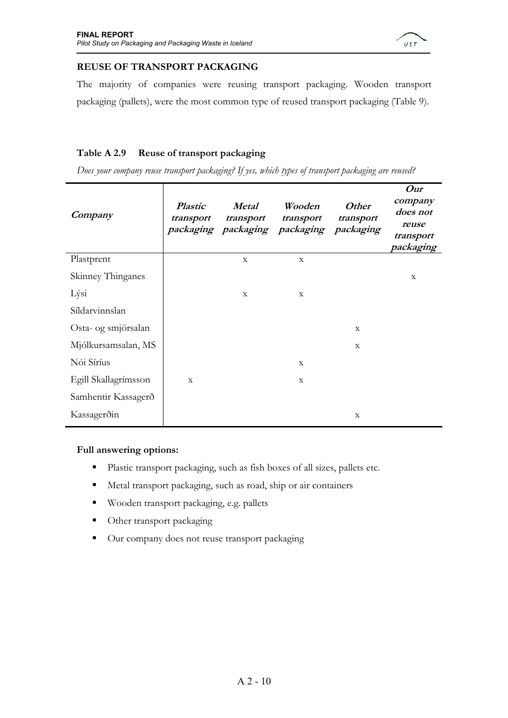

### **REUSE OF TRANSPORT PACKAGING**

The majority of companies were reusing transport packaging. Wooden transport packaging (pallets), were the most common type of reused transport packaging (Table 9).

### **Table A 2.9 Reuse of transport packaging**

*Does your company reuse transport packaging? If yes, which types of transport packaging are reused?* 

| Company              | <b>Plastic</b><br>transport | <b>Metal</b><br>transport | Wooden<br>transport<br>packaging packaging packaging packaging | <b>Other</b><br>transport | Our<br>company<br>does not<br>reuse<br>transport<br>packaging |
|----------------------|-----------------------------|---------------------------|----------------------------------------------------------------|---------------------------|---------------------------------------------------------------|
| Plastprent           |                             | $\mathbf{x}$              | $\mathbf{x}$                                                   |                           |                                                               |
| Skinney Thinganes    |                             |                           |                                                                |                           | $\mathbf X$                                                   |
| Lýsi                 |                             | X                         | $\mathbf X$                                                    |                           |                                                               |
| Síldarvinnslan       |                             |                           |                                                                |                           |                                                               |
| Osta- og smjörsalan  |                             |                           |                                                                | X                         |                                                               |
| Mjólkursamsalan, MS  |                             |                           |                                                                | X                         |                                                               |
| Nói Síríus           |                             |                           | $\mathbf X$                                                    |                           |                                                               |
| Egill Skallagrímsson | $\mathbf X$                 |                           | $\mathbf X$                                                    |                           |                                                               |
| Samhentir Kassagerð  |                             |                           |                                                                |                           |                                                               |
| Kassagerðin          |                             |                           |                                                                | X                         |                                                               |

### **Full answering options:**

- Plastic transport packaging, such as fish boxes of all sizes, pallets etc.
- Metal transport packaging, such as road, ship or air containers
- Wooden transport packaging, e.g. pallets
- Other transport packaging
- Our company does not reuse transport packaging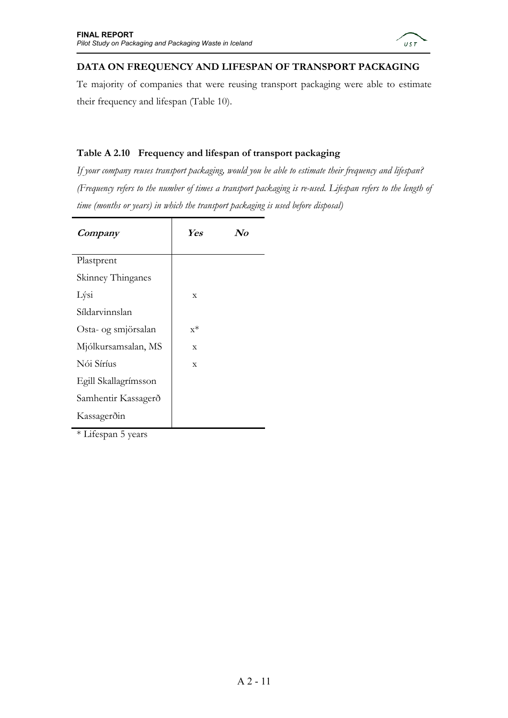

### **DATA ON FREQUENCY AND LIFESPAN OF TRANSPORT PACKAGING**

Te majority of companies that were reusing transport packaging were able to estimate their frequency and lifespan (Table 10).

### **Table A 2.10 Frequency and lifespan of transport packaging**

*If your company reuses transport packaging, would you be able to estimate their frequency and lifespan? (Frequency refers to the number of times a transport packaging is re-used. Lifespan refers to the length of time (months or years) in which the transport packaging is used before disposal)* 

| Company              | <b>Yes</b>  | $\mathcal{N}o$ |
|----------------------|-------------|----------------|
| Plastprent           |             |                |
| Skinney Thinganes    |             |                |
| Lýsi                 | $\mathbf x$ |                |
| Síldarvinnslan       |             |                |
| Osta- og smjörsalan  | $x^*$       |                |
| Mjólkursamsalan, MS  | $\mathbf x$ |                |
| Nói Síríus           | $\mathbf x$ |                |
| Egill Skallagrímsson |             |                |
| Samhentir Kassagerð  |             |                |
| Kassagerðin          |             |                |
|                      |             |                |

\* Lifespan 5 years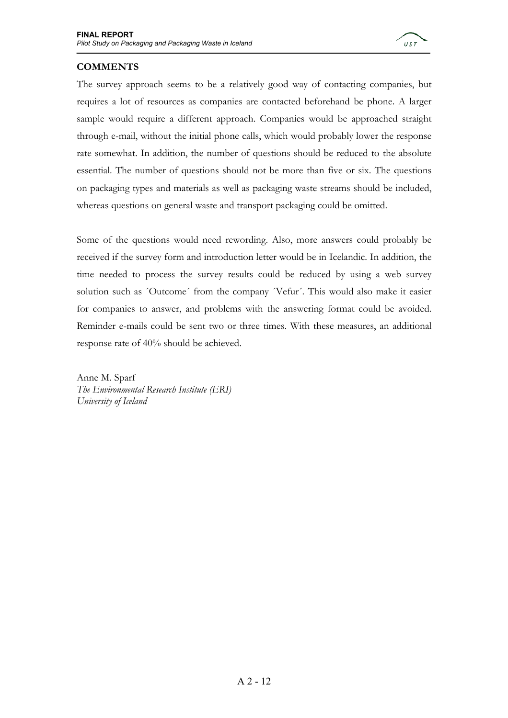

### **COMMENTS**

The survey approach seems to be a relatively good way of contacting companies, but requires a lot of resources as companies are contacted beforehand be phone. A larger sample would require a different approach. Companies would be approached straight through e-mail, without the initial phone calls, which would probably lower the response rate somewhat. In addition, the number of questions should be reduced to the absolute essential. The number of questions should not be more than five or six. The questions on packaging types and materials as well as packaging waste streams should be included, whereas questions on general waste and transport packaging could be omitted.

Some of the questions would need rewording. Also, more answers could probably be received if the survey form and introduction letter would be in Icelandic. In addition, the time needed to process the survey results could be reduced by using a web survey solution such as ´Outcome´ from the company ´Vefur´. This would also make it easier for companies to answer, and problems with the answering format could be avoided. Reminder e-mails could be sent two or three times. With these measures, an additional response rate of 40% should be achieved.

Anne M. Sparf *The Environmental Research Institute (ERI) University of Iceland*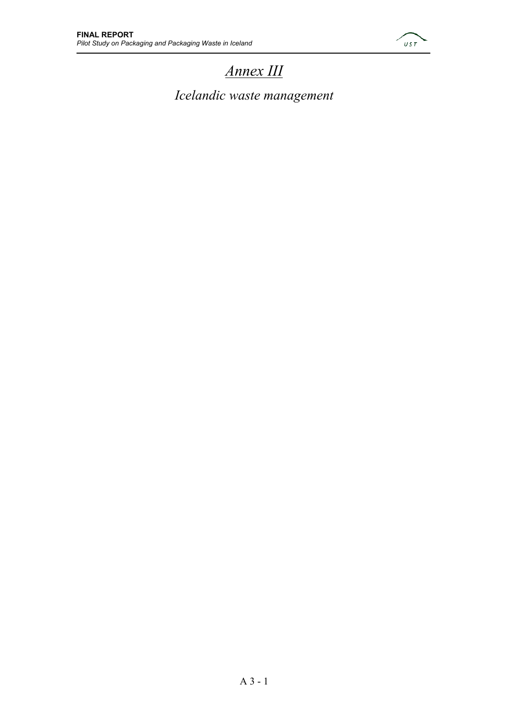

### *Annex III*

*Icelandic waste management*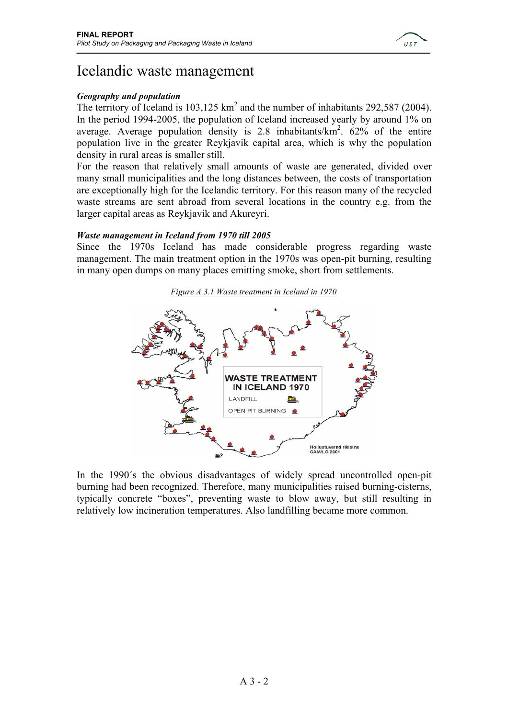

### Icelandic waste management

### *Geography and population*

The territory of Iceland is  $103,125 \text{ km}^2$  and the number of inhabitants 292,587 (2004). In the period 1994-2005, the population of Iceland increased yearly by around 1% on average. Average population density is  $2.8$  inhabitants/ $km^2$ .  $62\%$  of the entire population live in the greater Reykjavik capital area, which is why the population density in rural areas is smaller still.

For the reason that relatively small amounts of waste are generated, divided over many small municipalities and the long distances between, the costs of transportation are exceptionally high for the Icelandic territory. For this reason many of the recycled waste streams are sent abroad from several locations in the country e.g. from the larger capital areas as Reykjavik and Akureyri.

### *Waste management in Iceland from 1970 till 2005*

Since the 1970s Iceland has made considerable progress regarding waste management. The main treatment option in the 1970s was open-pit burning, resulting in many open dumps on many places emitting smoke, short from settlements.



In the 1990´s the obvious disadvantages of widely spread uncontrolled open-pit burning had been recognized. Therefore, many municipalities raised burning-cisterns, typically concrete "boxes", preventing waste to blow away, but still resulting in relatively low incineration temperatures. Also landfilling became more common.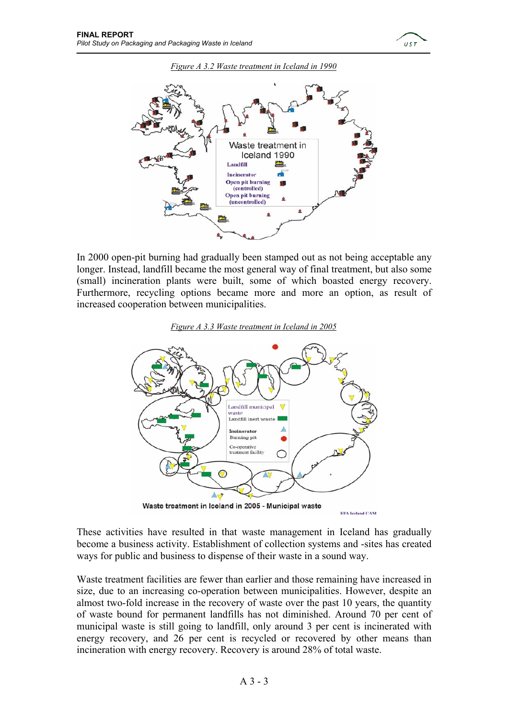





In 2000 open-pit burning had gradually been stamped out as not being acceptable any longer. Instead, landfill became the most general way of final treatment, but also some (small) incineration plants were built, some of which boasted energy recovery. Furthermore, recycling options became more and more an option, as result of increased cooperation between municipalities.





These activities have resulted in that waste management in Iceland has gradually become a business activity. Establishment of collection systems and -sites has created ways for public and business to dispense of their waste in a sound way.

Waste treatment facilities are fewer than earlier and those remaining have increased in size, due to an increasing co-operation between municipalities. However, despite an almost two-fold increase in the recovery of waste over the past 10 years, the quantity of waste bound for permanent landfills has not diminished. Around 70 per cent of municipal waste is still going to landfill, only around 3 per cent is incinerated with energy recovery, and 26 per cent is recycled or recovered by other means than incineration with energy recovery. Recovery is around 28% of total waste.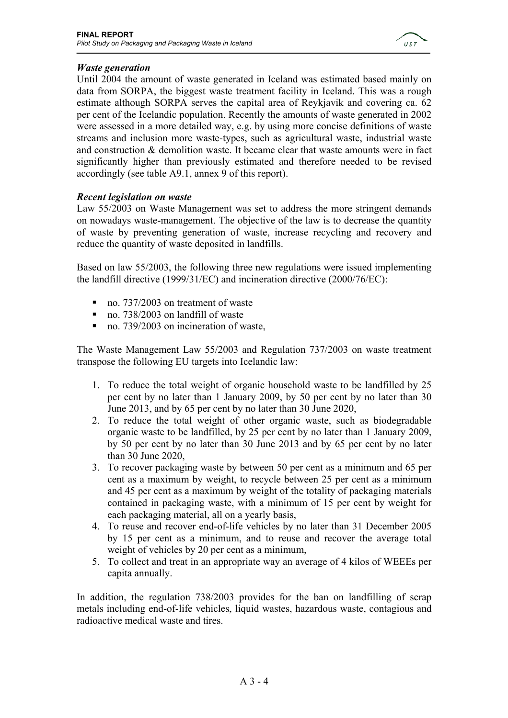

### *Waste generation*

Until 2004 the amount of waste generated in Iceland was estimated based mainly on data from SORPA, the biggest waste treatment facility in Iceland. This was a rough estimate although SORPA serves the capital area of Reykjavik and covering ca. 62 per cent of the Icelandic population. Recently the amounts of waste generated in 2002 were assessed in a more detailed way, e.g. by using more concise definitions of waste streams and inclusion more waste-types, such as agricultural waste, industrial waste and construction & demolition waste. It became clear that waste amounts were in fact significantly higher than previously estimated and therefore needed to be revised accordingly (see table A9.1, annex 9 of this report).

### *Recent legislation on waste*

Law 55/2003 on Waste Management was set to address the more stringent demands on nowadays waste-management. The objective of the law is to decrease the quantity of waste by preventing generation of waste, increase recycling and recovery and reduce the quantity of waste deposited in landfills.

Based on law 55/2003, the following three new regulations were issued implementing the landfill directive (1999/31/EC) and incineration directive (2000/76/EC):

- no. 737/2003 on treatment of waste
- no. 738/2003 on landfill of waste
- no. 739/2003 on incineration of waste,

The Waste Management Law 55/2003 and Regulation 737/2003 on waste treatment transpose the following EU targets into Icelandic law:

- 1. To reduce the total weight of organic household waste to be landfilled by 25 per cent by no later than 1 January 2009, by 50 per cent by no later than 30 June 2013, and by 65 per cent by no later than 30 June 2020,
- 2. To reduce the total weight of other organic waste, such as biodegradable organic waste to be landfilled, by 25 per cent by no later than 1 January 2009, by 50 per cent by no later than 30 June 2013 and by 65 per cent by no later than 30 June 2020,
- 3. To recover packaging waste by between 50 per cent as a minimum and 65 per cent as a maximum by weight, to recycle between 25 per cent as a minimum and 45 per cent as a maximum by weight of the totality of packaging materials contained in packaging waste, with a minimum of 15 per cent by weight for each packaging material, all on a yearly basis,
- 4. To reuse and recover end-of-life vehicles by no later than 31 December 2005 by 15 per cent as a minimum, and to reuse and recover the average total weight of vehicles by 20 per cent as a minimum,
- 5. To collect and treat in an appropriate way an average of 4 kilos of WEEEs per capita annually.

In addition, the regulation 738/2003 provides for the ban on landfilling of scrap metals including end-of-life vehicles, liquid wastes, hazardous waste, contagious and radioactive medical waste and tires.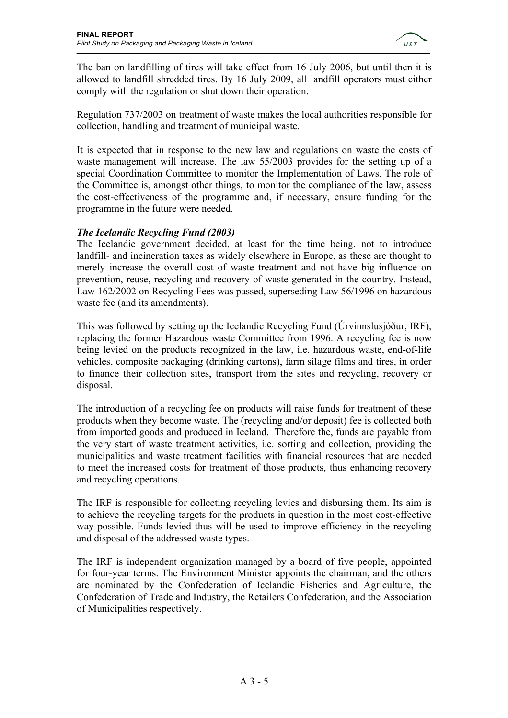

The ban on landfilling of tires will take effect from 16 July 2006, but until then it is allowed to landfill shredded tires. By 16 July 2009, all landfill operators must either comply with the regulation or shut down their operation.

Regulation 737/2003 on treatment of waste makes the local authorities responsible for collection, handling and treatment of municipal waste.

It is expected that in response to the new law and regulations on waste the costs of waste management will increase. The law 55/2003 provides for the setting up of a special Coordination Committee to monitor the Implementation of Laws. The role of the Committee is, amongst other things, to monitor the compliance of the law, assess the cost-effectiveness of the programme and, if necessary, ensure funding for the programme in the future were needed.

### *The Icelandic Recycling Fund (2003)*

The Icelandic government decided, at least for the time being, not to introduce landfill- and incineration taxes as widely elsewhere in Europe, as these are thought to merely increase the overall cost of waste treatment and not have big influence on prevention, reuse, recycling and recovery of waste generated in the country. Instead, Law 162/2002 on Recycling Fees was passed, superseding Law 56/1996 on hazardous waste fee (and its amendments).

This was followed by setting up the Icelandic Recycling Fund (Úrvinnslusjóður, IRF), replacing the former Hazardous waste Committee from 1996. A recycling fee is now being levied on the products recognized in the law, i.e. hazardous waste, end-of-life vehicles, composite packaging (drinking cartons), farm silage films and tires, in order to finance their collection sites, transport from the sites and recycling, recovery or disposal.

The introduction of a recycling fee on products will raise funds for treatment of these products when they become waste. The (recycling and/or deposit) fee is collected both from imported goods and produced in Iceland. Therefore the, funds are payable from the very start of waste treatment activities, i.e. sorting and collection, providing the municipalities and waste treatment facilities with financial resources that are needed to meet the increased costs for treatment of those products, thus enhancing recovery and recycling operations.

The IRF is responsible for collecting recycling levies and disbursing them. Its aim is to achieve the recycling targets for the products in question in the most cost-effective way possible. Funds levied thus will be used to improve efficiency in the recycling and disposal of the addressed waste types.

The IRF is independent organization managed by a board of five people, appointed for four-year terms. The Environment Minister appoints the chairman, and the others are nominated by the Confederation of Icelandic Fisheries and Agriculture, the Confederation of Trade and Industry, the Retailers Confederation, and the Association of Municipalities respectively.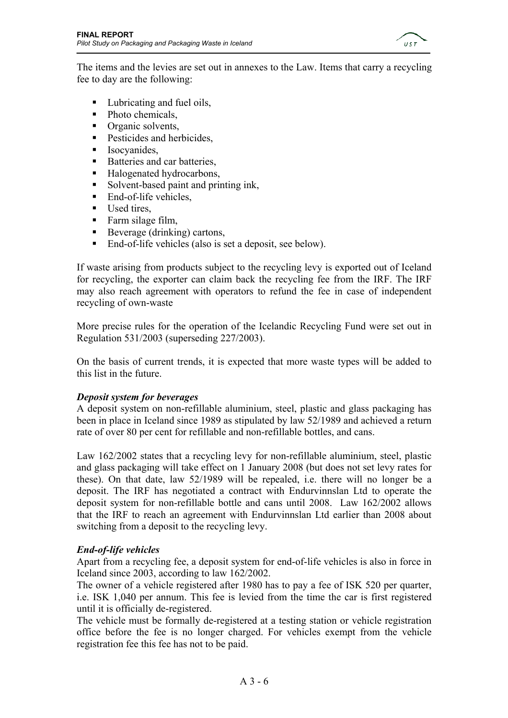

The items and the levies are set out in annexes to the Law. Items that carry a recycling fee to day are the following:

- Lubricating and fuel oils,
- $\blacksquare$  Photo chemicals,
- Organic solvents,
- **Pesticides and herbicides,**
- **Isocyanides.**
- Batteries and car batteries,
- Halogenated hydrocarbons,
- Solvent-based paint and printing ink,
- End-of-life vehicles,
- Used tires.
- Farm silage film,
- Beverage (drinking) cartons,
- End-of-life vehicles (also is set a deposit, see below).

If waste arising from products subject to the recycling levy is exported out of Iceland for recycling, the exporter can claim back the recycling fee from the IRF. The IRF may also reach agreement with operators to refund the fee in case of independent recycling of own-waste

More precise rules for the operation of the Icelandic Recycling Fund were set out in Regulation 531/2003 (superseding 227/2003).

On the basis of current trends, it is expected that more waste types will be added to this list in the future.

### *Deposit system for beverages*

A deposit system on non-refillable aluminium, steel, plastic and glass packaging has been in place in Iceland since 1989 as stipulated by law 52/1989 and achieved a return rate of over 80 per cent for refillable and non-refillable bottles, and cans.

Law 162/2002 states that a recycling levy for non-refillable aluminium, steel, plastic and glass packaging will take effect on 1 January 2008 (but does not set levy rates for these). On that date, law 52/1989 will be repealed, i.e. there will no longer be a deposit. The IRF has negotiated a contract with Endurvinnslan Ltd to operate the deposit system for non-refillable bottle and cans until 2008. Law 162/2002 allows that the IRF to reach an agreement with Endurvinnslan Ltd earlier than 2008 about switching from a deposit to the recycling levy.

### *End-of-life vehicles*

Apart from a recycling fee, a deposit system for end-of-life vehicles is also in force in Iceland since 2003, according to law 162/2002.

The owner of a vehicle registered after 1980 has to pay a fee of ISK 520 per quarter, i.e. ISK 1,040 per annum. This fee is levied from the time the car is first registered until it is officially de-registered.

The vehicle must be formally de-registered at a testing station or vehicle registration office before the fee is no longer charged. For vehicles exempt from the vehicle registration fee this fee has not to be paid.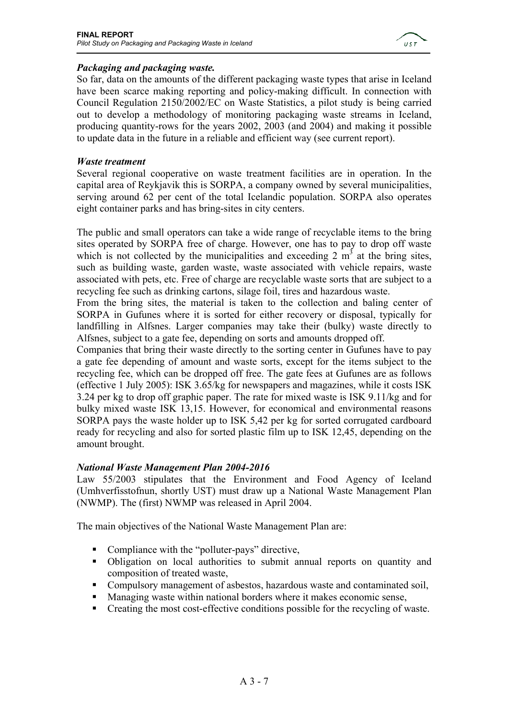

### *Packaging and packaging waste.*

So far, data on the amounts of the different packaging waste types that arise in Iceland have been scarce making reporting and policy-making difficult. In connection with Council Regulation 2150/2002/EC on Waste Statistics, a pilot study is being carried out to develop a methodology of monitoring packaging waste streams in Iceland, producing quantity-rows for the years 2002, 2003 (and 2004) and making it possible to update data in the future in a reliable and efficient way (see current report).

### *Waste treatment*

Several regional cooperative on waste treatment facilities are in operation. In the capital area of Reykjavik this is SORPA, a company owned by several municipalities, serving around 62 per cent of the total Icelandic population. SORPA also operates eight container parks and has bring-sites in city centers.

The public and small operators can take a wide range of recyclable items to the bring sites operated by SORPA free of charge. However, one has to pay to drop off waste which is not collected by the municipalities and exceeding  $2 \text{ m}^3$  at the bring sites, such as building waste, garden waste, waste associated with vehicle repairs, waste associated with pets, etc. Free of charge are recyclable waste sorts that are subject to a recycling fee such as drinking cartons, silage foil, tires and hazardous waste.

From the bring sites, the material is taken to the collection and baling center of SORPA in Gufunes where it is sorted for either recovery or disposal, typically for landfilling in Alfsnes. Larger companies may take their (bulky) waste directly to Alfsnes, subject to a gate fee, depending on sorts and amounts dropped off.

Companies that bring their waste directly to the sorting center in Gufunes have to pay a gate fee depending of amount and waste sorts, except for the items subject to the recycling fee, which can be dropped off free. The gate fees at Gufunes are as follows (effective 1 July 2005): ISK 3.65/kg for newspapers and magazines, while it costs ISK 3.24 per kg to drop off graphic paper. The rate for mixed waste is ISK 9.11/kg and for bulky mixed waste ISK 13,15. However, for economical and environmental reasons SORPA pays the waste holder up to ISK 5,42 per kg for sorted corrugated cardboard ready for recycling and also for sorted plastic film up to ISK 12,45, depending on the amount brought.

### *National Waste Management Plan 2004-2016*

Law 55/2003 stipulates that the Environment and Food Agency of Iceland (Umhverfisstofnun, shortly UST) must draw up a National Waste Management Plan (NWMP). The (first) NWMP was released in April 2004.

The main objectives of the National Waste Management Plan are:

- Compliance with the "polluter-pays" directive,
- Obligation on local authorities to submit annual reports on quantity and composition of treated waste,
- Compulsory management of asbestos, hazardous waste and contaminated soil,
- Managing waste within national borders where it makes economic sense,
- Creating the most cost-effective conditions possible for the recycling of waste.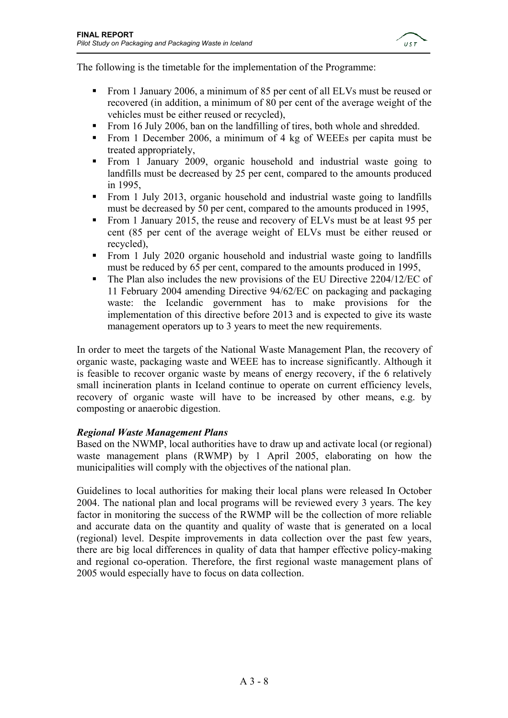

The following is the timetable for the implementation of the Programme:

- From 1 January 2006, a minimum of 85 per cent of all ELVs must be reused or recovered (in addition, a minimum of 80 per cent of the average weight of the vehicles must be either reused or recycled),
- From 16 July 2006, ban on the landfilling of tires, both whole and shredded.
- From 1 December 2006, a minimum of 4 kg of WEEEs per capita must be treated appropriately,
- From 1 January 2009, organic household and industrial waste going to landfills must be decreased by 25 per cent, compared to the amounts produced in 1995,
- From 1 July 2013, organic household and industrial waste going to landfills must be decreased by 50 per cent, compared to the amounts produced in 1995,
- From 1 January 2015, the reuse and recovery of ELVs must be at least 95 per cent (85 per cent of the average weight of ELVs must be either reused or recycled),
- From 1 July 2020 organic household and industrial waste going to landfills must be reduced by 65 per cent, compared to the amounts produced in 1995,
- The Plan also includes the new provisions of the EU Directive 2204/12/EC of 11 February 2004 amending Directive 94/62/EC on packaging and packaging waste: the Icelandic government has to make provisions for the implementation of this directive before 2013 and is expected to give its waste management operators up to 3 years to meet the new requirements.

In order to meet the targets of the National Waste Management Plan, the recovery of organic waste, packaging waste and WEEE has to increase significantly. Although it is feasible to recover organic waste by means of energy recovery, if the 6 relatively small incineration plants in Iceland continue to operate on current efficiency levels, recovery of organic waste will have to be increased by other means, e.g. by composting or anaerobic digestion.

### *Regional Waste Management Plans*

Based on the NWMP, local authorities have to draw up and activate local (or regional) waste management plans (RWMP) by 1 April 2005, elaborating on how the municipalities will comply with the objectives of the national plan.

Guidelines to local authorities for making their local plans were released In October 2004. The national plan and local programs will be reviewed every 3 years. The key factor in monitoring the success of the RWMP will be the collection of more reliable and accurate data on the quantity and quality of waste that is generated on a local (regional) level. Despite improvements in data collection over the past few years, there are big local differences in quality of data that hamper effective policy-making and regional co-operation. Therefore, the first regional waste management plans of 2005 would especially have to focus on data collection.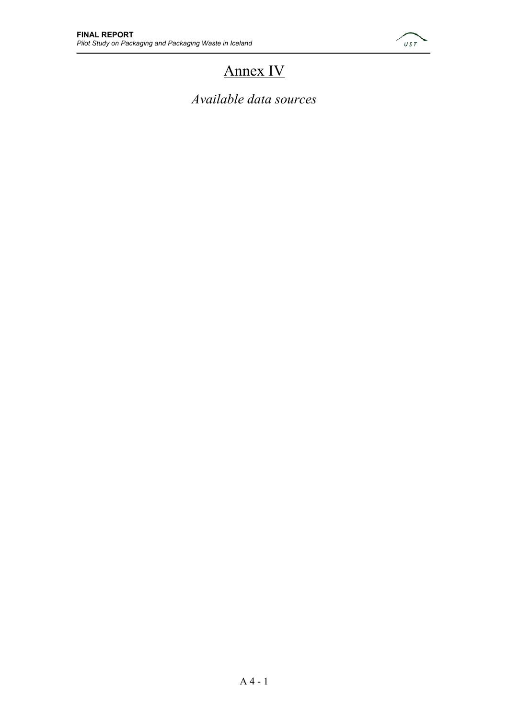

# Annex IV

*Available data sources*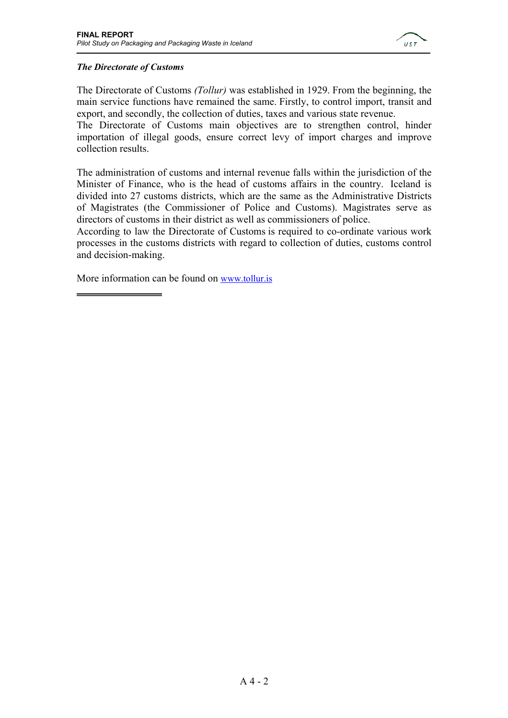

### *The Directorate of Customs*

The Directorate of Customs *(Tollur)* was established in 1929. From the beginning, the main service functions have remained the same. Firstly, to control import, transit and export, and secondly, the collection of duties, taxes and various state revenue.

The Directorate of Customs main objectives are to strengthen control, hinder importation of illegal goods, ensure correct levy of import charges and improve collection results.

The administration of customs and internal revenue falls within the jurisdiction of the Minister of Finance, who is the head of customs affairs in the country. Iceland is divided into 27 customs districts, which are the same as the Administrative Districts of Magistrates (the Commissioner of Police and Customs). Magistrates serve as directors of customs in their district as well as commissioners of police.

According to law the Directorate of Customs is required to co-ordinate various work processes in the customs districts with regard to collection of duties, customs control and decision-making.

More information can be found on www.tollur.is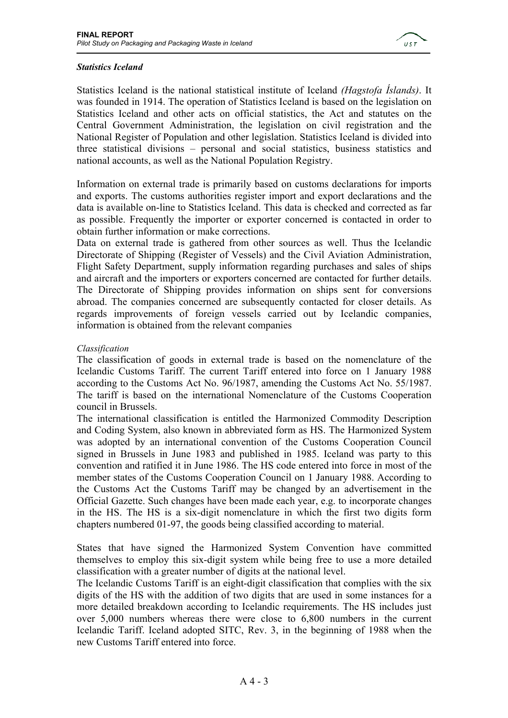

### *Statistics Iceland*

Statistics Iceland is the national statistical institute of Iceland *(Hagstofa Íslands)*. It was founded in 1914. The operation of Statistics Iceland is based on the legislation on Statistics Iceland and other acts on official statistics, the Act and statutes on the Central Government Administration, the legislation on civil registration and the National Register of Population and other legislation. Statistics Iceland is divided into three statistical divisions – personal and social statistics, business statistics and national accounts, as well as the National Population Registry.

Information on external trade is primarily based on customs declarations for imports and exports. The customs authorities register import and export declarations and the data is available on-line to Statistics Iceland. This data is checked and corrected as far as possible. Frequently the importer or exporter concerned is contacted in order to obtain further information or make corrections.

Data on external trade is gathered from other sources as well. Thus the Icelandic Directorate of Shipping (Register of Vessels) and the Civil Aviation Administration, Flight Safety Department, supply information regarding purchases and sales of ships and aircraft and the importers or exporters concerned are contacted for further details. The Directorate of Shipping provides information on ships sent for conversions abroad. The companies concerned are subsequently contacted for closer details. As regards improvements of foreign vessels carried out by Icelandic companies, information is obtained from the relevant companies

#### *Classification*

The classification of goods in external trade is based on the nomenclature of the Icelandic Customs Tariff. The current Tariff entered into force on 1 January 1988 according to the Customs Act No. 96/1987, amending the Customs Act No. 55/1987. The tariff is based on the international Nomenclature of the Customs Cooperation council in Brussels.

The international classification is entitled the Harmonized Commodity Description and Coding System, also known in abbreviated form as HS. The Harmonized System was adopted by an international convention of the Customs Cooperation Council signed in Brussels in June 1983 and published in 1985. Iceland was party to this convention and ratified it in June 1986. The HS code entered into force in most of the member states of the Customs Cooperation Council on 1 January 1988. According to the Customs Act the Customs Tariff may be changed by an advertisement in the Official Gazette. Such changes have been made each year, e.g. to incorporate changes in the HS. The HS is a six-digit nomenclature in which the first two digits form chapters numbered 01-97, the goods being classified according to material.

States that have signed the Harmonized System Convention have committed themselves to employ this six-digit system while being free to use a more detailed classification with a greater number of digits at the national level.

The Icelandic Customs Tariff is an eight-digit classification that complies with the six digits of the HS with the addition of two digits that are used in some instances for a more detailed breakdown according to Icelandic requirements. The HS includes just over 5,000 numbers whereas there were close to 6,800 numbers in the current Icelandic Tariff. Iceland adopted SITC, Rev. 3, in the beginning of 1988 when the new Customs Tariff entered into force.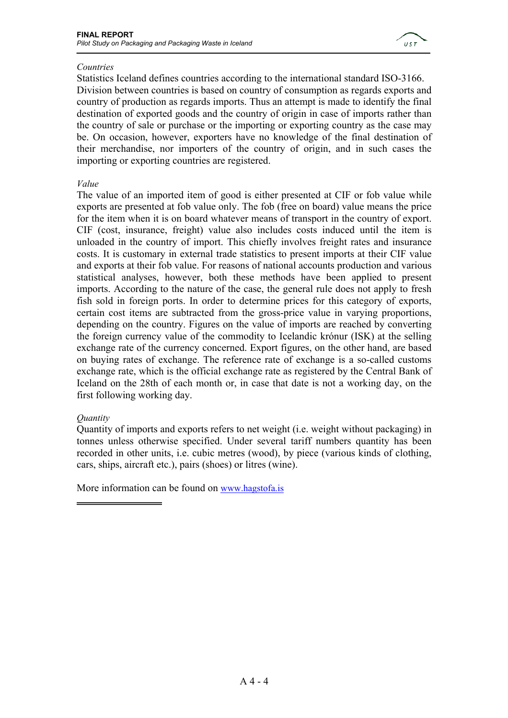

#### *Countries*

Statistics Iceland defines countries according to the international standard ISO-3166. Division between countries is based on country of consumption as regards exports and country of production as regards imports. Thus an attempt is made to identify the final destination of exported goods and the country of origin in case of imports rather than the country of sale or purchase or the importing or exporting country as the case may be. On occasion, however, exporters have no knowledge of the final destination of their merchandise, nor importers of the country of origin, and in such cases the importing or exporting countries are registered.

#### *Value*

The value of an imported item of good is either presented at CIF or fob value while exports are presented at fob value only. The fob (free on board) value means the price for the item when it is on board whatever means of transport in the country of export. CIF (cost, insurance, freight) value also includes costs induced until the item is unloaded in the country of import. This chiefly involves freight rates and insurance costs. It is customary in external trade statistics to present imports at their CIF value and exports at their fob value. For reasons of national accounts production and various statistical analyses, however, both these methods have been applied to present imports. According to the nature of the case, the general rule does not apply to fresh fish sold in foreign ports. In order to determine prices for this category of exports, certain cost items are subtracted from the gross-price value in varying proportions, depending on the country. Figures on the value of imports are reached by converting the foreign currency value of the commodity to Icelandic krónur (ISK) at the selling exchange rate of the currency concerned. Export figures, on the other hand, are based on buying rates of exchange. The reference rate of exchange is a so-called customs exchange rate, which is the official exchange rate as registered by the Central Bank of Iceland on the 28th of each month or, in case that date is not a working day, on the first following working day.

### *Quantity*

Quantity of imports and exports refers to net weight (i.e. weight without packaging) in tonnes unless otherwise specified. Under several tariff numbers quantity has been recorded in other units, i.e. cubic metres (wood), by piece (various kinds of clothing, cars, ships, aircraft etc.), pairs (shoes) or litres (wine).

More information can be found on www.hagstofa.is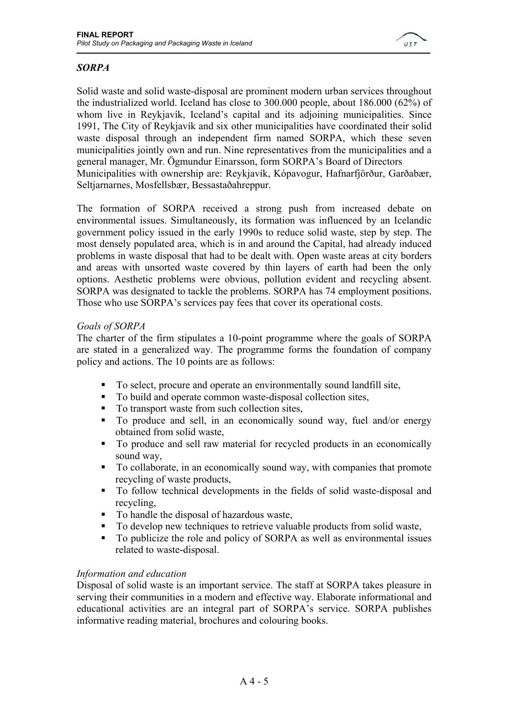

## *SORPA*

Solid waste and solid waste-disposal are prominent modern urban services throughout the industrialized world. Iceland has close to 300.000 people, about 186.000 (62%) of whom live in Reykjavík, Iceland's capital and its adjoining municipalities. Since 1991, The City of Reykjavík and six other municipalities have coordinated their solid waste disposal through an independent firm named SORPA, which these seven municipalities jointly own and run. Nine representatives from the municipalities and a general manager, Mr. Ögmundur Einarsson, form SORPA's Board of Directors Municipalities with ownership are: Reykjavík, Kópavogur, Hafnarfjörður, Garðabær, Seltjarnarnes, Mosfellsbær, Bessastaðahreppur.

The formation of SORPA received a strong push from increased debate on environmental issues. Simultaneously, its formation was influenced by an Icelandic government policy issued in the early 1990s to reduce solid waste, step by step. The most densely populated area, which is in and around the Capital, had already induced problems in waste disposal that had to be dealt with. Open waste areas at city borders and areas with unsorted waste covered by thin layers of earth had been the only options. Aesthetic problems were obvious, pollution evident and recycling absent. SORPA was designated to tackle the problems. SORPA has 74 employment positions. Those who use SORPA's services pay fees that cover its operational costs.

### *Goals of SORPA*

The charter of the firm stipulates a 10-point programme where the goals of SORPA are stated in a generalized way. The programme forms the foundation of company policy and actions. The 10 points are as follows:

- To select, procure and operate an environmentally sound landfill site,
- To build and operate common waste-disposal collection sites,
- To transport waste from such collection sites,
- To produce and sell, in an economically sound way, fuel and/or energy obtained from solid waste,
- To produce and sell raw material for recycled products in an economically sound way,
- To collaborate, in an economically sound way, with companies that promote recycling of waste products,
- To follow technical developments in the fields of solid waste-disposal and recycling,
- To handle the disposal of hazardous waste,
- To develop new techniques to retrieve valuable products from solid waste,
- To publicize the role and policy of SORPA as well as environmental issues related to waste-disposal.

### *Information and education*

Disposal of solid waste is an important service. The staff at SORPA takes pleasure in serving their communities in a modern and effective way. Elaborate informational and educational activities are an integral part of SORPA's service. SORPA publishes informative reading material, brochures and colouring books.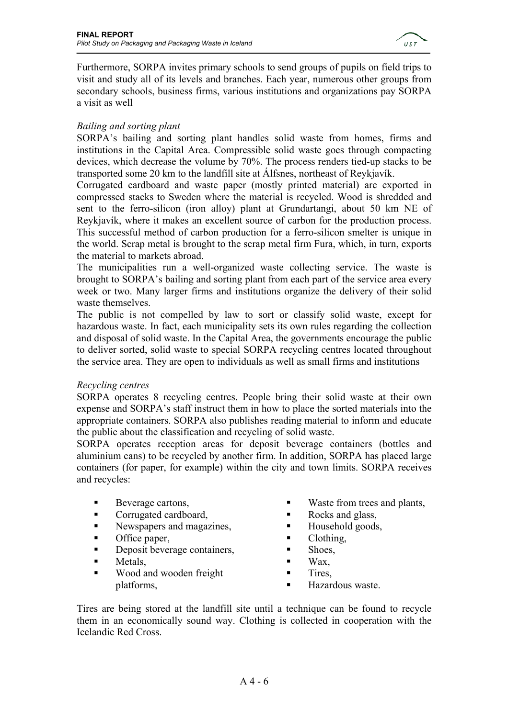

Furthermore, SORPA invites primary schools to send groups of pupils on field trips to visit and study all of its levels and branches. Each year, numerous other groups from secondary schools, business firms, various institutions and organizations pay SORPA a visit as well

### *Bailing and sorting plant*

SORPA's bailing and sorting plant handles solid waste from homes, firms and institutions in the Capital Area. Compressible solid waste goes through compacting devices, which decrease the volume by 70%. The process renders tied-up stacks to be transported some 20 km to the landfill site at Álfsnes, northeast of Reykjavík.

Corrugated cardboard and waste paper (mostly printed material) are exported in compressed stacks to Sweden where the material is recycled. Wood is shredded and sent to the ferro-silicon (iron alloy) plant at Grundartangi, about 50 km NE of Reykjavík, where it makes an excellent source of carbon for the production process. This successful method of carbon production for a ferro-silicon smelter is unique in the world. Scrap metal is brought to the scrap metal firm Fura, which, in turn, exports the material to markets abroad.

The municipalities run a well-organized waste collecting service. The waste is brought to SORPA's bailing and sorting plant from each part of the service area every week or two. Many larger firms and institutions organize the delivery of their solid waste themselves.

The public is not compelled by law to sort or classify solid waste, except for hazardous waste. In fact, each municipality sets its own rules regarding the collection and disposal of solid waste. In the Capital Area, the governments encourage the public to deliver sorted, solid waste to special SORPA recycling centres located throughout the service area. They are open to individuals as well as small firms and institutions

### *Recycling centres*

SORPA operates 8 recycling centres. People bring their solid waste at their own expense and SORPA's staff instruct them in how to place the sorted materials into the appropriate containers. SORPA also publishes reading material to inform and educate the public about the classification and recycling of solid waste.

SORPA operates reception areas for deposit beverage containers (bottles and aluminium cans) to be recycled by another firm. In addition, SORPA has placed large containers (for paper, for example) within the city and town limits. SORPA receives and recycles:

- Beverage cartons,
- Corrugated cardboard,
- Newspapers and magazines,
- **Office paper,**
- Deposit beverage containers,
- **Metals**,
- **Wood and wooden freight** platforms,
- **Waster from trees and plants,**
- Rocks and glass,
- $\blacksquare$  Household goods,
- Clothing,
- **Shoes.**
- $\blacksquare$  Wax,
- **Tires.**
- Hazardous waste.

Tires are being stored at the landfill site until a technique can be found to recycle them in an economically sound way. Clothing is collected in cooperation with the Icelandic Red Cross.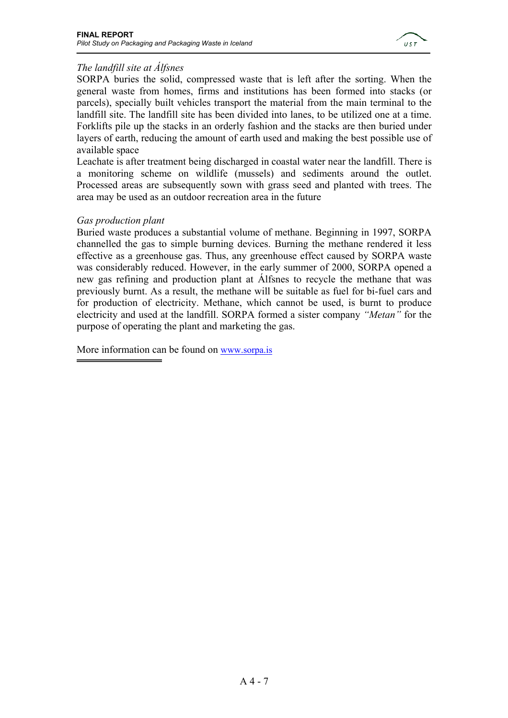

## *The landfill site at Álfsnes*

SORPA buries the solid, compressed waste that is left after the sorting. When the general waste from homes, firms and institutions has been formed into stacks (or parcels), specially built vehicles transport the material from the main terminal to the landfill site. The landfill site has been divided into lanes, to be utilized one at a time. Forklifts pile up the stacks in an orderly fashion and the stacks are then buried under layers of earth, reducing the amount of earth used and making the best possible use of available space

Leachate is after treatment being discharged in coastal water near the landfill. There is a monitoring scheme on wildlife (mussels) and sediments around the outlet. Processed areas are subsequently sown with grass seed and planted with trees. The area may be used as an outdoor recreation area in the future

### *Gas production plant*

Buried waste produces a substantial volume of methane. Beginning in 1997, SORPA channelled the gas to simple burning devices. Burning the methane rendered it less effective as a greenhouse gas. Thus, any greenhouse effect caused by SORPA waste was considerably reduced. However, in the early summer of 2000, SORPA opened a new gas refining and production plant at Álfsnes to recycle the methane that was previously burnt. As a result, the methane will be suitable as fuel for bi-fuel cars and for production of electricity. Methane, which cannot be used, is burnt to produce electricity and used at the landfill. SORPA formed a sister company *"Metan"* for the purpose of operating the plant and marketing the gas.

More information can be found on www.sorpa.is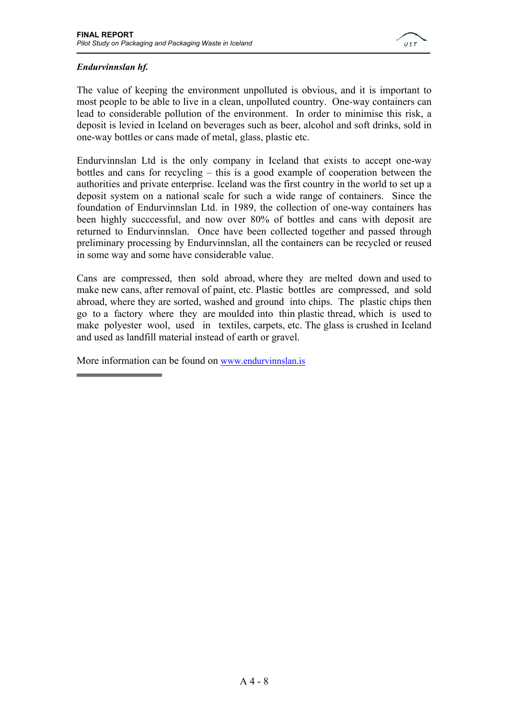

### *Endurvinnslan hf.*

The value of keeping the environment unpolluted is obvious, and it is important to most people to be able to live in a clean, unpolluted country. One-way containers can lead to considerable pollution of the environment. In order to minimise this risk, a deposit is levied in Iceland on beverages such as beer, alcohol and soft drinks, sold in one-way bottles or cans made of metal, glass, plastic etc.

Endurvinnslan Ltd is the only company in Iceland that exists to accept one-way bottles and cans for recycling – this is a good example of cooperation between the authorities and private enterprise. Iceland was the first country in the world to set up a deposit system on a national scale for such a wide range of containers. Since the foundation of Endurvinnslan Ltd. in 1989, the collection of one-way containers has been highly succcessful, and now over 80% of bottles and cans with deposit are returned to Endurvinnslan. Once have been collected together and passed through preliminary processing by Endurvinnslan, all the containers can be recycled or reused in some way and some have considerable value.

Cans are compressed, then sold abroad, where they are melted down and used to make new cans, after removal of paint, etc. Plastic bottles are compressed, and sold abroad, where they are sorted, washed and ground into chips. The plastic chips then go to a factory where they are moulded into thin plastic thread, which is used to make polyester wool, used in textiles, carpets, etc. The glass is crushed in Iceland and used as landfill material instead of earth or gravel.

More information can be found on www.endurvinnslan.is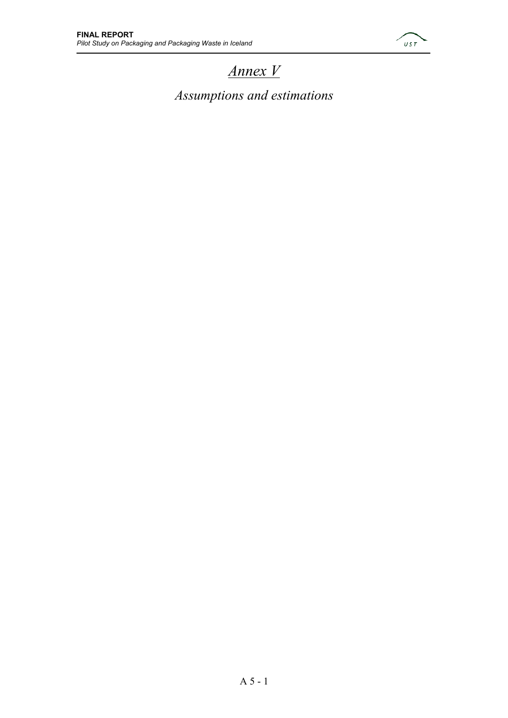

# *Annex V*

*Assumptions and estimations*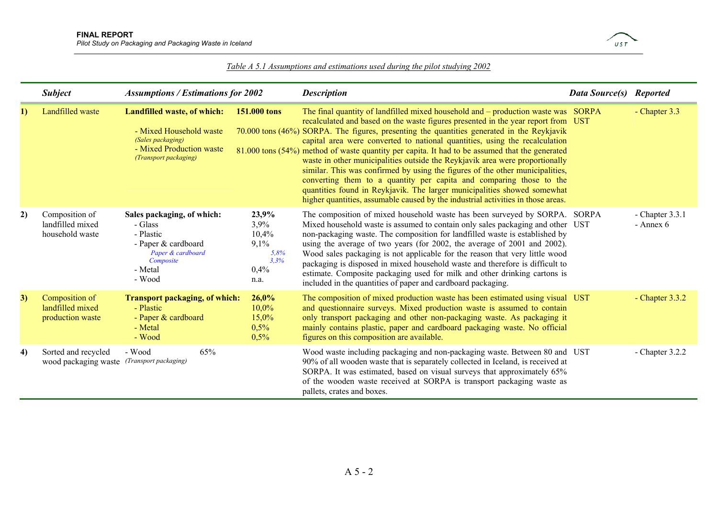

#### *Table A 5.1 Assumptions and estimations used during the pilot studying 2002*

|    | <b>Subject</b>                                                                                                                                                                                                                                              | <b>Assumptions / Estimations for 2002</b>                                                                                        |                                         | <b>Description</b>                                                                                                                                                                                                                                                                                                                                                                                                                                                                                                                                                                                                                                                                                                                                                                                                                                            | <b>Data Source(s) Reported</b> |                                |
|----|-------------------------------------------------------------------------------------------------------------------------------------------------------------------------------------------------------------------------------------------------------------|----------------------------------------------------------------------------------------------------------------------------------|-----------------------------------------|---------------------------------------------------------------------------------------------------------------------------------------------------------------------------------------------------------------------------------------------------------------------------------------------------------------------------------------------------------------------------------------------------------------------------------------------------------------------------------------------------------------------------------------------------------------------------------------------------------------------------------------------------------------------------------------------------------------------------------------------------------------------------------------------------------------------------------------------------------------|--------------------------------|--------------------------------|
| 1) | Landfilled waste                                                                                                                                                                                                                                            | Landfilled waste, of which:<br>- Mixed Household waste<br>(Sales packaging)<br>- Mixed Production waste<br>(Transport packaging) | 151.000 tons                            | The final quantity of landfilled mixed household and – production waste was SORPA<br>recalculated and based on the waste figures presented in the year report from UST<br>70.000 tons (46%) SORPA. The figures, presenting the quantities generated in the Reykjavik<br>capital area were converted to national quantities, using the recalculation<br>81.000 tons (54%) method of waste quantity per capita. It had to be assumed that the generated<br>waste in other municipalities outside the Reykjavik area were proportionally<br>similar. This was confirmed by using the figures of the other municipalities,<br>converting them to a quantity per capita and comparing those to the<br>quantities found in Reykjavik. The larger municipalities showed somewhat<br>higher quantities, assumable caused by the industrial activities in those areas. |                                | - Chapter 3.3                  |
| 2) | 23,9%<br>Composition of<br>Sales packaging, of which:<br>landfilled mixed<br>3,9%<br>- Glass<br>household waste<br>- Plastic<br>10,4%<br>9,1%<br>- Paper & cardboard<br>Paper & cardboard<br>5,8%<br>3.3%<br>Composite<br>0,4%<br>- Metal<br>- Wood<br>n.a. |                                                                                                                                  |                                         | The composition of mixed household waste has been surveyed by SORPA. SORPA<br>Mixed household waste is assumed to contain only sales packaging and other UST<br>non-packaging waste. The composition for landfilled waste is established by<br>using the average of two years (for 2002, the average of 2001 and 2002).<br>Wood sales packaging is not applicable for the reason that very little wood<br>packaging is disposed in mixed household waste and therefore is difficult to<br>estimate. Composite packaging used for milk and other drinking cartons is<br>included in the quantities of paper and cardboard packaging.                                                                                                                                                                                                                           |                                | - Chapter $3.3.1$<br>- Annex 6 |
| 3) | Composition of<br>landfilled mixed<br>production waste                                                                                                                                                                                                      | <b>Transport packaging, of which:</b><br>- Plastic<br>- Paper & cardboard<br>- Metal<br>- Wood                                   | 26,0%<br>10,0%<br>15,0%<br>0,5%<br>0,5% | The composition of mixed production waste has been estimated using visual UST<br>and questionnaire surveys. Mixed production waste is assumed to contain<br>only transport packaging and other non-packaging waste. As packaging it<br>mainly contains plastic, paper and cardboard packaging waste. No official<br>figures on this composition are available.                                                                                                                                                                                                                                                                                                                                                                                                                                                                                                |                                | - Chapter $3.3.2$              |
| 4) | Sorted and recycled<br>wood packaging waste (Transport packaging)                                                                                                                                                                                           | 65%<br>- Wood                                                                                                                    |                                         | Wood waste including packaging and non-packaging waste. Between 80 and UST<br>90% of all wooden waste that is separately collected in Iceland, is received at<br>SORPA. It was estimated, based on visual surveys that approximately 65%<br>of the wooden waste received at SORPA is transport packaging waste as<br>pallets, crates and boxes.                                                                                                                                                                                                                                                                                                                                                                                                                                                                                                               |                                | - Chapter $3.2.2$              |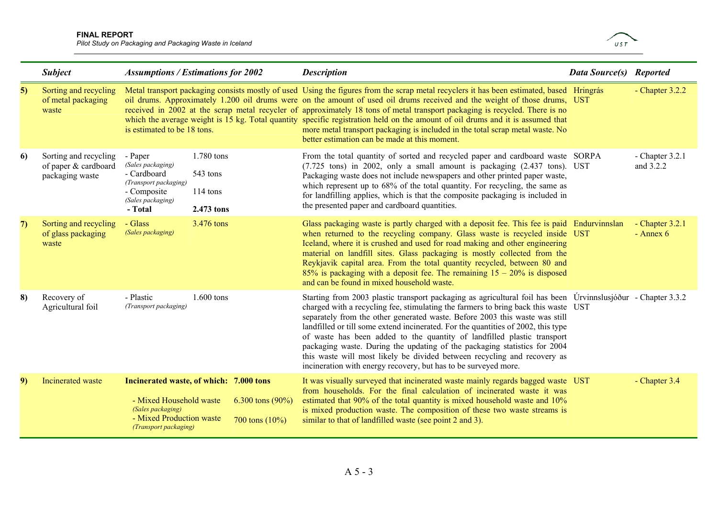#### **FINAL REPORT**

*Pilot Study on Packaging and Packaging Waste in Iceland* 



|                  | <b>Subject</b>                                                   | <b>Assumptions / Estimations for 2002</b>                                                                                                                                         |                                                                                     | <b>Description</b>                                                                                                                                                                                                                                                                                                                                                                                                                                                                                                                                                                                                                                                            | Data Source(s) Reported |                                  |
|------------------|------------------------------------------------------------------|-----------------------------------------------------------------------------------------------------------------------------------------------------------------------------------|-------------------------------------------------------------------------------------|-------------------------------------------------------------------------------------------------------------------------------------------------------------------------------------------------------------------------------------------------------------------------------------------------------------------------------------------------------------------------------------------------------------------------------------------------------------------------------------------------------------------------------------------------------------------------------------------------------------------------------------------------------------------------------|-------------------------|----------------------------------|
| $\vert 5) \vert$ | Sorting and recycling<br>of metal packaging<br>waste             | is estimated to be 18 tons.                                                                                                                                                       |                                                                                     | Metal transport packaging consists mostly of used Using the figures from the scrap metal recyclers it has been estimated, based Hringrás<br>oil drums. Approximately 1.200 oil drums were on the amount of used oil drums received and the weight of those drums, UST<br>received in 2002 at the scrap metal recycler of approximately 18 tons of metal transport packaging is recycled. There is no<br>which the average weight is 15 kg. Total quantity specific registration held on the amount of oil drums and it is assumed that<br>more metal transport packaging is included in the total scrap metal waste. No<br>better estimation can be made at this moment.      |                         | - Chapter $3.2.2$                |
| 6                | Sorting and recycling<br>of paper & cardboard<br>packaging waste | 1.780 tons<br>- Paper<br>(Sales packaging)<br>- Cardboard<br>543 tons<br>(Transport packaging)<br>- Composite<br>$114 \text{ tons}$<br>(Sales packaging)<br>2.473 tons<br>- Total |                                                                                     | From the total quantity of sorted and recycled paper and cardboard waste SORPA<br>(7.725 tons) in 2002, only a small amount is packaging (2.437 tons). UST<br>Packaging waste does not include newspapers and other printed paper waste,<br>which represent up to 68% of the total quantity. For recycling, the same as<br>for landfilling applies, which is that the composite packaging is included in<br>the presented paper and cardboard quantities.                                                                                                                                                                                                                     |                         | - Chapter $3.2.1$<br>and 3.2.2   |
| 7)               | Sorting and recycling<br>of glass packaging<br>waste             | - Glass<br>3.476 tons<br>(Sales packaging)                                                                                                                                        |                                                                                     | Glass packaging waste is partly charged with a deposit fee. This fee is paid Endurvinnslan<br>when returned to the recycling company. Glass waste is recycled inside UST<br>Iceland, where it is crushed and used for road making and other engineering<br>material on landfill sites. Glass packaging is mostly collected from the<br>Reykjavik capital area. From the total quantity recycled, between 80 and<br>85% is packaging with a deposit fee. The remaining $15 - 20\%$ is disposed<br>and can be found in mixed household waste.                                                                                                                                   |                         | $-$ Chapter 3.2.1<br>$-$ Annex 6 |
| 8)               | Recovery of<br>Agricultural foil                                 | - Plastic<br>(Transport packaging)                                                                                                                                                | 1.600 tons                                                                          | Starting from 2003 plastic transport packaging as agricultural foil has been Urvinnslusjóður - Chapter 3.3.2<br>charged with a recycling fee, stimulating the farmers to bring back this waste UST<br>separately from the other generated waste. Before 2003 this waste was still<br>landfilled or till some extend incinerated. For the quantities of 2002, this type<br>of waste has been added to the quantity of landfilled plastic transport<br>packaging waste. During the updating of the packaging statistics for 2004<br>this waste will most likely be divided between recycling and recovery as<br>incineration with energy recovery, but has to be surveyed more. |                         |                                  |
| 9)               | Incinerated waste                                                | - Mixed Household waste<br>(Sales packaging)<br>- Mixed Production waste<br>(Transport packaging)                                                                                 | Incinerated waste, of which: 7.000 tons<br>6.300 tons $(90\%)$<br>700 tons $(10\%)$ | It was visually surveyed that incinerated waste mainly regards bagged waste UST<br>from households. For the final calculation of incinerated waste it was<br>estimated that 90% of the total quantity is mixed household waste and 10%<br>is mixed production waste. The composition of these two waste streams is<br>similar to that of landfilled waste (see point 2 and 3).                                                                                                                                                                                                                                                                                                |                         | - Chapter 3.4                    |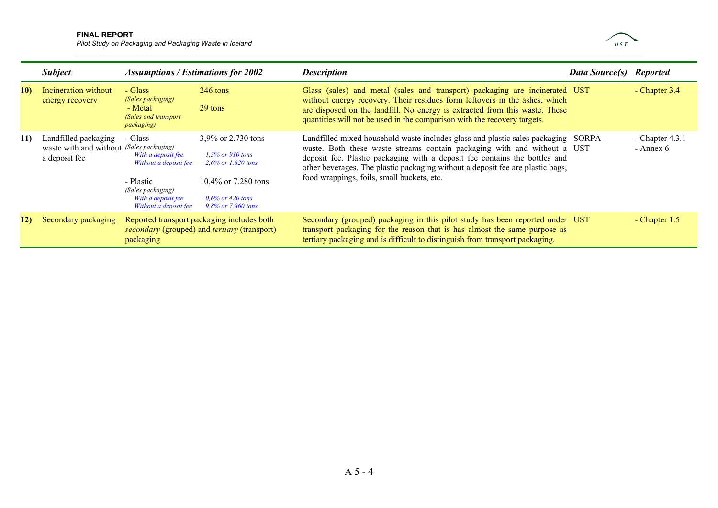#### **FINAL REPORT**

*Pilot Study on Packaging and Packaging Waste in Iceland* 



|           | <b>Subject</b>                                                                    | <b>Assumptions / Estimations for 2002</b>                                                                                               |                                                                                                                                        | <b>Description</b>                                                                                                                                                                                                                                                                                                                                                          | <b>Data Source(s)</b> Reported |                                |
|-----------|-----------------------------------------------------------------------------------|-----------------------------------------------------------------------------------------------------------------------------------------|----------------------------------------------------------------------------------------------------------------------------------------|-----------------------------------------------------------------------------------------------------------------------------------------------------------------------------------------------------------------------------------------------------------------------------------------------------------------------------------------------------------------------------|--------------------------------|--------------------------------|
| 10)       | Incineration without<br>energy recovery                                           | - Glass<br>(Sales packaging)<br>- Metal<br>(Sales and transport<br><i>packaging</i> )                                                   | $246$ tons<br>29 tons                                                                                                                  | Glass (sales) and metal (sales and transport) packaging are incinerated UST<br>without energy recovery. Their residues form leftovers in the ashes, which<br>are disposed on the landfill. No energy is extracted from this waste. These<br>quantities will not be used in the comparison with the recovery targets.                                                        |                                | - Chapter $3.4$                |
| <b>11</b> | Landfilled packaging<br>waste with and without (Sales packaging)<br>a deposit fee | - Glass<br>With a deposit fee<br>Without a deposit fee<br>- Plastic<br>(Sales packaging)<br>With a deposit fee<br>Without a deposit fee | 3,9% or 2.730 tons<br>$1.3\%$ or 910 tons<br>$2.6\%$ or 1.820 tons<br>10,4% or 7.280 tons<br>$0.6\%$ or 420 tons<br>9,8% or 7.860 tons | Landfilled mixed household waste includes glass and plastic sales packaging SORPA<br>waste. Both these waste streams contain packaging with and without a UST<br>deposit fee. Plastic packaging with a deposit fee contains the bottles and<br>other beverages. The plastic packaging without a deposit fee are plastic bags,<br>food wrappings, foils, small buckets, etc. |                                | - Chapter $4.3.1$<br>- Annex 6 |
| 12)       | Secondary packaging                                                               | packaging                                                                                                                               | Reported transport packaging includes both<br><i>secondary</i> (grouped) and <i>tertiary</i> (transport)                               | Secondary (grouped) packaging in this pilot study has been reported under UST<br>transport packaging for the reason that is has almost the same purpose as<br>tertiary packaging and is difficult to distinguish from transport packaging.                                                                                                                                  |                                | - Chapter 1.5                  |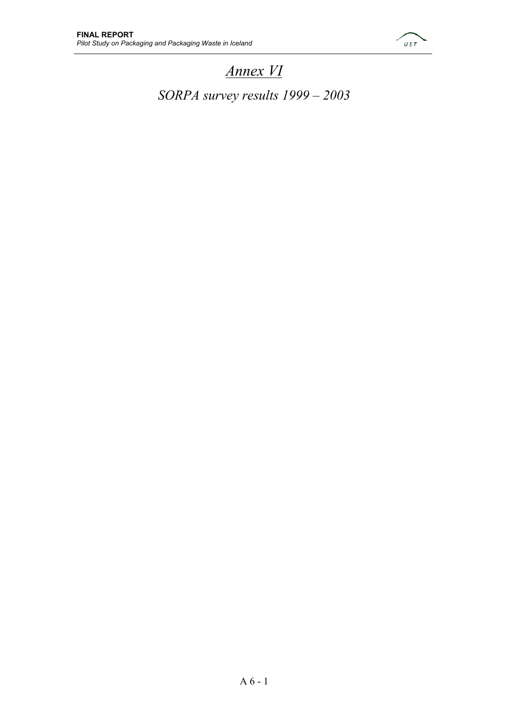

# *Annex VI*

*SORPA survey results 1999 – 2003*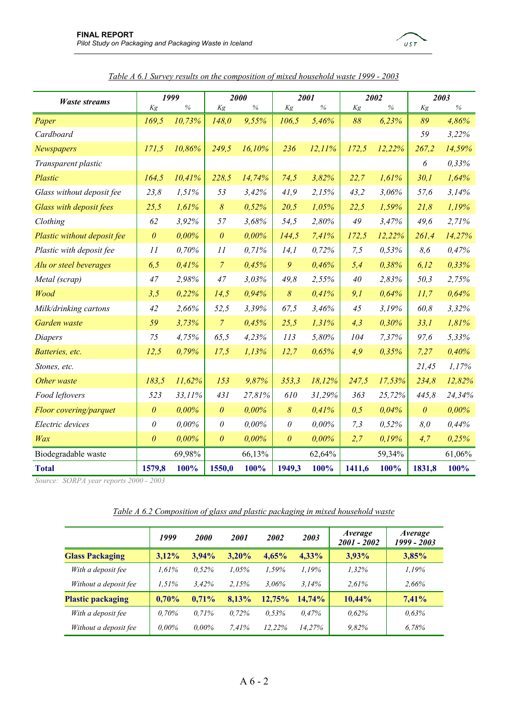

*Table A 6.1 Survey results on the composition of mixed household waste 1999 - 2003*

 $UST$ 

 *Source: SORPA year reports 2000 - 2003* 

*Table A 6.2 Composition of glass and plastic packaging in mixed household waste*

|                          | 1999     | <b>2000</b> | 2001     | 2002     | 2003      | <i>Average</i><br>2001 - 2002 | Average<br>1999 - 2003 |
|--------------------------|----------|-------------|----------|----------|-----------|-------------------------------|------------------------|
| <b>Glass Packaging</b>   | $3,12\%$ | $3.94\%$    | $3.20\%$ | 4,65%    | $4,33\%$  | 3,93%                         | 3,85%                  |
| With a deposit fee       | 1.61%    | 0.52%       | $1.05\%$ | 1,59%    | 1.19%     | 1,32%                         | 1,19%                  |
| Without a deposit fee    | 1.51%    | 3.42%       | 2.15%    | $3.06\%$ | 3.14%     | 2.61%                         | 2,66%                  |
| <b>Plastic packaging</b> | 0,70%    | $0.71\%$    | 8,13%    | 12.75%   | $14.74\%$ | $10,44\%$                     | 7,41%                  |
| With a deposit fee       | $0.70\%$ | $0.71\%$    | $0.72\%$ | 0.53%    | 0.47%     | 0.62%                         | 0.63%                  |
| Without a deposit fee    | $0.00\%$ | $0.00\%$    | 7.41%    | 12.22%   | 14.27%    | 9,82%                         | 6,78%                  |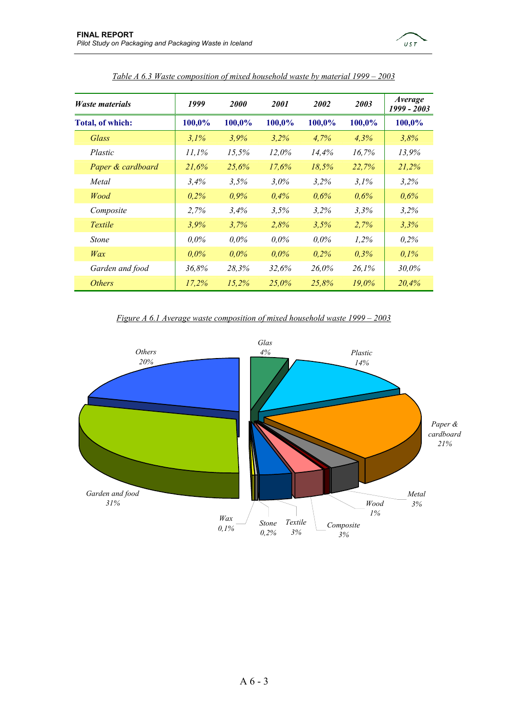

| <i>Waste materials</i> | 1999    | <b>2000</b> | 2001    | 2002    | 2003     | <i>Average</i><br>1999 - 2003 |
|------------------------|---------|-------------|---------|---------|----------|-------------------------------|
| Total, of which:       | 100,0%  | 100,0%      | 100,0%  | 100,0%  | 100,0%   | 100,0%                        |
| Glass                  | $3.1\%$ | $3.9\%$     | 3,2%    | 4,7%    | $4.3\%$  | 3.8%                          |
| Plastic                | 11,1%   | 15,5%       | 12.0%   | 14.4%   | 16,7%    | 13.9%                         |
| Paper & cardboard      | 21.6%   | 25.6%       | 17.6%   | 18.5%   | 22,7%    | 21,2%                         |
| Metal                  | 3,4%    | 3.5%        | 3,0%    | $3.2\%$ | 3,1%     | $3.2\%$                       |
| Wood                   | 0,2%    | 0,9%        | $0.4\%$ | $0.6\%$ | 0,6%     | $0.6\%$                       |
| Composite              | 2,7%    | 3.4%        | 3,5%    | 3.2%    | 3,3%     | 3,2%                          |
| Textile                | $3.9\%$ | 3,7%        | 2,8%    | 3.5%    | 2,7%     | 3.3%                          |
| <b>Stone</b>           | $0.0\%$ | $0.0\%$     | $0.0\%$ | $0.0\%$ | 1,2%     | $0.2\%$                       |
| Wax                    | $0.0\%$ | $0.0\%$     | $0.0\%$ | $0.2\%$ | 0,3%     | $0.1\%$                       |
| Garden and food        | 36,8%   | 28.3%       | 32.6%   | 26,0%   | 26,1%    | 30.0%                         |
| <i>Others</i>          | 17.2%   | 15,2%       | 25,0%   | 25,8%   | $19.0\%$ | 20,4%                         |

#### *Table A 6.3 Waste composition of mixed household waste by material 1999 – 2003*

#### *Figure A 6.1 Average waste composition of mixed household waste 1999 – 2003*

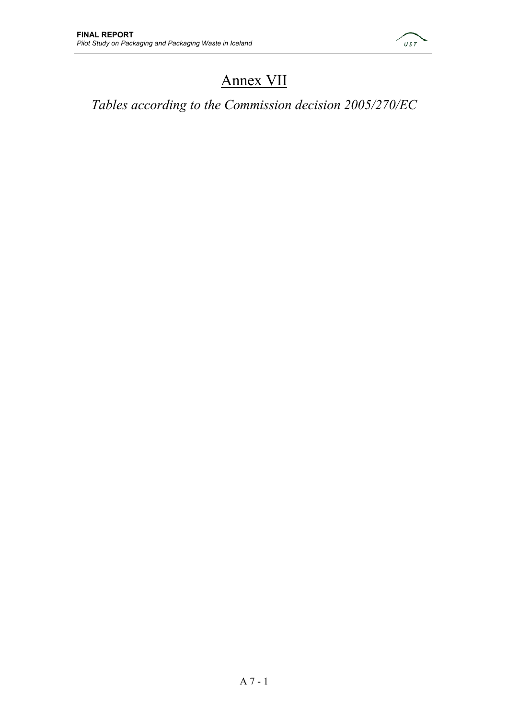

# Annex VII

*Tables according to the Commission decision 2005/270/EC*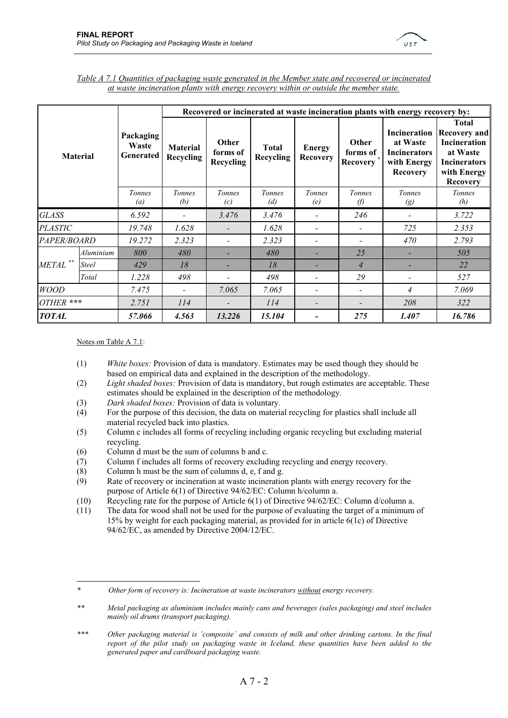

| Table A 7.1 Quantities of packaging waste generated in the Member state and recovered or incinerated |  |
|------------------------------------------------------------------------------------------------------|--|
| at waste incineration plants with energy recovery within or outside the member state.                |  |

| <b>Material</b> |              |                                        | Recovered or incinerated at waste incineration plants with energy recovery by: |                                |                           |                                  |                               |                                                                   |                                                                                                                                |  |
|-----------------|--------------|----------------------------------------|--------------------------------------------------------------------------------|--------------------------------|---------------------------|----------------------------------|-------------------------------|-------------------------------------------------------------------|--------------------------------------------------------------------------------------------------------------------------------|--|
|                 |              | Packaging<br>Waste<br><b>Generated</b> | <b>Material</b><br><b>Recycling</b>                                            | Other<br>forms of<br>Recycling | <b>Total</b><br>Recycling | <b>Energy</b><br><b>Recovery</b> | Other<br>forms of<br>Recovery | at Waste<br><b>Incinerators</b><br>with Energy<br><b>Recovery</b> | Total<br><b>Incineration Recovery and</b><br>Incineration<br>at Waste<br><b>Incinerators</b><br>with Energy<br><b>Recovery</b> |  |
|                 |              | Tonnes<br>$\left(a\right)$             | Tonnes<br>(b)                                                                  | <b>Tonnes</b><br>(c)           | Tonnes<br>(d)             | Tonnes<br>(e)                    | Tonnes<br>O)                  | Tonnes<br>$\left( g\right)$                                       | <b>Tonnes</b><br>(h)                                                                                                           |  |
| <b>GLASS</b>    |              | 6.592                                  |                                                                                | 3.476                          | 3.476                     |                                  | 246                           |                                                                   | 3.722                                                                                                                          |  |
| <b>PLASTIC</b>  |              | 19.748                                 | 1.628                                                                          |                                | 1.628                     |                                  |                               | 725                                                               | 2.353                                                                                                                          |  |
| PAPER/BOARD     |              | 19.272                                 | 2.323                                                                          |                                | 2.323                     |                                  |                               | 470                                                               | 2.793                                                                                                                          |  |
|                 | Aluminium    | 800                                    | 480                                                                            |                                | 480                       |                                  | 25                            |                                                                   | 505                                                                                                                            |  |
| <b>METAL</b>    | <b>Steel</b> | 429                                    | 18                                                                             |                                | 18                        |                                  | $\overline{4}$                |                                                                   | 22                                                                                                                             |  |
|                 | Total        | 1.228                                  | 498                                                                            |                                | 498                       |                                  | 29                            |                                                                   | 527                                                                                                                            |  |
| <b>WOOD</b>     |              | 7.475                                  |                                                                                | 7.065                          | 7.065                     |                                  |                               | 4                                                                 | 7.069                                                                                                                          |  |
| OTHER ***       |              | 2.751                                  | 114                                                                            |                                | 114                       |                                  |                               | 208                                                               | 322                                                                                                                            |  |
| <b>TOTAL</b>    |              | 57.066                                 | 4.563                                                                          | 13.226                         | 15.104                    |                                  | 275                           | 1.407                                                             | 16.786                                                                                                                         |  |

Notes on Table A 7.1:

- (1) *White boxes:* Provision of data is mandatory. Estimates may be used though they should be based on empirical data and explained in the description of the methodology.
- (2) *Light shaded boxes:* Provision of data is mandatory, but rough estimates are acceptable. These estimates should be explained in the description of the methodology*.*
- (3) *Dark shaded boxes:* Provision of data is voluntary*.*
- (4) For the purpose of this decision, the data on material recycling for plastics shall include all material recycled back into plastics.
- (5) Column c includes all forms of recycling including organic recycling but excluding material recycling.
- (6) Column d must be the sum of columns b and c.
- (7) Column f includes all forms of recovery excluding recycling and energy recovery.
- (8) Column h must be the sum of columns d, e, f and g.
- (9) Rate of recovery or incineration at waste incineration plants with energy recovery for the purpose of Article 6(1) of Directive 94/62/EC: Column h/column a.
- (10) Recycling rate for the purpose of Article 6(1) of Directive 94/62/EC: Column d/column a.
- (11) The data for wood shall not be used for the purpose of evaluating the target of a minimum of 15% by weight for each packaging material, as provided for in article 6(1c) of Directive 94/62/EC, as amended by Directive 2004/12/EC.

 $\overline{a}$ *\* Other form of recovery is: Incineration at waste incinerators without energy recovery.* 

*<sup>\*\*</sup> Metal packaging as aluminium includes mainly cans and beverages (sales packaging) and steel includes mainly oil drums (transport packaging).* 

*<sup>\*\*\*</sup> Other packaging material is ´composite´ and consists of milk and other drinking cartons. In the final report of the pilot study on packaging waste in Iceland, these quantities have been added to the generated paper and cardboard packaging waste.*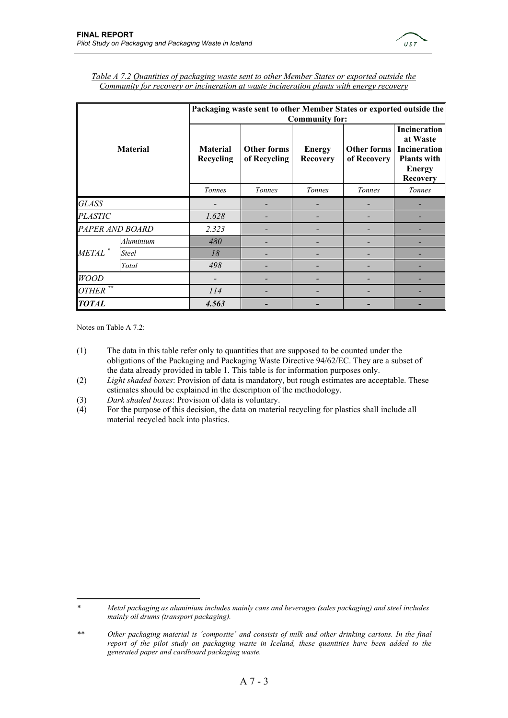

| <b>Material</b>                 |                 |                              | Packaging waste sent to other Member States or exported outside the<br><b>Community for:</b> |                                  |                            |                                                                                                           |  |  |  |  |
|---------------------------------|-----------------|------------------------------|----------------------------------------------------------------------------------------------|----------------------------------|----------------------------|-----------------------------------------------------------------------------------------------------------|--|--|--|--|
|                                 |                 | <b>Material</b><br>Recycling | Other forms<br>of Recycling                                                                  | <b>Energy</b><br><b>Recovery</b> | Other forms<br>of Recovery | <b>Incineration</b><br>at Waste<br>Incineration<br><b>Plants with</b><br><b>Energy</b><br><b>Recovery</b> |  |  |  |  |
|                                 |                 | Tonnes                       | Tonnes                                                                                       | <b>Tonnes</b>                    | Tonnes                     | Tonnes                                                                                                    |  |  |  |  |
| <b>GLASS</b>                    |                 |                              |                                                                                              |                                  |                            |                                                                                                           |  |  |  |  |
| <b>PLASTIC</b>                  |                 | 1.628                        |                                                                                              |                                  |                            |                                                                                                           |  |  |  |  |
|                                 | PAPER AND BOARD | 2.323                        |                                                                                              |                                  |                            |                                                                                                           |  |  |  |  |
|                                 | Aluminium       | 480                          |                                                                                              |                                  |                            |                                                                                                           |  |  |  |  |
| METAL <sup>*</sup>              | <b>Steel</b>    | 18                           |                                                                                              |                                  |                            |                                                                                                           |  |  |  |  |
|                                 | Total           | 498                          |                                                                                              |                                  |                            |                                                                                                           |  |  |  |  |
| <b>WOOD</b>                     |                 |                              |                                                                                              |                                  |                            |                                                                                                           |  |  |  |  |
| $\star$ $\star$<br><b>OTHER</b> |                 | 114                          |                                                                                              |                                  |                            |                                                                                                           |  |  |  |  |
| <b>TOTAL</b>                    |                 | 4.563                        |                                                                                              |                                  |                            |                                                                                                           |  |  |  |  |

| Table A 7.2 Quantities of packaging waste sent to other Member States or exported outside the |  |
|-----------------------------------------------------------------------------------------------|--|
| Community for recovery or incineration at waste incineration plants with energy recovery      |  |

Notes on Table A 7.2:

 $\overline{a}$ 

- (1) The data in this table refer only to quantities that are supposed to be counted under the obligations of the Packaging and Packaging Waste Directive 94/62/EC. They are a subset of the data already provided in table 1. This table is for information purposes only.
- (2) *Light shaded boxes*: Provision of data is mandatory, but rough estimates are acceptable. These estimates should be explained in the description of the methodology.
- (3) *Dark shaded boxes*: Provision of data is voluntary.
- (4) For the purpose of this decision, the data on material recycling for plastics shall include all material recycled back into plastics.

*<sup>\*</sup> Metal packaging as aluminium includes mainly cans and beverages (sales packaging) and steel includes mainly oil drums (transport packaging).* 

*<sup>\*\*</sup> Other packaging material is ´composite´ and consists of milk and other drinking cartons. In the final report of the pilot study on packaging waste in Iceland, these quantities have been added to the generated paper and cardboard packaging waste.*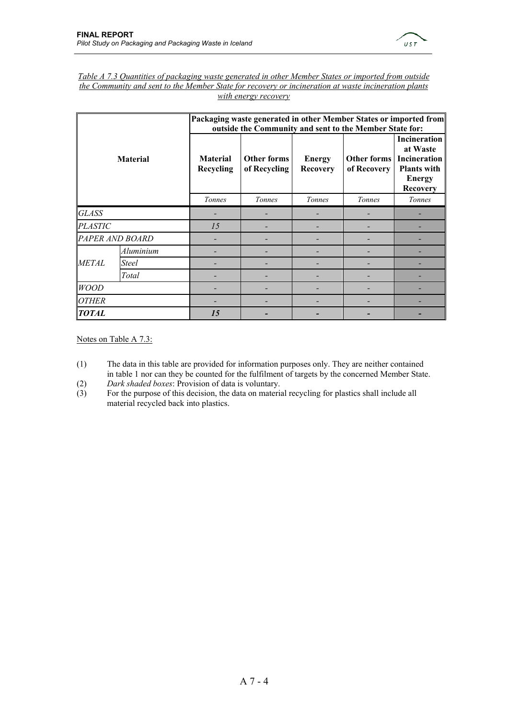

| Table A 7.3 Quantities of packaging waste generated in other Member States or imported from outside  |
|------------------------------------------------------------------------------------------------------|
| the Community and sent to the Member State for recovery or incineration at waste incineration plants |
| with energy recovery                                                                                 |

| <b>Material</b> |                 |                              | Packaging waste generated in other Member States or imported from<br>outside the Community and sent to the Member State for: |                                  |                            |                                                                                                           |  |  |  |  |
|-----------------|-----------------|------------------------------|------------------------------------------------------------------------------------------------------------------------------|----------------------------------|----------------------------|-----------------------------------------------------------------------------------------------------------|--|--|--|--|
|                 |                 | <b>Material</b><br>Recycling | <b>Other forms</b><br>of Recycling                                                                                           | <b>Energy</b><br><b>Recovery</b> | Other forms<br>of Recovery | <b>Incineration</b><br>at Waste<br>Incineration<br><b>Plants with</b><br><b>Energy</b><br><b>Recovery</b> |  |  |  |  |
|                 |                 | Tonnes                       | Tonnes                                                                                                                       | Tonnes                           | <b>Tonnes</b>              | Tonnes                                                                                                    |  |  |  |  |
| GLASS           |                 |                              |                                                                                                                              |                                  |                            |                                                                                                           |  |  |  |  |
| <b>PLASTIC</b>  |                 | 15                           |                                                                                                                              |                                  |                            |                                                                                                           |  |  |  |  |
|                 | PAPER AND BOARD |                              |                                                                                                                              |                                  |                            |                                                                                                           |  |  |  |  |
|                 | Aluminium       |                              |                                                                                                                              |                                  |                            |                                                                                                           |  |  |  |  |
| <b>METAL</b>    | Steel           |                              |                                                                                                                              |                                  |                            |                                                                                                           |  |  |  |  |
|                 | Total           |                              |                                                                                                                              |                                  |                            |                                                                                                           |  |  |  |  |
| <b>WOOD</b>     |                 |                              |                                                                                                                              |                                  |                            |                                                                                                           |  |  |  |  |
| <b>OTHER</b>    |                 |                              |                                                                                                                              |                                  |                            |                                                                                                           |  |  |  |  |
| <b>TOTAL</b>    |                 | 15                           |                                                                                                                              |                                  |                            |                                                                                                           |  |  |  |  |

Notes on Table A 7.3:

- (1) The data in this table are provided for information purposes only. They are neither contained in table 1 nor can they be counted for the fulfilment of targets by the concerned Member State.
- (2) *Dark shaded boxes*: Provision of data is voluntary.
- (3) For the purpose of this decision, the data on material recycling for plastics shall include all material recycled back into plastics.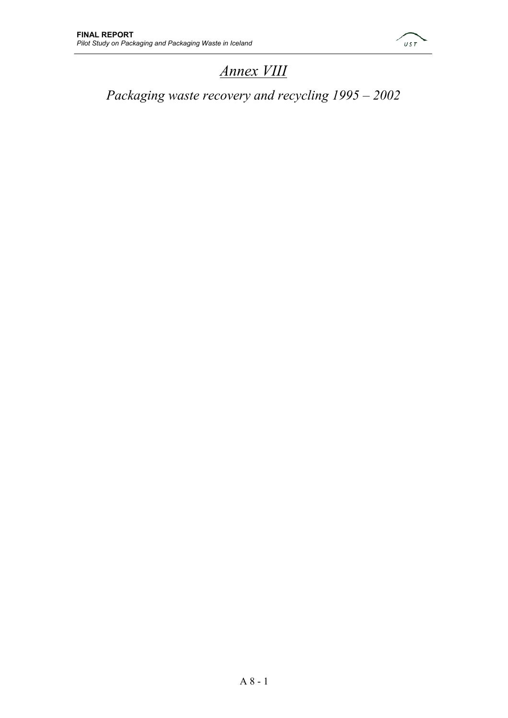

# *Annex VIII*

*Packaging waste recovery and recycling 1995 – 2002*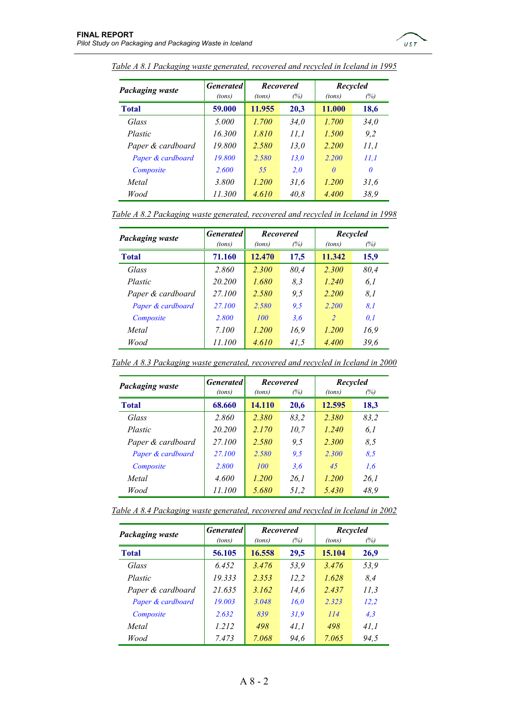

| <b>Packaging waste</b> | <b>Generated</b> | <b>Recovered</b> |      | Recycled |             |  |
|------------------------|------------------|------------------|------|----------|-------------|--|
|                        | (tons)           | (tons)           | (%)  | (tons)   | (%)         |  |
| <b>Total</b>           | 59.000           | 11.955           | 20,3 | 11.000   | 18,6        |  |
| Glass                  | 5.000            | 1.700            | 34.0 | 1.700    | <i>34.0</i> |  |
| Plastic                | 16.300           | 1.810            | 11,1 | 1.500    | 9,2         |  |
| Paper & cardboard      | 19.800           | 2.580            | 13.0 | 2.200    | 11,1        |  |
| Paper & cardboard      | 19,800           | 2.580            | 13.0 | 2.200    | 11.1        |  |
| Composite              | 2.600            | 55               | 2.0  | $\theta$ | $\theta$    |  |
| Metal                  | 3.800            | 1.200            | 31,6 | 1.200    | 31,6        |  |
| Wood                   | 11.300           | 4.610            | 40.8 | 4.400    | 38,9        |  |

*Table A 8.1 Packaging waste generated, recovered and recycled in Iceland in 1995*

|  | Table A 8.2 Packaging waste generated, recovered and recycled in Iceland in 1998 |  |  |
|--|----------------------------------------------------------------------------------|--|--|
|  |                                                                                  |  |  |

| Packaging waste   | <b>Generated</b> | <b>Recovered</b> |      | Recycled       |      |  |
|-------------------|------------------|------------------|------|----------------|------|--|
|                   | (tons)           | (tons)           | (%)  | (tons)         | (%)  |  |
| <b>Total</b>      | 71.160           | 12.470           | 17,5 | 11.342         | 15,9 |  |
| Glass             | 2.860            | 2.300            | 80.4 | 2.300          | 80,4 |  |
| Plastic           | 20.200           | 1.680            | 8,3  | 1.240          | 6,1  |  |
| Paper & cardboard | 27.100           | 2.580            | 9.5  | 2.200          | 8,1  |  |
| Paper & cardboard | 27.100           | 2.580            | 9.5  | 2.200          | 8.1  |  |
| Composite         | 2.800            | <i>100</i>       | 3,6  | $\overline{z}$ | 0.1  |  |
| Metal             | 7.100            | 1.200            | 16,9 | 1.200          | 16,9 |  |
| Wood              | 11.100           | 4.610            | 41,5 | 4.400          | 39,6 |  |

| <b>Packaging waste</b> | <b>Generated</b> | <b>Recovered</b> |             | Recycled |      |  |
|------------------------|------------------|------------------|-------------|----------|------|--|
|                        | (tons)           | (tons)           | (%)         | (tons)   | (%)  |  |
| <b>Total</b>           | 68.660           | 14.110           | <b>20,6</b> | 12.595   | 18,3 |  |
| Glass                  | 2.860            | 2.380            | 83,2        | 2.380    | 83,2 |  |
| Plastic                | 20.200           | 2.170            | 10.7        | 1.240    | 6.1  |  |
| Paper & cardboard      | 27.100           | 2.580            | 9.5         | 2.300    | 8.5  |  |
| Paper & cardboard      | 27.100           | 2.580            | 9.5         | 2.300    | 8.5  |  |
| Composite              | 2.800            | 100              | 3.6         | 45       | 1.6  |  |
| Metal                  | 4.600            | 1.200            | 26.1        | 1.200    | 26.1 |  |
| Wood                   | 11.100           | 5.680            | 51,2        | 5.430    | 48,9 |  |

*Table A 8.3 Packaging waste generated, recovered and recycled in Iceland in 2000*

| Table A 8.4 Packaging waste generated, recovered and recycled in Iceland in 2002 |  |
|----------------------------------------------------------------------------------|--|
|                                                                                  |  |

| <b>Packaging waste</b> | <b>Generated</b> | <b>Recovered</b> |      | Recycled |      |  |
|------------------------|------------------|------------------|------|----------|------|--|
|                        | (tons)           | (tons)           | (%)  | (tons)   | (%)  |  |
| <b>Total</b>           | 56.105           | 16.558           | 29,5 | 15.104   | 26,9 |  |
| Glass                  | 6.452            | 3.476            | 53.9 | 3.476    | 53,9 |  |
| Plastic                | 19.333           | 2.353            | 12,2 | 1.628    | 8.4  |  |
| Paper & cardboard      | 21.635           | 3.162            | 14.6 | 2.437    | 11,3 |  |
| Paper & cardboard      | 19.003           | 3.048            | 16.0 | 2.323    | 12,2 |  |
| Composite              | 2.632            | 839              | 31.9 | 114      | 4,3  |  |
| Metal                  | 1.212            | 498              | 41.1 | 498      | 41.1 |  |
| Wood                   | 7.473            | 7.068            | 94.6 | 7.065    | 94.5 |  |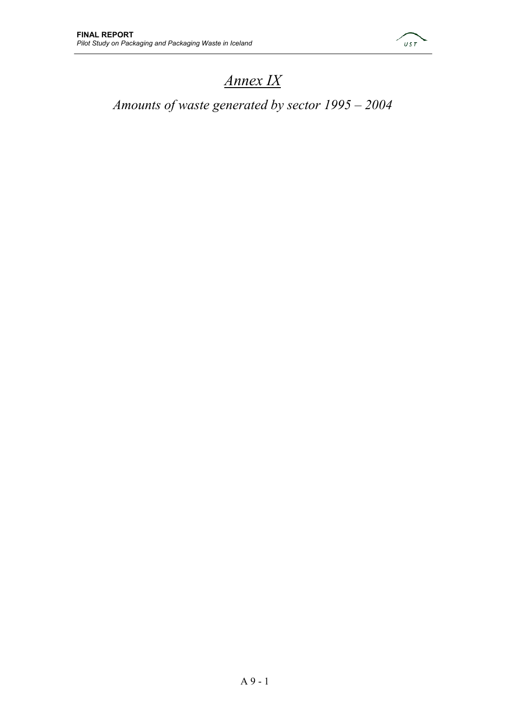

# *Annex IX*

# *Amounts of waste generated by sector 1995 – 2004*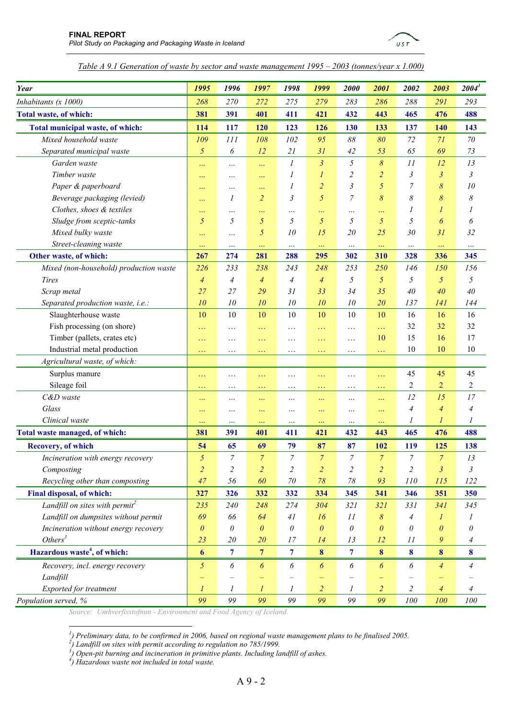

*Table A 9.1 Generation of waste by sector and waste management 1995 – 2003 (tonnes/year x 1.000)*

| Year                                       | 1995           | 1996                  | 1997                  | 1998                    | 1999                  | 2000                    | 2001                  | 2002             | 2003           | 2004 <sup>1</sup> |
|--------------------------------------------|----------------|-----------------------|-----------------------|-------------------------|-----------------------|-------------------------|-----------------------|------------------|----------------|-------------------|
| Inhabitants (x 1000)                       |                | 270                   | 272                   | 275                     | 279                   | 283                     | 286                   | 288              | 291            | 293               |
| Total waste, of which:                     |                | 391                   | 401                   | 411                     | 421                   | 432                     | 443                   | 465              | 476            | 488               |
|                                            |                |                       |                       |                         |                       |                         |                       |                  |                |                   |
| Total municipal waste, of which:           | 114            | 117                   | 120                   | 123                     | 126                   | 130                     | 133                   | 137              | 140            | 143               |
| Mixed household waste                      | 109            | 111                   | 108                   | 102                     | 95                    | $\delta\delta$          | 80                    | 72               | 71             | 70                |
| Separated municipal waste                  | $\mathfrak{H}$ | 6                     | 12                    | 21                      | 31                    | 42                      | 53                    | 65               | 69             | 73                |
| Garden waste                               | $\ddotsc$      | $\cdots$              |                       | 1                       | $\mathfrak{Z}$        | $\mathfrak{H}$          | $\delta$              | 11               | 12             | 13                |
| Timber waste                               | $\ddotsc$      |                       | $\ddotsc$             | 1                       | 1                     | 2                       | $\overline{a}$        | 3                | 3              | 3                 |
| Paper & paperboard                         | $\ddotsc$      |                       |                       | 1                       | $\overline{2}$        | 3                       | 5                     | 7                | $\delta$       | 10                |
| Beverage packaging (levied)                | $\ddotsc$      | 1                     | $\overline{2}$        | 3                       | 5                     | 7                       | 8                     | 8                | 8              | 8                 |
| Clothes, shoes & textiles                  | $\ddotsc$      | .                     | $\ddotsc$             |                         | $\ddotsc$             | $\cdots$                | $\ldots$              | 1                | 1              | 1                 |
| Sludge from sceptic-tanks                  | 5              | 5                     | 5                     | 5                       | 5                     | 5                       | 5                     | 5                | 6              | 6                 |
| Mixed bulky waste                          | $\ldots$       |                       | 5                     | 10                      | 15                    | 20                      | 25                    | 30               | 31             | 32                |
| Street-cleaning waste                      | $\ldots$       | $\cdots$              | $\ldots$              | $\cdots$                | $\ldots$              | $\cdots$                | $\ldots$              | $\cdots$         | $\cdots$       |                   |
| Other waste, of which:                     | 267            | 274                   | 281                   | 288                     | 295                   | 302                     | 310                   | 328              | 336            | 345               |
| Mixed (non-household) production waste     | 226            | 233                   | 238                   | 243                     | 248                   | 253                     | 250                   | 146              | 150            | 156               |
| Tires                                      | $\overline{4}$ | $\overline{A}$        | $\overline{4}$        | 4                       | $\overline{4}$        | 5                       | 5                     | 5                | 5              | 5                 |
| Scrap metal                                | 27             | 27                    | 29                    | 31                      | 33                    | 34                      | 35                    | 40               | 40             | 40                |
| Separated production waste, i.e.:          | $10\,$         | 10                    | 10                    | 10                      | 10                    | 10                      | 20                    | 137              | 141            | 144               |
| Slaughterhouse waste                       | 10             | 10                    | 10                    | 10                      | 10                    | 10                      | 10                    | 16               | 16             | 16                |
| Fish processing (on shore)                 | $\ddotsc$      | .                     | .                     | .                       | $\ddotsc$             | $\cdots$                | $\ddotsc$             | 32               | 32             | 32                |
| Timber (pallets, crates etc)               | $\ldots$       | .                     | .                     | .                       | $\ddotsc$             | .                       | 10                    | 15               | 16             | 17                |
| Industrial metal production                | $\ddotsc$      | .                     | .                     | $\cdots$                | $\ddotsc$             | .                       | $\ddotsc$             | 10               | 10             | 10                |
| Agricultural waste, of which:              |                |                       |                       |                         |                       |                         |                       |                  |                |                   |
| Surplus manure                             | $\ddotsc$      | .                     | .                     | .                       | $\ddotsc$             | .                       | $\ddotsc$             | 45               | 45             | 45                |
| Sileage foil                               | $\ddotsc$      | .                     | $\ldots$              | $\cdots$                | $\ddotsc$             | $\ddots$                | $\sim$ $\sim$ $\sim$  | $\overline{c}$   | $\overline{2}$ | $\overline{c}$    |
| C&D waste                                  | $\ddotsc$      |                       | $\ddotsc$             |                         | $\cdots$              |                         | $\ddotsc$             | 12               | 15             | 17                |
| Glass                                      |                |                       | $\ddotsc$             | $\cdots$                |                       | $\cdots$                | $\ddotsc$             | 4                | 4              | 4                 |
| Clinical waste                             |                |                       | $\ddotsc$             | $\cdots$                | $\ldots$              |                         | $\ddotsc$             | 1                |                | 1                 |
| Total waste managed, of which:             | 381            | 391                   | 401                   | 411                     | 421                   | 432                     | 443                   | 465              | 476            | 488               |
| <b>Recovery, of which</b>                  | 54             | 65                    | 69                    | 79                      | 87                    | 87                      | 102                   | 119              | 125            | 138               |
| Incineration with energy recovery          | 5              | 7                     | 7                     | 7                       | 7                     | 7                       | 7                     | 7                | 7              | 13                |
| Composting                                 |                | $\overline{c}$        | $\overline{a}$        | $\overline{\mathbf{c}}$ | $\overline{a}$        | $\overline{\mathbf{c}}$ | $\overline{c}$        | $\overline{c}$   | $\overline{3}$ | 3                 |
| Recycling other than composting            |                | 56                    | 60                    | $70\,$                  | $78\,$                | $78\,$                  | 93                    | $110$            | 115            | 122               |
| Final disposal, of which:                  |                | 326                   | 332                   | 332                     | 334                   | 345                     | 341                   | 346              | 351            | 350               |
| Landfill on sites with permit <sup>2</sup> |                | 240                   | 248                   | 274                     | 304                   | 321                     | 321                   | 331              | 341            | 345               |
| Landfill on dumpsites without permit       |                | 66                    | 64                    | 41                      | 16                    | 11                      | 8                     | $\overline{4}$   | $\overline{I}$ | 1                 |
| Incineration without energy recovery       |                | 0                     | $\theta$              | 0                       | $\boldsymbol{\theta}$ | $\theta$                | $\theta$              | 0                | $\theta$       | 0                 |
| Others <sup>3</sup>                        |                | 20                    | 20                    | 17                      | 14                    | 13                      | 12                    | 11               | 9              | 4                 |
| Hazardous waste <sup>4</sup> , of which:   |                | $\overline{7}$        | $7\phantom{.0}$       | $7\overline{ }$         | $\boldsymbol{8}$      | $\overline{\tau}$       | $\boldsymbol{8}$      | $\boldsymbol{8}$ | $\bf{8}$       | $\boldsymbol{8}$  |
| Recovery, incl. energy recovery            |                | $\boldsymbol{\delta}$ | $\boldsymbol{\delta}$ | $\boldsymbol{\delta}$   | $\boldsymbol{\delta}$ | 6                       | $\boldsymbol{\delta}$ | 6                | $\overline{4}$ | $\overline{4}$    |
| Landfill                                   | $\mathfrak{H}$ |                       |                       |                         |                       |                         |                       |                  |                |                   |
| Exported for treatment                     |                | $\boldsymbol{l}$      | $\boldsymbol{l}$      | 1                       | $\overline{a}$        | 1                       | $\overline{a}$        | $\overline{c}$   | 4              | 4                 |
| Population served, %                       | 99             | 99                    | 99                    | 99                      | 99                    | 99                      | 99                    | 100              | 100            | 100               |

*Source: Umhverfisstofnun - Environment and Food Agency of Iceland.* 

<sup>&</sup>lt;sup>1</sup>) Preliminary data, to be confirmed in 2006, based on regional waste management plans to be finalised 2005.<br><sup>2</sup>) Landfill on sites with permit according to regulation no 785/1999.<br><sup>3</sup>) Open-pit burning and included in

*<sup>)</sup> Hazardous waste not included in total waste.*